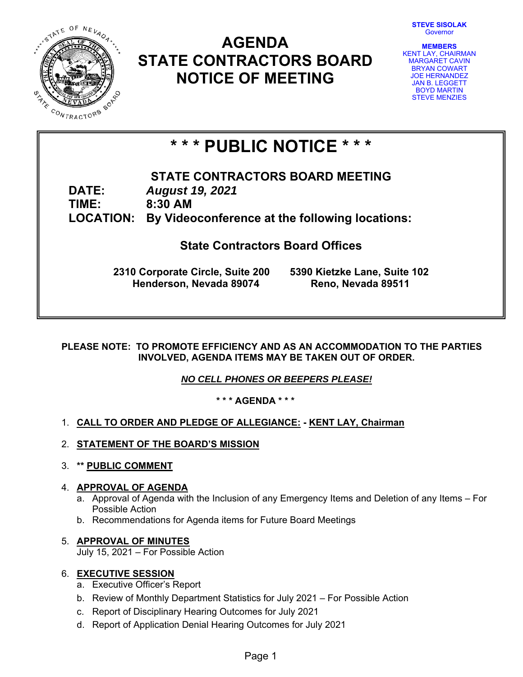**STEVE SISOLAK**  Governor



# **AGENDA STATE CONTRACTORS BOARD NOTICE OF MEETING**



# **\* \* \* PUBLIC NOTICE \* \* \***

**STATE CONTRACTORS BOARD MEETING DATE:** *August 19, 2021*  **TIME: 8:30 AM LOCATION: By Videoconference at the following locations:** 

# **State Contractors Board Offices**

**2310 Corporate Circle, Suite 200 5390 Kietzke Lane, Suite 102 Henderson, Nevada 89074 Reno, Nevada 89511**

# **PLEASE NOTE: TO PROMOTE EFFICIENCY AND AS AN ACCOMMODATION TO THE PARTIES INVOLVED, AGENDA ITEMS MAY BE TAKEN OUT OF ORDER.**

*NO CELL PHONES OR BEEPERS PLEASE!* 

**\* \* \* AGENDA \* \* \*** 

# 1. **CALL TO ORDER AND PLEDGE OF ALLEGIANCE: - KENT LAY, Chairman**

- 2. **STATEMENT OF THE BOARD'S MISSION**
- 3. **\*\* PUBLIC COMMENT**

# 4. **APPROVAL OF AGENDA**

- a. Approval of Agenda with the Inclusion of any Emergency Items and Deletion of any Items For Possible Action
- b. Recommendations for Agenda items for Future Board Meetings

# 5. **APPROVAL OF MINUTES**

July 15, 2021 – For Possible Action

# 6. **EXECUTIVE SESSION**

- a. Executive Officer's Report
- b. Review of Monthly Department Statistics for July 2021 For Possible Action
- c. Report of Disciplinary Hearing Outcomes for July 2021
- d. Report of Application Denial Hearing Outcomes for July 2021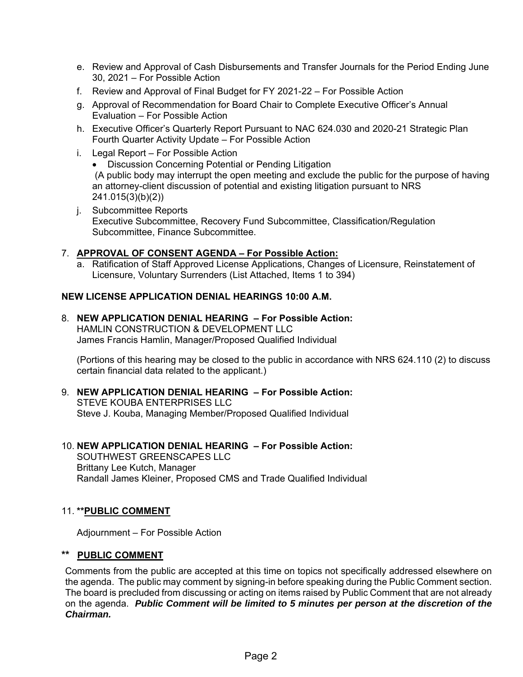- e. Review and Approval of Cash Disbursements and Transfer Journals for the Period Ending June 30, 2021 – For Possible Action
- f. Review and Approval of Final Budget for FY 2021-22 For Possible Action
- g. Approval of Recommendation for Board Chair to Complete Executive Officer's Annual Evaluation – For Possible Action
- h. Executive Officer's Quarterly Report Pursuant to NAC 624.030 and 2020-21 Strategic Plan Fourth Quarter Activity Update – For Possible Action
- i. Legal Report For Possible Action
	- Discussion Concerning Potential or Pending Litigation (A public body may interrupt the open meeting and exclude the public for the purpose of having an attorney-client discussion of potential and existing litigation pursuant to NRS 241.015(3)(b)(2))
- j. Subcommittee Reports Executive Subcommittee, Recovery Fund Subcommittee, Classification/Regulation Subcommittee, Finance Subcommittee.

# 7. **APPROVAL OF CONSENT AGENDA – For Possible Action:**

a. Ratification of Staff Approved License Applications, Changes of Licensure, Reinstatement of Licensure, Voluntary Surrenders (List Attached, Items 1 to 394)

# **NEW LICENSE APPLICATION DENIAL HEARINGS 10:00 A.M.**

8. **NEW APPLICATION DENIAL HEARING – For Possible Action:**

HAMLIN CONSTRUCTION & DEVELOPMENT LLC James Francis Hamlin, Manager/Proposed Qualified Individual

(Portions of this hearing may be closed to the public in accordance with NRS 624.110 (2) to discuss certain financial data related to the applicant.)

- 9. **NEW APPLICATION DENIAL HEARING For Possible Action:**  STEVE KOUBA ENTERPRISES LLC Steve J. Kouba, Managing Member/Proposed Qualified Individual
- 10. **NEW APPLICATION DENIAL HEARING For Possible Action:** SOUTHWEST GREENSCAPES LLC Brittany Lee Kutch, Manager Randall James Kleiner, Proposed CMS and Trade Qualified Individual

# 11. **\*\*PUBLIC COMMENT**

Adjournment – For Possible Action

# **\*\* PUBLIC COMMENT**

Comments from the public are accepted at this time on topics not specifically addressed elsewhere on the agenda. The public may comment by signing-in before speaking during the Public Comment section. The board is precluded from discussing or acting on items raised by Public Comment that are not already on the agenda. *Public Comment will be limited to 5 minutes per person at the discretion of the Chairman.*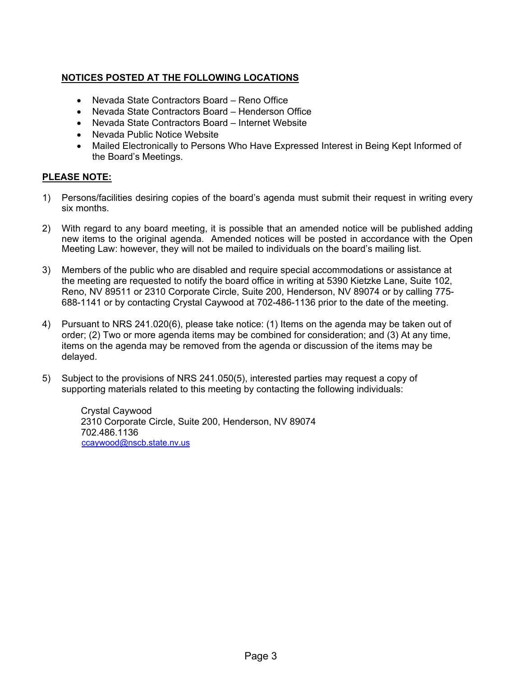# **NOTICES POSTED AT THE FOLLOWING LOCATIONS**

- Nevada State Contractors Board Reno Office
- Nevada State Contractors Board Henderson Office
- Nevada State Contractors Board Internet Website
- Nevada Public Notice Website
- Mailed Electronically to Persons Who Have Expressed Interest in Being Kept Informed of the Board's Meetings.

# **PLEASE NOTE:**

- 1) Persons/facilities desiring copies of the board's agenda must submit their request in writing every six months.
- 2) With regard to any board meeting, it is possible that an amended notice will be published adding new items to the original agenda. Amended notices will be posted in accordance with the Open Meeting Law: however, they will not be mailed to individuals on the board's mailing list.
- 3) Members of the public who are disabled and require special accommodations or assistance at the meeting are requested to notify the board office in writing at 5390 Kietzke Lane, Suite 102, Reno, NV 89511 or 2310 Corporate Circle, Suite 200, Henderson, NV 89074 or by calling 775- 688-1141 or by contacting Crystal Caywood at 702-486-1136 prior to the date of the meeting.
- 4) Pursuant to NRS 241.020(6), please take notice: (1) Items on the agenda may be taken out of order; (2) Two or more agenda items may be combined for consideration; and (3) At any time, items on the agenda may be removed from the agenda or discussion of the items may be delayed.
- 5) Subject to the provisions of NRS 241.050(5), interested parties may request a copy of supporting materials related to this meeting by contacting the following individuals:

Crystal Caywood 2310 Corporate Circle, Suite 200, Henderson, NV 89074 702.486.1136 ccaywood@nscb.state.nv.us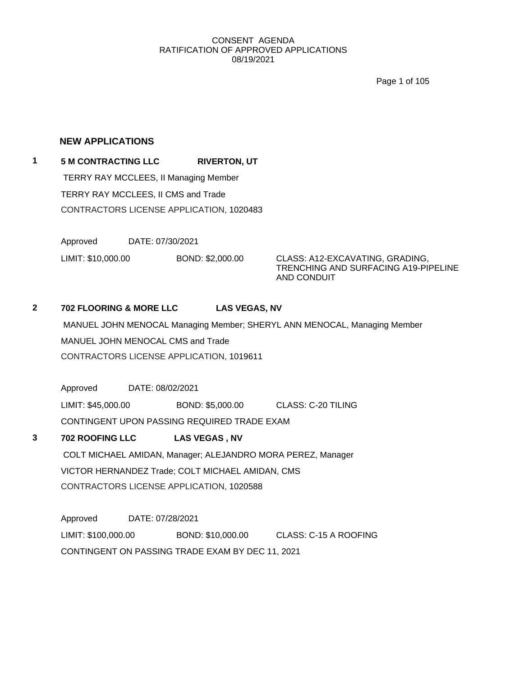Page 1 of 105

#### **NEW APPLICATIONS**

**1 5 M CONTRACTING LLC RIVERTON, UT** TERRY RAY MCCLEES, II Managing Member TERRY RAY MCCLEES, II CMS and Trade CONTRACTORS LICENSE APPLICATION, 1020483

> Approved DATE: 07/30/2021 LIMIT: \$10,000.00 BOND: \$2,000.00 CLASS: A12-EXCAVATING, GRADING,

TRENCHING AND SURFACING A19-PIPELINE AND CONDUIT

# **2 702 FLOORING & MORE LLC LAS VEGAS, NV**

MANUEL JOHN MENOCAL Managing Member; SHERYL ANN MENOCAL, Managing Member MANUEL JOHN MENOCAL CMS and Trade CONTRACTORS LICENSE APPLICATION, 1019611

Approved DATE: 08/02/2021

LIMIT: \$45,000.00 BOND: \$5,000.00 CLASS: C-20 TILING CONTINGENT UPON PASSING REQUIRED TRADE EXAM

# **3 702 ROOFING LLC LAS VEGAS , NV**

COLT MICHAEL AMIDAN, Manager; ALEJANDRO MORA PEREZ, Manager VICTOR HERNANDEZ Trade; COLT MICHAEL AMIDAN, CMS CONTRACTORS LICENSE APPLICATION, 1020588

Approved DATE: 07/28/2021 LIMIT: \$100,000.00 BOND: \$10,000.00 CLASS: C-15 A ROOFING CONTINGENT ON PASSING TRADE EXAM BY DEC 11, 2021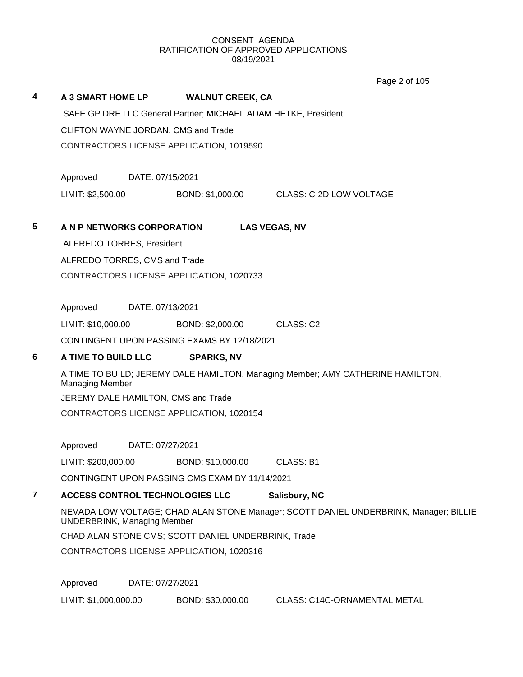Page 2 of 105

|   |                                          |                                                                                                                             |                                                                | $1$ aye $2$ VI $100$                                                            |  |  |  |
|---|------------------------------------------|-----------------------------------------------------------------------------------------------------------------------------|----------------------------------------------------------------|---------------------------------------------------------------------------------|--|--|--|
| 4 | <b>A 3 SMART HOME LP</b>                 |                                                                                                                             | <b>WALNUT CREEK, CA</b>                                        |                                                                                 |  |  |  |
|   |                                          |                                                                                                                             | SAFE GP DRE LLC General Partner; MICHAEL ADAM HETKE, President |                                                                                 |  |  |  |
|   | CLIFTON WAYNE JORDAN, CMS and Trade      |                                                                                                                             |                                                                |                                                                                 |  |  |  |
|   | CONTRACTORS LICENSE APPLICATION, 1019590 |                                                                                                                             |                                                                |                                                                                 |  |  |  |
|   |                                          |                                                                                                                             |                                                                |                                                                                 |  |  |  |
|   | Approved                                 | DATE: 07/15/2021                                                                                                            |                                                                |                                                                                 |  |  |  |
|   | LIMIT: \$2,500.00                        |                                                                                                                             | BOND: \$1,000.00                                               | CLASS: C-2D LOW VOLTAGE                                                         |  |  |  |
|   |                                          |                                                                                                                             |                                                                |                                                                                 |  |  |  |
| 5 | A N P NETWORKS CORPORATION               |                                                                                                                             |                                                                | <b>LAS VEGAS, NV</b>                                                            |  |  |  |
|   | ALFREDO TORRES, President                |                                                                                                                             |                                                                |                                                                                 |  |  |  |
|   | ALFREDO TORRES, CMS and Trade            |                                                                                                                             |                                                                |                                                                                 |  |  |  |
|   |                                          |                                                                                                                             | CONTRACTORS LICENSE APPLICATION, 1020733                       |                                                                                 |  |  |  |
|   |                                          |                                                                                                                             |                                                                |                                                                                 |  |  |  |
|   | Approved                                 | DATE: 07/13/2021                                                                                                            |                                                                |                                                                                 |  |  |  |
|   | LIMIT: \$10,000.00                       |                                                                                                                             | BOND: \$2,000.00                                               | CLASS: C2                                                                       |  |  |  |
|   |                                          |                                                                                                                             | CONTINGENT UPON PASSING EXAMS BY 12/18/2021                    |                                                                                 |  |  |  |
| 6 | A TIME TO BUILD LLC                      |                                                                                                                             | <b>SPARKS, NV</b>                                              |                                                                                 |  |  |  |
|   | Managing Member                          |                                                                                                                             |                                                                | A TIME TO BUILD; JEREMY DALE HAMILTON, Managing Member; AMY CATHERINE HAMILTON, |  |  |  |
|   | JEREMY DALE HAMILTON, CMS and Trade      |                                                                                                                             |                                                                |                                                                                 |  |  |  |
|   |                                          |                                                                                                                             | CONTRACTORS LICENSE APPLICATION, 1020154                       |                                                                                 |  |  |  |
|   |                                          |                                                                                                                             |                                                                |                                                                                 |  |  |  |
|   | Approved                                 | DATE: 07/27/2021                                                                                                            |                                                                |                                                                                 |  |  |  |
|   | LIMIT: \$200,000.00                      |                                                                                                                             | BOND: \$10,000.00                                              | <b>CLASS: B1</b>                                                                |  |  |  |
|   |                                          |                                                                                                                             | CONTINGENT UPON PASSING CMS EXAM BY 11/14/2021                 |                                                                                 |  |  |  |
| 7 | ACCESS CONTROL TECHNOLOGIES LLC          |                                                                                                                             |                                                                | Salisbury, NC                                                                   |  |  |  |
|   |                                          | NEVADA LOW VOLTAGE; CHAD ALAN STONE Manager; SCOTT DANIEL UNDERBRINK, Manager; BILLIE<br><b>UNDERBRINK, Managing Member</b> |                                                                |                                                                                 |  |  |  |
|   |                                          |                                                                                                                             | CHAD ALAN STONE CMS; SCOTT DANIEL UNDERBRINK, Trade            |                                                                                 |  |  |  |
|   |                                          |                                                                                                                             | CONTRACTORS LICENSE APPLICATION, 1020316                       |                                                                                 |  |  |  |
|   |                                          |                                                                                                                             |                                                                |                                                                                 |  |  |  |
|   | Approved                                 | DATE: 07/27/2021                                                                                                            |                                                                |                                                                                 |  |  |  |
|   | LIMIT: \$1,000,000.00                    |                                                                                                                             | BOND: \$30,000.00                                              | <b>CLASS: C14C-ORNAMENTAL METAL</b>                                             |  |  |  |
|   |                                          |                                                                                                                             |                                                                |                                                                                 |  |  |  |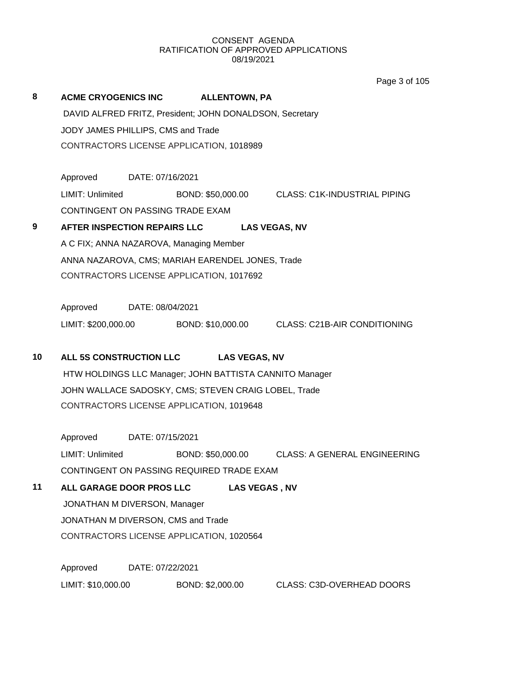Page 3 of 105

| 8  | ACME CRYOGENICS INC ALLENTOWN, PA                        |                                          |                  |                      |                                                                    |  |  |  |
|----|----------------------------------------------------------|------------------------------------------|------------------|----------------------|--------------------------------------------------------------------|--|--|--|
|    | DAVID ALFRED FRITZ, President; JOHN DONALDSON, Secretary |                                          |                  |                      |                                                                    |  |  |  |
|    |                                                          | JODY JAMES PHILLIPS, CMS and Trade       |                  |                      |                                                                    |  |  |  |
|    |                                                          | CONTRACTORS LICENSE APPLICATION, 1018989 |                  |                      |                                                                    |  |  |  |
|    |                                                          |                                          |                  |                      |                                                                    |  |  |  |
|    | Approved                                                 | DATE: 07/16/2021                         |                  |                      |                                                                    |  |  |  |
|    | LIMIT: Unlimited                                         |                                          |                  |                      | BOND: \$50,000.00 CLASS: C1K-INDUSTRIAL PIPING                     |  |  |  |
|    | CONTINGENT ON PASSING TRADE EXAM                         |                                          |                  |                      |                                                                    |  |  |  |
| 9  | AFTER INSPECTION REPAIRS LLC LAS VEGAS, NV               |                                          |                  |                      |                                                                    |  |  |  |
|    | A C FIX; ANNA NAZAROVA, Managing Member                  |                                          |                  |                      |                                                                    |  |  |  |
|    | ANNA NAZAROVA, CMS; MARIAH EARENDEL JONES, Trade         |                                          |                  |                      |                                                                    |  |  |  |
|    | CONTRACTORS LICENSE APPLICATION, 1017692                 |                                          |                  |                      |                                                                    |  |  |  |
|    |                                                          |                                          |                  |                      |                                                                    |  |  |  |
|    | Approved DATE: 08/04/2021                                |                                          |                  |                      |                                                                    |  |  |  |
|    |                                                          |                                          |                  |                      | LIMIT: \$200,000.00 BOND: \$10,000.00 CLASS: C21B-AIR CONDITIONING |  |  |  |
| 10 | ALL 5S CONSTRUCTION LLC                                  |                                          |                  | <b>LAS VEGAS, NV</b> |                                                                    |  |  |  |
|    |                                                          |                                          |                  |                      | HTW HOLDINGS LLC Manager; JOHN BATTISTA CANNITO Manager            |  |  |  |
|    | JOHN WALLACE SADOSKY, CMS; STEVEN CRAIG LOBEL, Trade     |                                          |                  |                      |                                                                    |  |  |  |
|    | CONTRACTORS LICENSE APPLICATION, 1019648                 |                                          |                  |                      |                                                                    |  |  |  |
|    |                                                          |                                          |                  |                      |                                                                    |  |  |  |
|    | Approved                                                 | DATE: 07/15/2021                         |                  |                      |                                                                    |  |  |  |
|    | LIMIT: Unlimited                                         |                                          |                  |                      | BOND: \$50,000.00 CLASS: A GENERAL ENGINEERING                     |  |  |  |
|    | CONTINGENT ON PASSING REQUIRED TRADE EXAM                |                                          |                  |                      |                                                                    |  |  |  |
| 11 | ALL GARAGE DOOR PROS LLC                                 |                                          |                  | <b>LAS VEGAS, NV</b> |                                                                    |  |  |  |
|    | JONATHAN M DIVERSON, Manager                             |                                          |                  |                      |                                                                    |  |  |  |
|    | JONATHAN M DIVERSON, CMS and Trade                       |                                          |                  |                      |                                                                    |  |  |  |
|    | CONTRACTORS LICENSE APPLICATION, 1020564                 |                                          |                  |                      |                                                                    |  |  |  |
|    |                                                          |                                          |                  |                      |                                                                    |  |  |  |
|    | Approved                                                 | DATE: 07/22/2021                         |                  |                      |                                                                    |  |  |  |
|    | LIMIT: \$10,000.00                                       |                                          | BOND: \$2,000.00 |                      | CLASS: C3D-OVERHEAD DOORS                                          |  |  |  |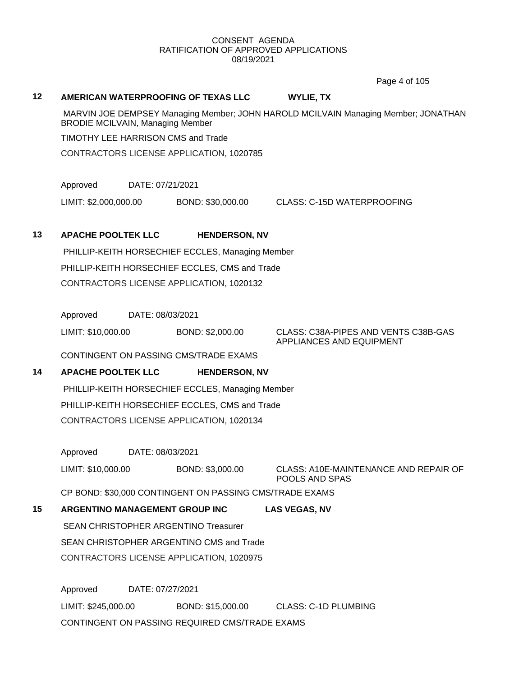Page 4 of 105

#### **12 AMERICAN WATERPROOFING OF TEXAS LLC WYLIE, TX**

MARVIN JOE DEMPSEY Managing Member; JOHN HAROLD MCILVAIN Managing Member; JONATHAN BRODIE MCILVAIN, Managing Member

TIMOTHY LEE HARRISON CMS and Trade

CONTRACTORS LICENSE APPLICATION, 1020785

Approved DATE: 07/21/2021

LIMIT: \$2,000,000.00 BOND: \$30,000.00 CLASS: C-15D WATERPROOFING

#### **13 APACHE POOLTEK LLC HENDERSON, NV**

PHILLIP-KEITH HORSECHIEF ECCLES, Managing Member PHILLIP-KEITH HORSECHIEF ECCLES, CMS and Trade CONTRACTORS LICENSE APPLICATION, 1020132

Approved DATE: 08/03/2021

LIMIT: \$10,000.00 BOND: \$2,000.00 CLASS: C38A-PIPES AND VENTS C38B-GAS

APPLIANCES AND EQUIPMENT

CONTINGENT ON PASSING CMS/TRADE EXAMS

# **14 APACHE POOLTEK LLC HENDERSON, NV**

PHILLIP-KEITH HORSECHIEF ECCLES, Managing Member PHILLIP-KEITH HORSECHIEF ECCLES, CMS and Trade CONTRACTORS LICENSE APPLICATION, 1020134

Approved DATE: 08/03/2021 LIMIT: \$10,000.00 BOND: \$3,000.00 CLASS: A10E-MAINTENANCE AND REPAIR OF POOLS AND SPAS

CP BOND: \$30,000 CONTINGENT ON PASSING CMS/TRADE EXAMS

**15 ARGENTINO MANAGEMENT GROUP INC LAS VEGAS, NV** SEAN CHRISTOPHER ARGENTINO Treasurer SEAN CHRISTOPHER ARGENTINO CMS and Trade

CONTRACTORS LICENSE APPLICATION, 1020975

Approved DATE: 07/27/2021 LIMIT: \$245,000.00 BOND: \$15,000.00 CLASS: C-1D PLUMBING CONTINGENT ON PASSING REQUIRED CMS/TRADE EXAMS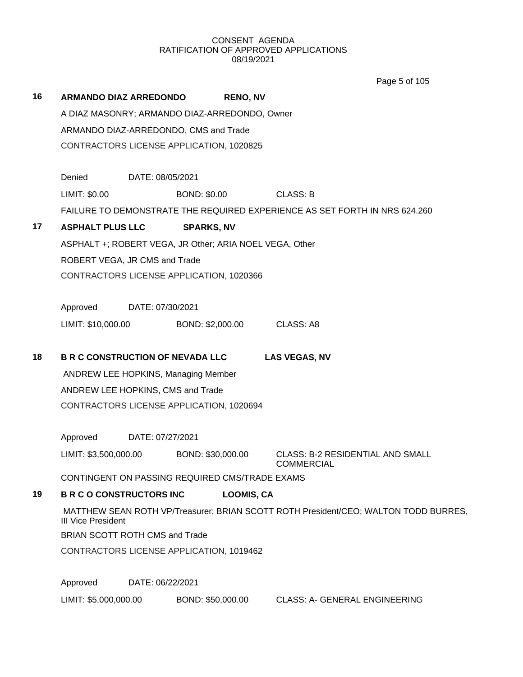**16 ARMANDO DIAZ ARREDONDO RENO, NV** A DIAZ MASONRY; ARMANDO DIAZ-ARREDONDO, Owner ARMANDO DIAZ-ARREDONDO, CMS and Trade CONTRACTORS LICENSE APPLICATION, 1020825 Denied DATE: 08/05/2021 LIMIT: \$0.00 BOND: \$0.00 CLASS: B FAILURE TO DEMONSTRATE THE REQUIRED EXPERIENCE AS SET FORTH IN NRS 624.260 **17 ASPHALT PLUS LLC SPARKS, NV** ASPHALT +; ROBERT VEGA, JR Other; ARIA NOEL VEGA, Other ROBERT VEGA, JR CMS and Trade CONTRACTORS LICENSE APPLICATION, 1020366 Approved DATE: 07/30/2021 LIMIT: \$10,000.00 BOND: \$2,000.00 CLASS: A8 **18 B R C CONSTRUCTION OF NEVADA LLC LAS VEGAS, NV** ANDREW LEE HOPKINS, Managing Member ANDREW LEE HOPKINS, CMS and Trade CONTRACTORS LICENSE APPLICATION, 1020694 Approved DATE: 07/27/2021 LIMIT: \$3,500,000.00 BOND: \$30,000.00 CLASS: B-2 RESIDENTIAL AND SMALL COMMERCIAL CONTINGENT ON PASSING REQUIRED CMS/TRADE EXAMS **19 B R C O CONSTRUCTORS INC LOOMIS, CA** MATTHEW SEAN ROTH VP/Treasurer; BRIAN SCOTT ROTH President/CEO; WALTON TODD BURRES, III Vice President BRIAN SCOTT ROTH CMS and Trade CONTRACTORS LICENSE APPLICATION, 1019462 Approved DATE: 06/22/2021 Page 5 of 105

LIMIT: \$5,000,000.00 BOND: \$50,000.00 CLASS: A- GENERAL ENGINEERING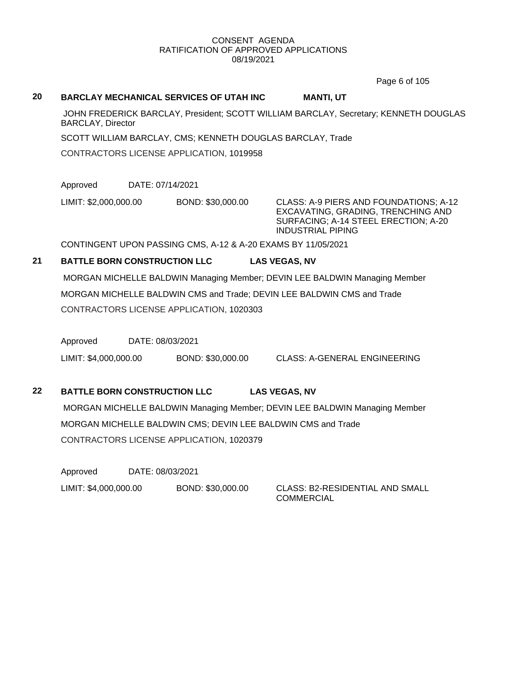Page 6 of 105

#### **20 BARCLAY MECHANICAL SERVICES OF UTAH INC MANTI, UT**

JOHN FREDERICK BARCLAY, President; SCOTT WILLIAM BARCLAY, Secretary; KENNETH DOUGLAS BARCLAY, Director

SCOTT WILLIAM BARCLAY, CMS; KENNETH DOUGLAS BARCLAY, Trade

CONTRACTORS LICENSE APPLICATION, 1019958

Approved DATE: 07/14/2021

LIMIT: \$2,000,000.00 BOND: \$30,000.00 CLASS: A-9 PIERS AND FOUNDATIONS; A-12

EXCAVATING, GRADING, TRENCHING AND SURFACING; A-14 STEEL ERECTION; A-20 INDUSTRIAL PIPING

CONTINGENT UPON PASSING CMS, A-12 & A-20 EXAMS BY 11/05/2021

### **21 BATTLE BORN CONSTRUCTION LLC LAS VEGAS, NV**

MORGAN MICHELLE BALDWIN Managing Member; DEVIN LEE BALDWIN Managing Member MORGAN MICHELLE BALDWIN CMS and Trade; DEVIN LEE BALDWIN CMS and Trade CONTRACTORS LICENSE APPLICATION, 1020303

Approved DATE: 08/03/2021

LIMIT: \$4,000,000.00 BOND: \$30,000.00 CLASS: A-GENERAL ENGINEERING

#### **22 BATTLE BORN CONSTRUCTION LLC LAS VEGAS, NV**

MORGAN MICHELLE BALDWIN Managing Member; DEVIN LEE BALDWIN Managing Member MORGAN MICHELLE BALDWIN CMS; DEVIN LEE BALDWIN CMS and Trade CONTRACTORS LICENSE APPLICATION, 1020379

Approved DATE: 08/03/2021 LIMIT: \$4,000,000.00 BOND: \$30,000.00 CLASS: B2-RESIDENTIAL AND SMALL

**COMMERCIAL**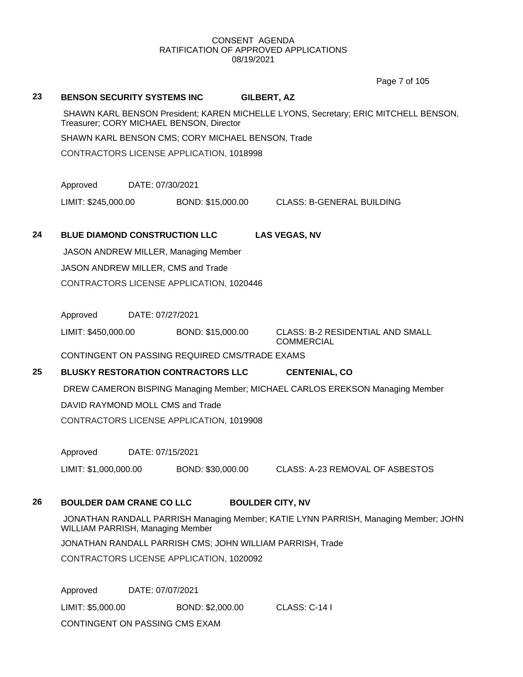Page 7 of 105

#### **23 BENSON SECURITY SYSTEMS INC GILBERT, AZ**

SHAWN KARL BENSON President; KAREN MICHELLE LYONS, Secretary; ERIC MITCHELL BENSON, Treasurer; CORY MICHAEL BENSON, Director

SHAWN KARL BENSON CMS; CORY MICHAEL BENSON, Trade

CONTRACTORS LICENSE APPLICATION, 1018998

Approved DATE: 07/30/2021

LIMIT: \$245,000.00 BOND: \$15,000.00 CLASS: B-GENERAL BUILDING

# **24 BLUE DIAMOND CONSTRUCTION LLC LAS VEGAS, NV**

JASON ANDREW MILLER, Managing Member JASON ANDREW MILLER, CMS and Trade CONTRACTORS LICENSE APPLICATION, 1020446

Approved DATE: 07/27/2021

LIMIT: \$450,000.00 BOND: \$15,000.00 CLASS: B-2 RESIDENTIAL AND SMALL

COMMERCIAL

CONTINGENT ON PASSING REQUIRED CMS/TRADE EXAMS

# **25 BLUSKY RESTORATION CONTRACTORS LLC CENTENIAL, CO**

DREW CAMERON BISPING Managing Member; MICHAEL CARLOS EREKSON Managing Member DAVID RAYMOND MOLL CMS and Trade

CONTRACTORS LICENSE APPLICATION, 1019908

Approved DATE: 07/15/2021

LIMIT: \$1,000,000.00 BOND: \$30,000.00 CLASS: A-23 REMOVAL OF ASBESTOS

### **26 BOULDER DAM CRANE CO LLC BOULDER CITY, NV**

JONATHAN RANDALL PARRISH Managing Member; KATIE LYNN PARRISH, Managing Member; JOHN WILLIAM PARRISH, Managing Member

JONATHAN RANDALL PARRISH CMS; JOHN WILLIAM PARRISH, Trade

CONTRACTORS LICENSE APPLICATION, 1020092

Approved DATE: 07/07/2021 LIMIT: \$5,000.00 BOND: \$2,000.00 CLASS: C-14 I CONTINGENT ON PASSING CMS EXAM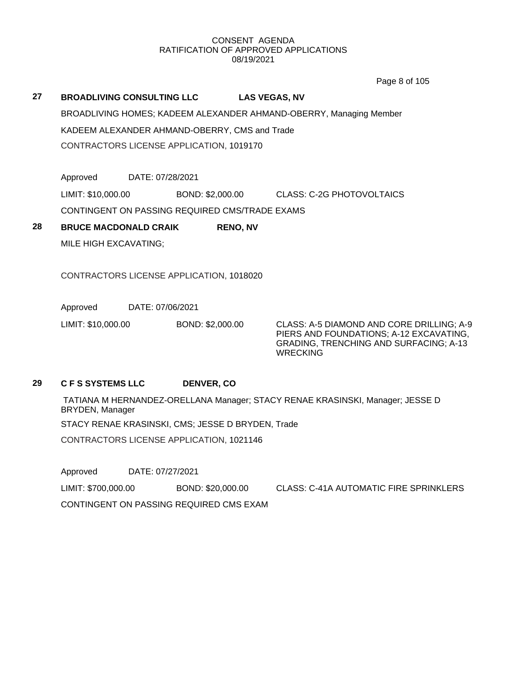Page 8 of 105

**27 BROADLIVING CONSULTING LLC LAS VEGAS, NV** BROADLIVING HOMES; KADEEM ALEXANDER AHMAND-OBERRY, Managing Member KADEEM ALEXANDER AHMAND-OBERRY, CMS and Trade CONTRACTORS LICENSE APPLICATION, 1019170

Approved DATE: 07/28/2021

LIMIT: \$10,000.00 BOND: \$2,000.00 CLASS: C-2G PHOTOVOLTAICS

CONTINGENT ON PASSING REQUIRED CMS/TRADE EXAMS

**28 BRUCE MACDONALD CRAIK RENO, NV** MILE HIGH EXCAVATING;

CONTRACTORS LICENSE APPLICATION, 1018020

Approved DATE: 07/06/2021

LIMIT: \$10,000.00 BOND: \$2,000.00 CLASS: A-5 DIAMOND AND CORE DRILLING; A-9 PIERS AND FOUNDATIONS; A-12 EXCAVATING, GRADING, TRENCHING AND SURFACING; A-13 **WRECKING** 

#### **29 C F S SYSTEMS LLC DENVER, CO**

TATIANA M HERNANDEZ-ORELLANA Manager; STACY RENAE KRASINSKI, Manager; JESSE D BRYDEN, Manager STACY RENAE KRASINSKI, CMS; JESSE D BRYDEN, Trade CONTRACTORS LICENSE APPLICATION, 1021146

Approved DATE: 07/27/2021 LIMIT: \$700,000.00 BOND: \$20,000.00 CLASS: C-41A AUTOMATIC FIRE SPRINKLERS CONTINGENT ON PASSING REQUIRED CMS EXAM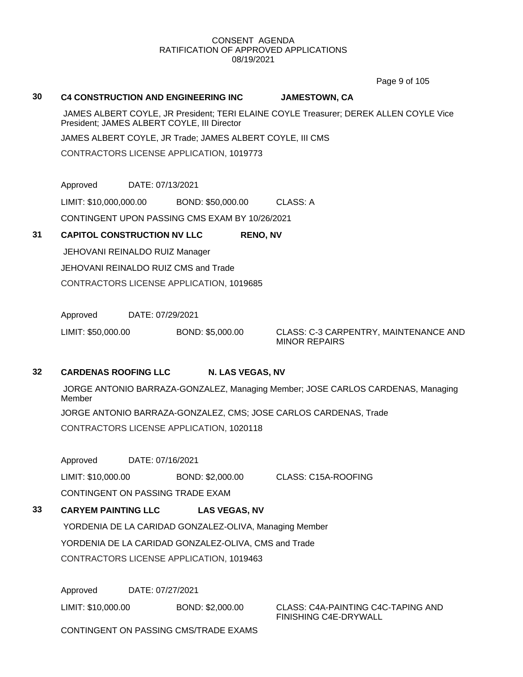Page 9 of 105

#### **30 C4 CONSTRUCTION AND ENGINEERING INC JAMESTOWN, CA**

JAMES ALBERT COYLE, JR President; TERI ELAINE COYLE Treasurer; DEREK ALLEN COYLE Vice President; JAMES ALBERT COYLE, III Director

JAMES ALBERT COYLE, JR Trade; JAMES ALBERT COYLE, III CMS

CONTRACTORS LICENSE APPLICATION, 1019773

Approved DATE: 07/13/2021

LIMIT: \$10,000,000.00 BOND: \$50,000.00 CLASS: A

CONTINGENT UPON PASSING CMS EXAM BY 10/26/2021

#### **31 CAPITOL CONSTRUCTION NV LLC RENO, NV**

JEHOVANI REINALDO RUIZ Manager JEHOVANI REINALDO RUIZ CMS and Trade CONTRACTORS LICENSE APPLICATION, 1019685

Approved DATE: 07/29/2021

LIMIT: \$50,000.00 BOND: \$5,000.00 CLASS: C-3 CARPENTRY, MAINTENANCE AND MINOR REPAIRS

# **32 CARDENAS ROOFING LLC N. LAS VEGAS, NV**

JORGE ANTONIO BARRAZA-GONZALEZ, Managing Member; JOSE CARLOS CARDENAS, Managing Member JORGE ANTONIO BARRAZA-GONZALEZ, CMS; JOSE CARLOS CARDENAS, Trade

CONTRACTORS LICENSE APPLICATION, 1020118

Approved DATE: 07/16/2021

LIMIT: \$10,000.00 BOND: \$2,000.00 CLASS: C15A-ROOFING CONTINGENT ON PASSING TRADE EXAM

# **33 CARYEM PAINTING LLC LAS VEGAS, NV**

YORDENIA DE LA CARIDAD GONZALEZ-OLIVA, Managing Member YORDENIA DE LA CARIDAD GONZALEZ-OLIVA, CMS and Trade CONTRACTORS LICENSE APPLICATION, 1019463

Approved DATE: 07/27/2021

LIMIT: \$10,000.00 BOND: \$2,000.00 CLASS: C4A-PAINTING C4C-TAPING AND

FINISHING C4E-DRYWALL

CONTINGENT ON PASSING CMS/TRADE EXAMS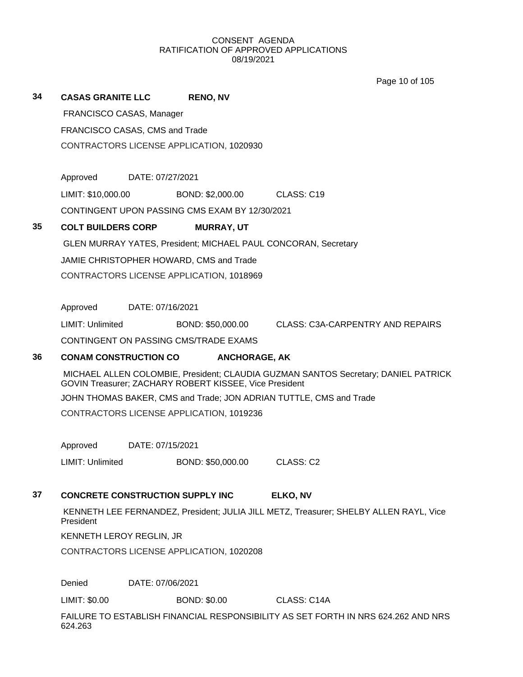Page 10 of 105

| 34 | <b>CASAS GRANITE LLC</b>                                                                           |                  | <b>RENO, NV</b>                                                       |                                                                                    |  |  |
|----|----------------------------------------------------------------------------------------------------|------------------|-----------------------------------------------------------------------|------------------------------------------------------------------------------------|--|--|
|    | FRANCISCO CASAS, Manager                                                                           |                  |                                                                       |                                                                                    |  |  |
|    | FRANCISCO CASAS, CMS and Trade                                                                     |                  |                                                                       |                                                                                    |  |  |
|    |                                                                                                    |                  | CONTRACTORS LICENSE APPLICATION, 1020930                              |                                                                                    |  |  |
|    |                                                                                                    |                  |                                                                       |                                                                                    |  |  |
|    | Approved                                                                                           | DATE: 07/27/2021 |                                                                       |                                                                                    |  |  |
|    | LIMIT: \$10,000.00                                                                                 |                  | BOND: \$2,000.00                                                      | CLASS: C19                                                                         |  |  |
|    |                                                                                                    |                  | CONTINGENT UPON PASSING CMS EXAM BY 12/30/2021                        |                                                                                    |  |  |
| 35 | <b>COLT BUILDERS CORP</b>                                                                          |                  | <b>MURRAY, UT</b>                                                     |                                                                                    |  |  |
|    |                                                                                                    |                  | <b>GLEN MURRAY YATES, President; MICHAEL PAUL CONCORAN, Secretary</b> |                                                                                    |  |  |
|    |                                                                                                    |                  | JAMIE CHRISTOPHER HOWARD, CMS and Trade                               |                                                                                    |  |  |
|    |                                                                                                    |                  | CONTRACTORS LICENSE APPLICATION, 1018969                              |                                                                                    |  |  |
|    |                                                                                                    |                  |                                                                       |                                                                                    |  |  |
|    | Approved                                                                                           | DATE: 07/16/2021 |                                                                       |                                                                                    |  |  |
|    | LIMIT: Unlimited                                                                                   |                  | BOND: \$50,000.00                                                     | CLASS: C3A-CARPENTRY AND REPAIRS                                                   |  |  |
|    |                                                                                                    |                  | CONTINGENT ON PASSING CMS/TRADE EXAMS                                 |                                                                                    |  |  |
| 36 | <b>CONAM CONSTRUCTION CO</b>                                                                       |                  | <b>ANCHORAGE, AK</b>                                                  |                                                                                    |  |  |
|    |                                                                                                    |                  | GOVIN Treasurer; ZACHARY ROBERT KISSEE, Vice President                | MICHAEL ALLEN COLOMBIE, President; CLAUDIA GUZMAN SANTOS Secretary; DANIEL PATRICK |  |  |
|    |                                                                                                    |                  |                                                                       | JOHN THOMAS BAKER, CMS and Trade; JON ADRIAN TUTTLE, CMS and Trade                 |  |  |
|    |                                                                                                    |                  | CONTRACTORS LICENSE APPLICATION, 1019236                              |                                                                                    |  |  |
|    |                                                                                                    |                  |                                                                       |                                                                                    |  |  |
|    | Approved                                                                                           | DATE: 07/15/2021 |                                                                       |                                                                                    |  |  |
|    | LIMIT: Unlimited                                                                                   |                  | BOND: \$50,000.00                                                     | CLASS: C2                                                                          |  |  |
|    |                                                                                                    |                  |                                                                       |                                                                                    |  |  |
| 37 | <b>CONCRETE CONSTRUCTION SUPPLY INC.</b>                                                           |                  |                                                                       | ELKO, NV                                                                           |  |  |
|    | KENNETH LEE FERNANDEZ, President; JULIA JILL METZ, Treasurer; SHELBY ALLEN RAYL, Vice<br>President |                  |                                                                       |                                                                                    |  |  |
|    | KENNETH LEROY REGLIN, JR                                                                           |                  |                                                                       |                                                                                    |  |  |
|    |                                                                                                    |                  | CONTRACTORS LICENSE APPLICATION, 1020208                              |                                                                                    |  |  |
|    |                                                                                                    |                  |                                                                       |                                                                                    |  |  |
|    | Denied                                                                                             | DATE: 07/06/2021 |                                                                       |                                                                                    |  |  |
|    | LIMIT: \$0.00                                                                                      |                  | <b>BOND: \$0.00</b>                                                   | CLASS: C14A                                                                        |  |  |
|    | 624.263                                                                                            |                  |                                                                       | FAILURE TO ESTABLISH FINANCIAL RESPONSIBILITY AS SET FORTH IN NRS 624.262 AND NRS  |  |  |
|    |                                                                                                    |                  |                                                                       |                                                                                    |  |  |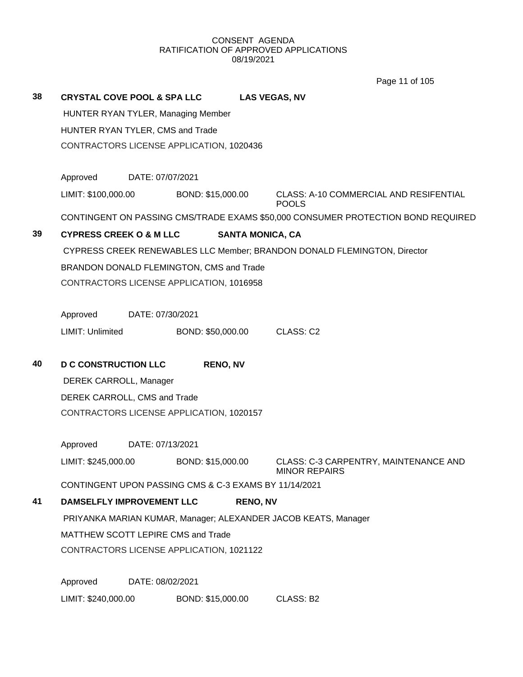Page 11 of 105

| 38 | <b>CRYSTAL COVE POOL &amp; SPA LLC</b>   |                  |                                                       | <b>LAS VEGAS, NV</b>    |                                                                                  |  |  |
|----|------------------------------------------|------------------|-------------------------------------------------------|-------------------------|----------------------------------------------------------------------------------|--|--|
|    |                                          |                  | HUNTER RYAN TYLER, Managing Member                    |                         |                                                                                  |  |  |
|    | HUNTER RYAN TYLER, CMS and Trade         |                  |                                                       |                         |                                                                                  |  |  |
|    | CONTRACTORS LICENSE APPLICATION, 1020436 |                  |                                                       |                         |                                                                                  |  |  |
|    | Approved                                 | DATE: 07/07/2021 |                                                       |                         |                                                                                  |  |  |
|    | LIMIT: \$100,000.00                      |                  | BOND: \$15,000.00                                     |                         | CLASS: A-10 COMMERCIAL AND RESIFENTIAL<br><b>POOLS</b>                           |  |  |
|    |                                          |                  |                                                       |                         | CONTINGENT ON PASSING CMS/TRADE EXAMS \$50,000 CONSUMER PROTECTION BOND REQUIRED |  |  |
| 39 | <b>CYPRESS CREEK O &amp; M LLC</b>       |                  |                                                       | <b>SANTA MONICA, CA</b> |                                                                                  |  |  |
|    |                                          |                  |                                                       |                         | CYPRESS CREEK RENEWABLES LLC Member; BRANDON DONALD FLEMINGTON, Director         |  |  |
|    |                                          |                  | BRANDON DONALD FLEMINGTON, CMS and Trade              |                         |                                                                                  |  |  |
|    |                                          |                  | CONTRACTORS LICENSE APPLICATION, 1016958              |                         |                                                                                  |  |  |
|    |                                          |                  |                                                       |                         |                                                                                  |  |  |
|    | Approved                                 | DATE: 07/30/2021 |                                                       |                         |                                                                                  |  |  |
|    | LIMIT: Unlimited                         |                  | BOND: \$50,000.00                                     |                         | CLASS: C2                                                                        |  |  |
| 40 | <b>D C CONSTRUCTION LLC</b>              |                  | <b>RENO, NV</b>                                       |                         |                                                                                  |  |  |
|    | DEREK CARROLL, Manager                   |                  |                                                       |                         |                                                                                  |  |  |
|    | DEREK CARROLL, CMS and Trade             |                  |                                                       |                         |                                                                                  |  |  |
|    |                                          |                  | CONTRACTORS LICENSE APPLICATION, 1020157              |                         |                                                                                  |  |  |
|    | Approved                                 | DATE: 07/13/2021 |                                                       |                         |                                                                                  |  |  |
|    | LIMIT: \$245,000.00                      |                  | BOND: \$15,000.00                                     |                         | CLASS: C-3 CARPENTRY, MAINTENANCE AND<br><b>MINOR REPAIRS</b>                    |  |  |
|    |                                          |                  | CONTINGENT UPON PASSING CMS & C-3 EXAMS BY 11/14/2021 |                         |                                                                                  |  |  |
| 41 | <b>DAMSELFLY IMPROVEMENT LLC</b>         |                  |                                                       | <b>RENO, NV</b>         |                                                                                  |  |  |
|    |                                          |                  |                                                       |                         | PRIYANKA MARIAN KUMAR, Manager; ALEXANDER JACOB KEATS, Manager                   |  |  |
|    | MATTHEW SCOTT LEPIRE CMS and Trade       |                  |                                                       |                         |                                                                                  |  |  |
|    |                                          |                  | CONTRACTORS LICENSE APPLICATION, 1021122              |                         |                                                                                  |  |  |
|    | Approved                                 | DATE: 08/02/2021 |                                                       |                         |                                                                                  |  |  |
|    | LIMIT: \$240,000.00                      |                  | BOND: \$15,000.00                                     |                         | CLASS: B2                                                                        |  |  |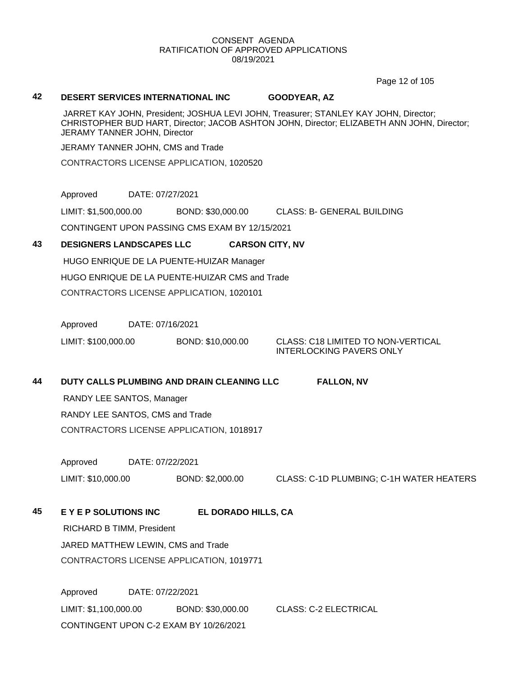Page 12 of 105

#### **42 DESERT SERVICES INTERNATIONAL INC GOODYEAR, AZ**

JARRET KAY JOHN, President; JOSHUA LEVI JOHN, Treasurer; STANLEY KAY JOHN, Director; CHRISTOPHER BUD HART, Director; JACOB ASHTON JOHN, Director; ELIZABETH ANN JOHN, Director; JERAMY TANNER JOHN, Director

JERAMY TANNER JOHN, CMS and Trade

CONTRACTORS LICENSE APPLICATION, 1020520

Approved DATE: 07/27/2021

LIMIT: \$1,500,000.00 BOND: \$30,000.00 CLASS: B- GENERAL BUILDING CONTINGENT UPON PASSING CMS EXAM BY 12/15/2021

#### **43 DESIGNERS LANDSCAPES LLC CARSON CITY, NV**

HUGO ENRIQUE DE LA PUENTE-HUIZAR Manager HUGO ENRIQUE DE LA PUENTE-HUIZAR CMS and Trade CONTRACTORS LICENSE APPLICATION, 1020101

Approved DATE: 07/16/2021

LIMIT: \$100,000.00 BOND: \$10,000.00 CLASS: C18 LIMITED TO NON-VERTICAL

INTERLOCKING PAVERS ONLY

#### **44 DUTY CALLS PLUMBING AND DRAIN CLEANING LLC FALLON, NV**

RANDY LEE SANTOS, Manager RANDY LEE SANTOS, CMS and Trade CONTRACTORS LICENSE APPLICATION, 1018917

Approved DATE: 07/22/2021

LIMIT: \$10,000.00 BOND: \$2,000.00 CLASS: C-1D PLUMBING; C-1H WATER HEATERS

**45 E Y E P SOLUTIONS INC EL DORADO HILLS, CA**

RICHARD B TIMM, President JARED MATTHEW LEWIN, CMS and Trade CONTRACTORS LICENSE APPLICATION, 1019771

Approved DATE: 07/22/2021 LIMIT: \$1,100,000.00 BOND: \$30,000.00 CLASS: C-2 ELECTRICAL CONTINGENT UPON C-2 EXAM BY 10/26/2021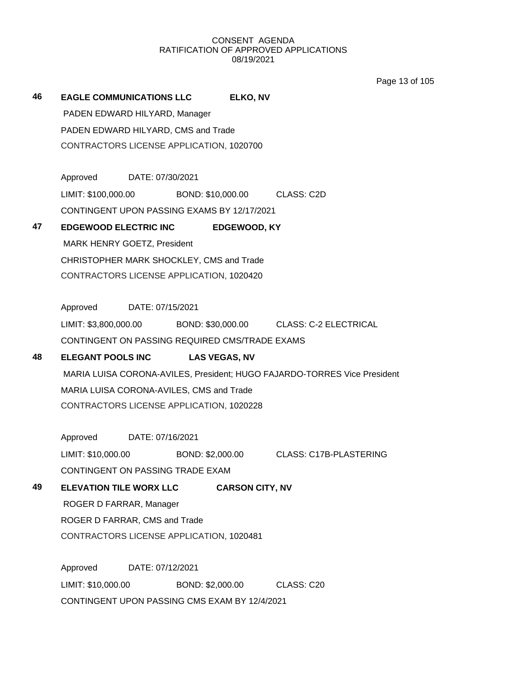Page 13 of 105

# **46 EAGLE COMMUNICATIONS LLC ELKO, NV** PADEN EDWARD HILYARD, Manager PADEN EDWARD HILYARD, CMS and Trade CONTRACTORS LICENSE APPLICATION, 1020700 Approved DATE: 07/30/2021 LIMIT: \$100,000.00 BOND: \$10,000.00 CLASS: C2D CONTINGENT UPON PASSING EXAMS BY 12/17/2021 **47 EDGEWOOD ELECTRIC INC EDGEWOOD, KY** MARK HENRY GOETZ, President CHRISTOPHER MARK SHOCKLEY, CMS and Trade CONTRACTORS LICENSE APPLICATION, 1020420 Approved DATE: 07/15/2021 LIMIT: \$3,800,000.00 BOND: \$30,000.00 CLASS: C-2 ELECTRICAL CONTINGENT ON PASSING REQUIRED CMS/TRADE EXAMS **48 ELEGANT POOLS INC LAS VEGAS, NV**

MARIA LUISA CORONA-AVILES, President; HUGO FAJARDO-TORRES Vice President MARIA LUISA CORONA-AVILES, CMS and Trade CONTRACTORS LICENSE APPLICATION, 1020228

Approved DATE: 07/16/2021 LIMIT: \$10,000.00 BOND: \$2,000.00 CLASS: C17B-PLASTERING CONTINGENT ON PASSING TRADE EXAM

# **49 ELEVATION TILE WORX LLC CARSON CITY, NV**

ROGER D FARRAR, Manager ROGER D FARRAR, CMS and Trade CONTRACTORS LICENSE APPLICATION, 1020481

Approved DATE: 07/12/2021 LIMIT: \$10,000.00 BOND: \$2,000.00 CLASS: C20 CONTINGENT UPON PASSING CMS EXAM BY 12/4/2021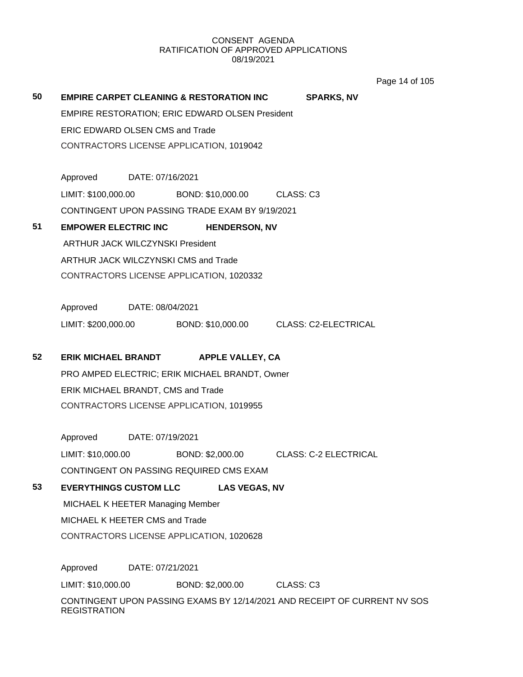age 14 of 105

|    |                                         |                                          |                                                                           |           |                              | Page 14 of 10 |  |  |
|----|-----------------------------------------|------------------------------------------|---------------------------------------------------------------------------|-----------|------------------------------|---------------|--|--|
| 50 |                                         |                                          | <b>EMPIRE CARPET CLEANING &amp; RESTORATION INC</b>                       |           | <b>SPARKS, NV</b>            |               |  |  |
|    |                                         |                                          | <b>EMPIRE RESTORATION; ERIC EDWARD OLSEN President</b>                    |           |                              |               |  |  |
|    | <b>ERIC EDWARD OLSEN CMS and Trade</b>  |                                          |                                                                           |           |                              |               |  |  |
|    |                                         |                                          | CONTRACTORS LICENSE APPLICATION, 1019042                                  |           |                              |               |  |  |
|    |                                         |                                          |                                                                           |           |                              |               |  |  |
|    | Approved                                | DATE: 07/16/2021                         |                                                                           |           |                              |               |  |  |
|    | LIMIT: \$100,000.00                     |                                          | BOND: \$10,000.00 CLASS: C3                                               |           |                              |               |  |  |
|    |                                         |                                          | CONTINGENT UPON PASSING TRADE EXAM BY 9/19/2021                           |           |                              |               |  |  |
| 51 | <b>EMPOWER ELECTRIC INC</b>             |                                          | <b>HENDERSON, NV</b>                                                      |           |                              |               |  |  |
|    | <b>ARTHUR JACK WILCZYNSKI President</b> |                                          |                                                                           |           |                              |               |  |  |
|    |                                         |                                          | ARTHUR JACK WILCZYNSKI CMS and Trade                                      |           |                              |               |  |  |
|    |                                         |                                          | CONTRACTORS LICENSE APPLICATION, 1020332                                  |           |                              |               |  |  |
|    |                                         |                                          |                                                                           |           |                              |               |  |  |
|    | Approved                                | DATE: 08/04/2021                         |                                                                           |           |                              |               |  |  |
|    |                                         |                                          |                                                                           |           |                              |               |  |  |
| 52 | <b>ERIK MICHAEL BRANDT</b>              |                                          | <b>APPLE VALLEY, CA</b>                                                   |           |                              |               |  |  |
|    |                                         |                                          | PRO AMPED ELECTRIC; ERIK MICHAEL BRANDT, Owner                            |           |                              |               |  |  |
|    | ERIK MICHAEL BRANDT, CMS and Trade      |                                          |                                                                           |           |                              |               |  |  |
|    |                                         |                                          | CONTRACTORS LICENSE APPLICATION, 1019955                                  |           |                              |               |  |  |
|    |                                         |                                          |                                                                           |           |                              |               |  |  |
|    | Approved                                | DATE: 07/19/2021                         |                                                                           |           |                              |               |  |  |
|    | LIMIT: \$10,000.00                      |                                          | BOND: \$2,000.00                                                          |           | <b>CLASS: C-2 ELECTRICAL</b> |               |  |  |
|    |                                         |                                          | CONTINGENT ON PASSING REQUIRED CMS EXAM                                   |           |                              |               |  |  |
| 53 | <b>EVERYTHINGS CUSTOM LLC</b>           |                                          | <b>LAS VEGAS, NV</b>                                                      |           |                              |               |  |  |
|    | MICHAEL K HEETER Managing Member        |                                          |                                                                           |           |                              |               |  |  |
|    | MICHAEL K HEETER CMS and Trade          |                                          |                                                                           |           |                              |               |  |  |
|    |                                         | CONTRACTORS LICENSE APPLICATION, 1020628 |                                                                           |           |                              |               |  |  |
|    | Approved                                | DATE: 07/21/2021                         |                                                                           |           |                              |               |  |  |
|    | LIMIT: \$10,000.00                      |                                          | BOND: \$2,000.00                                                          | CLASS: C3 |                              |               |  |  |
|    | <b>REGISTRATION</b>                     |                                          | CONTINGENT UPON PASSING EXAMS BY 12/14/2021 AND RECEIPT OF CURRENT NV SOS |           |                              |               |  |  |
|    |                                         |                                          |                                                                           |           |                              |               |  |  |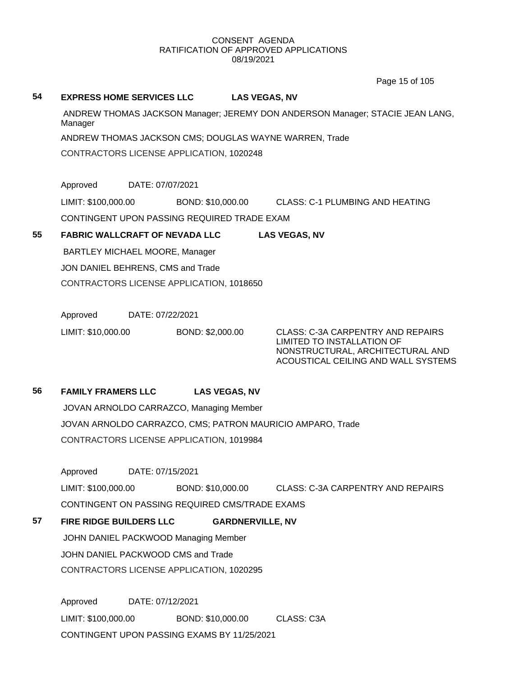Page 15 of 105

#### **54 EXPRESS HOME SERVICES LLC LAS VEGAS, NV**

ANDREW THOMAS JACKSON Manager; JEREMY DON ANDERSON Manager; STACIE JEAN LANG, Manager

ANDREW THOMAS JACKSON CMS; DOUGLAS WAYNE WARREN, Trade

CONTRACTORS LICENSE APPLICATION, 1020248

Approved DATE: 07/07/2021

LIMIT: \$100,000.00 BOND: \$10,000.00 CLASS: C-1 PLUMBING AND HEATING

CONTINGENT UPON PASSING REQUIRED TRADE EXAM

# **55 FABRIC WALLCRAFT OF NEVADA LLC LAS VEGAS, NV**

BARTLEY MICHAEL MOORE, Manager JON DANIEL BEHRENS, CMS and Trade CONTRACTORS LICENSE APPLICATION, 1018650

Approved DATE: 07/22/2021

LIMIT: \$10,000.00 BOND: \$2,000.00 CLASS: C-3A CARPENTRY AND REPAIRS

LIMITED TO INSTALLATION OF NONSTRUCTURAL, ARCHITECTURAL AND ACOUSTICAL CEILING AND WALL SYSTEMS

# **56 FAMILY FRAMERS LLC LAS VEGAS, NV**

JOVAN ARNOLDO CARRAZCO, Managing Member JOVAN ARNOLDO CARRAZCO, CMS; PATRON MAURICIO AMPARO, Trade CONTRACTORS LICENSE APPLICATION, 1019984

Approved DATE: 07/15/2021

LIMIT: \$100,000.00 BOND: \$10,000.00 CLASS: C-3A CARPENTRY AND REPAIRS CONTINGENT ON PASSING REQUIRED CMS/TRADE EXAMS

**57 FIRE RIDGE BUILDERS LLC GARDNERVILLE, NV**

JOHN DANIEL PACKWOOD Managing Member JOHN DANIEL PACKWOOD CMS and Trade CONTRACTORS LICENSE APPLICATION, 1020295

Approved DATE: 07/12/2021 LIMIT: \$100,000.00 BOND: \$10,000.00 CLASS: C3A CONTINGENT UPON PASSING EXAMS BY 11/25/2021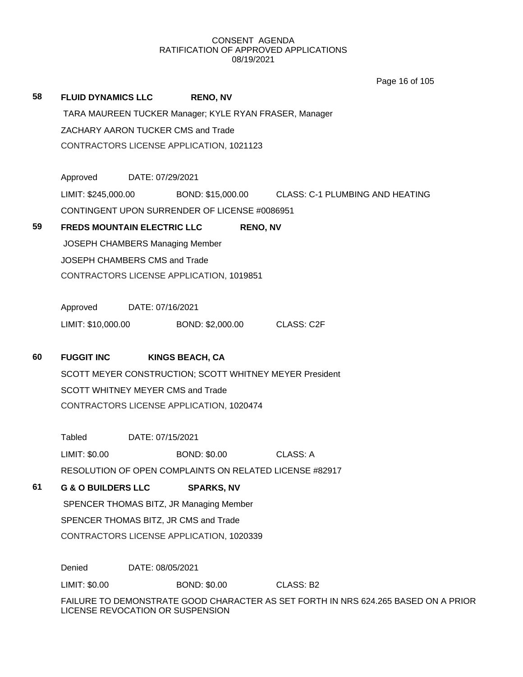|    |                                    |                  |                                                         | Page 16 of 105                                                                     |  |  |  |
|----|------------------------------------|------------------|---------------------------------------------------------|------------------------------------------------------------------------------------|--|--|--|
| 58 | <b>FLUID DYNAMICS LLC</b>          |                  | <b>RENO, NV</b>                                         |                                                                                    |  |  |  |
|    |                                    |                  | TARA MAUREEN TUCKER Manager; KYLE RYAN FRASER, Manager  |                                                                                    |  |  |  |
|    | ZACHARY AARON TUCKER CMS and Trade |                  |                                                         |                                                                                    |  |  |  |
|    |                                    |                  | CONTRACTORS LICENSE APPLICATION, 1021123                |                                                                                    |  |  |  |
|    |                                    |                  |                                                         |                                                                                    |  |  |  |
|    | Approved                           | DATE: 07/29/2021 |                                                         |                                                                                    |  |  |  |
|    | LIMIT: \$245,000.00                |                  |                                                         | BOND: \$15,000.00 CLASS: C-1 PLUMBING AND HEATING                                  |  |  |  |
|    |                                    |                  | CONTINGENT UPON SURRENDER OF LICENSE #0086951           |                                                                                    |  |  |  |
| 59 | <b>FREDS MOUNTAIN ELECTRIC LLC</b> |                  |                                                         | <b>RENO, NV</b>                                                                    |  |  |  |
|    | JOSEPH CHAMBERS Managing Member    |                  |                                                         |                                                                                    |  |  |  |
|    | JOSEPH CHAMBERS CMS and Trade      |                  |                                                         |                                                                                    |  |  |  |
|    |                                    |                  | CONTRACTORS LICENSE APPLICATION, 1019851                |                                                                                    |  |  |  |
|    |                                    |                  |                                                         |                                                                                    |  |  |  |
|    | Approved                           | DATE: 07/16/2021 |                                                         |                                                                                    |  |  |  |
|    | LIMIT: \$10,000.00                 |                  | BOND: \$2,000.00                                        | <b>CLASS: C2F</b>                                                                  |  |  |  |
|    |                                    |                  |                                                         |                                                                                    |  |  |  |
| 60 | <b>FUGGIT INC</b>                  |                  | <b>KINGS BEACH, CA</b>                                  |                                                                                    |  |  |  |
|    |                                    |                  | SCOTT MEYER CONSTRUCTION; SCOTT WHITNEY MEYER President |                                                                                    |  |  |  |
|    | SCOTT WHITNEY MEYER CMS and Trade  |                  |                                                         |                                                                                    |  |  |  |
|    |                                    |                  | CONTRACTORS LICENSE APPLICATION, 1020474                |                                                                                    |  |  |  |
|    |                                    |                  |                                                         |                                                                                    |  |  |  |
|    | <b>Tabled</b>                      | DATE: 07/15/2021 |                                                         |                                                                                    |  |  |  |
|    | LIMIT: \$0.00                      |                  | <b>BOND: \$0.00</b>                                     | <b>CLASS: A</b>                                                                    |  |  |  |
|    |                                    |                  | RESOLUTION OF OPEN COMPLAINTS ON RELATED LICENSE #82917 |                                                                                    |  |  |  |
| 61 | <b>G &amp; O BUILDERS LLC</b>      |                  | <b>SPARKS, NV</b>                                       |                                                                                    |  |  |  |
|    |                                    |                  | SPENCER THOMAS BITZ, JR Managing Member                 |                                                                                    |  |  |  |
|    |                                    |                  | SPENCER THOMAS BITZ, JR CMS and Trade                   |                                                                                    |  |  |  |
|    |                                    |                  | CONTRACTORS LICENSE APPLICATION, 1020339                |                                                                                    |  |  |  |
|    | Denied                             | DATE: 08/05/2021 |                                                         |                                                                                    |  |  |  |
|    | LIMIT: \$0.00                      |                  | <b>BOND: \$0.00</b>                                     | CLASS: B2                                                                          |  |  |  |
|    | LICENSE REVOCATION OR SUSPENSION   |                  |                                                         | FAILURE TO DEMONSTRATE GOOD CHARACTER AS SET FORTH IN NRS 624.265 BASED ON A PRIOR |  |  |  |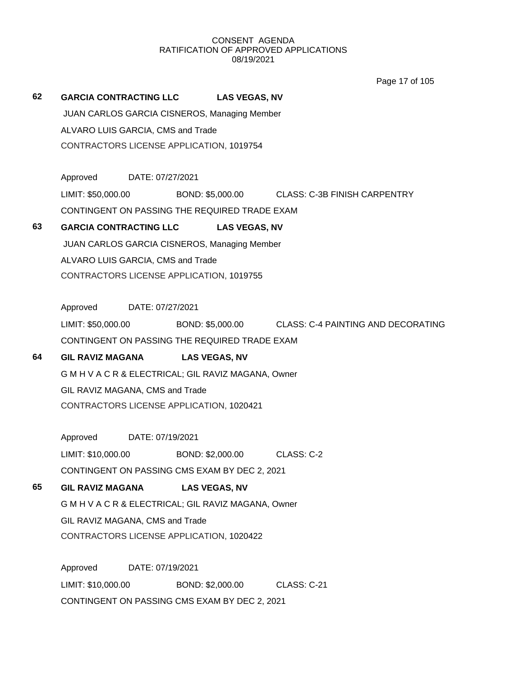Page 17 of 105

# **62 GARCIA CONTRACTING LLC LAS VEGAS, NV** JUAN CARLOS GARCIA CISNEROS, Managing Member ALVARO LUIS GARCIA, CMS and Trade CONTRACTORS LICENSE APPLICATION, 1019754

Approved DATE: 07/27/2021 LIMIT: \$50,000.00 BOND: \$5,000.00 CLASS: C-3B FINISH CARPENTRY CONTINGENT ON PASSING THE REQUIRED TRADE EXAM

# **63 GARCIA CONTRACTING LLC LAS VEGAS, NV**

JUAN CARLOS GARCIA CISNEROS, Managing Member ALVARO LUIS GARCIA, CMS and Trade CONTRACTORS LICENSE APPLICATION, 1019755

Approved DATE: 07/27/2021

LIMIT: \$50,000.00 BOND: \$5,000.00 CLASS: C-4 PAINTING AND DECORATING CONTINGENT ON PASSING THE REQUIRED TRADE EXAM

# **64 GIL RAVIZ MAGANA LAS VEGAS, NV**

G M H V A C R & ELECTRICAL; GIL RAVIZ MAGANA, Owner GIL RAVIZ MAGANA, CMS and Trade CONTRACTORS LICENSE APPLICATION, 1020421

Approved DATE: 07/19/2021 LIMIT: \$10,000.00 BOND: \$2,000.00 CLASS: C-2 CONTINGENT ON PASSING CMS EXAM BY DEC 2, 2021

# **65 GIL RAVIZ MAGANA LAS VEGAS, NV**

G M H V A C R & ELECTRICAL; GIL RAVIZ MAGANA, Owner GIL RAVIZ MAGANA, CMS and Trade CONTRACTORS LICENSE APPLICATION, 1020422

Approved DATE: 07/19/2021 LIMIT: \$10,000.00 BOND: \$2,000.00 CLASS: C-21 CONTINGENT ON PASSING CMS EXAM BY DEC 2, 2021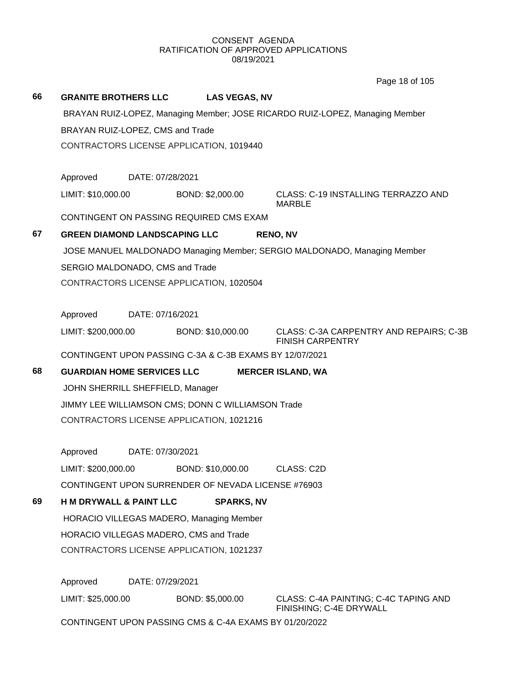**66 GRANITE BROTHERS LLC LAS VEGAS, NV** BRAYAN RUIZ-LOPEZ, Managing Member; JOSE RICARDO RUIZ-LOPEZ, Managing Member BRAYAN RUIZ-LOPEZ, CMS and Trade CONTRACTORS LICENSE APPLICATION, 1019440 Approved DATE: 07/28/2021 LIMIT: \$10,000.00 BOND: \$2,000.00 CLASS: C-19 INSTALLING TERRAZZO AND MARBLE CONTINGENT ON PASSING REQUIRED CMS EXAM **67 GREEN DIAMOND LANDSCAPING LLC RENO, NV** JOSE MANUEL MALDONADO Managing Member; SERGIO MALDONADO, Managing Member SERGIO MALDONADO, CMS and Trade CONTRACTORS LICENSE APPLICATION, 1020504 Approved DATE: 07/16/2021 LIMIT: \$200,000.00 BOND: \$10,000.00 CLASS: C-3A CARPENTRY AND REPAIRS; C-3B FINISH CARPENTRY CONTINGENT UPON PASSING C-3A & C-3B EXAMS BY 12/07/2021 **68 GUARDIAN HOME SERVICES LLC MERCER ISLAND, WA** JOHN SHERRILL SHEFFIELD, Manager JIMMY LEE WILLIAMSON CMS; DONN C WILLIAMSON Trade CONTRACTORS LICENSE APPLICATION, 1021216 Approved DATE: 07/30/2021 LIMIT: \$200,000.00 BOND: \$10,000.00 CLASS: C2D CONTINGENT UPON SURRENDER OF NEVADA LICENSE #76903 **69 H M DRYWALL & PAINT LLC SPARKS, NV** HORACIO VILLEGAS MADERO, Managing Member HORACIO VILLEGAS MADERO, CMS and Trade CONTRACTORS LICENSE APPLICATION, 1021237 Approved DATE: 07/29/2021 LIMIT: \$25,000.00 BOND: \$5,000.00 CLASS: C-4A PAINTING; C-4C TAPING AND FINISHING; C-4E DRYWALL Page 18 of 105

CONTINGENT UPON PASSING CMS & C-4A EXAMS BY 01/20/2022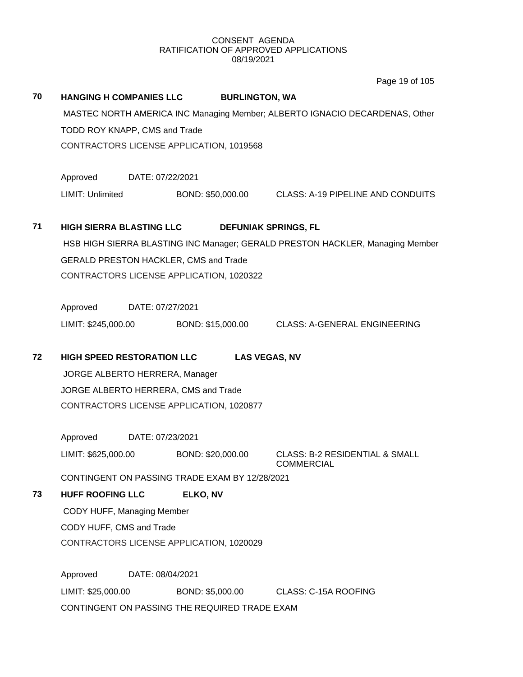Page 19 of 105

# **70 HANGING H COMPANIES LLC BURLINGTON, WA** MASTEC NORTH AMERICA INC Managing Member; ALBERTO IGNACIO DECARDENAS, Other TODD ROY KNAPP, CMS and Trade CONTRACTORS LICENSE APPLICATION, 1019568 Approved DATE: 07/22/2021 LIMIT: Unlimited BOND: \$50,000.00 CLASS: A-19 PIPELINE AND CONDUITS **71 HIGH SIERRA BLASTING LLC DEFUNIAK SPRINGS, FL** HSB HIGH SIERRA BLASTING INC Manager; GERALD PRESTON HACKLER, Managing Member GERALD PRESTON HACKLER, CMS and Trade CONTRACTORS LICENSE APPLICATION, 1020322 Approved DATE: 07/27/2021 LIMIT: \$245,000.00 BOND: \$15,000.00 CLASS: A-GENERAL ENGINEERING **72 HIGH SPEED RESTORATION LLC LAS VEGAS, NV** JORGE ALBERTO HERRERA, Manager JORGE ALBERTO HERRERA, CMS and Trade CONTRACTORS LICENSE APPLICATION, 1020877 Approved DATE: 07/23/2021 LIMIT: \$625,000.00 BOND: \$20,000.00 CLASS: B-2 RESIDENTIAL & SMALL COMMERCIAL CONTINGENT ON PASSING TRADE EXAM BY 12/28/2021 **73 HUFF ROOFING LLC ELKO, NV** CODY HUFF, Managing Member CODY HUFF, CMS and Trade CONTRACTORS LICENSE APPLICATION, 1020029 Approved DATE: 08/04/2021

LIMIT: \$25,000.00 BOND: \$5,000.00 CLASS: C-15A ROOFING CONTINGENT ON PASSING THE REQUIRED TRADE EXAM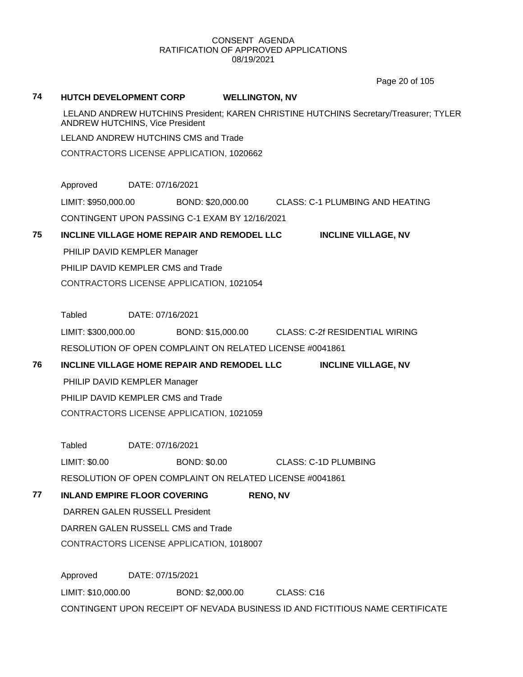Page 20 of 105

#### **74 HUTCH DEVELOPMENT CORP WELLINGTON, NV**

LELAND ANDREW HUTCHINS President; KAREN CHRISTINE HUTCHINS Secretary/Treasurer; TYLER ANDREW HUTCHINS, Vice President

LELAND ANDREW HUTCHINS CMS and Trade

CONTRACTORS LICENSE APPLICATION, 1020662

Approved DATE: 07/16/2021

LIMIT: \$950,000.00 BOND: \$20,000.00 CLASS: C-1 PLUMBING AND HEATING

CONTINGENT UPON PASSING C-1 EXAM BY 12/16/2021

# **75 INCLINE VILLAGE HOME REPAIR AND REMODEL LLC INCLINE VILLAGE, NV** PHILIP DAVID KEMPLER Manager

PHILIP DAVID KEMPLER CMS and Trade

CONTRACTORS LICENSE APPLICATION, 1021054

Tabled DATE: 07/16/2021

LIMIT: \$300,000.00 BOND: \$15,000.00 CLASS: C-2f RESIDENTIAL WIRING RESOLUTION OF OPEN COMPLAINT ON RELATED LICENSE #0041861

**76 INCLINE VILLAGE HOME REPAIR AND REMODEL LLC INCLINE VILLAGE, NV**

PHILIP DAVID KEMPLER Manager

PHILIP DAVID KEMPLER CMS and Trade CONTRACTORS LICENSE APPLICATION, 1021059

Tabled DATE: 07/16/2021

LIMIT: \$0.00 BOND: \$0.00 CLASS: C-1D PLUMBING

RESOLUTION OF OPEN COMPLAINT ON RELATED LICENSE #0041861

# **77 INLAND EMPIRE FLOOR COVERING RENO, NV**

DARREN GALEN RUSSELL President

DARREN GALEN RUSSELL CMS and Trade

CONTRACTORS LICENSE APPLICATION, 1018007

Approved DATE: 07/15/2021 LIMIT: \$10,000.00 BOND: \$2,000.00 CLASS: C16 CONTINGENT UPON RECEIPT OF NEVADA BUSINESS ID AND FICTITIOUS NAME CERTIFICATE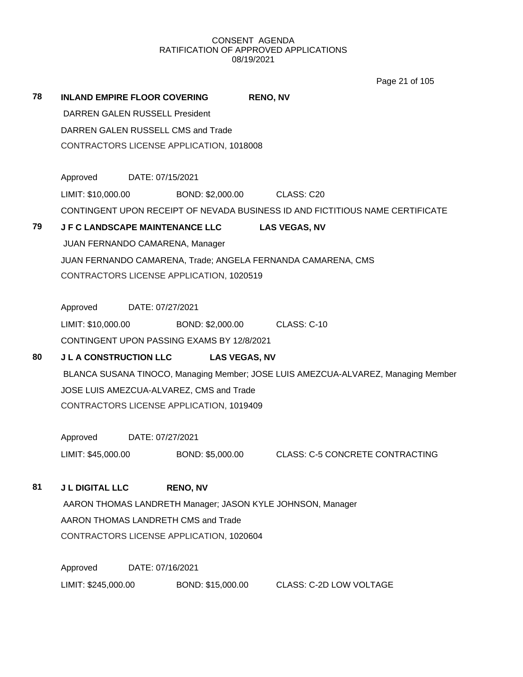Page 21 of 105

| 78 | <b>INLAND EMPIRE FLOOR COVERING</b>      |                                          |                                            | <b>RENO, NV</b>                                                                   |  |  |  |
|----|------------------------------------------|------------------------------------------|--------------------------------------------|-----------------------------------------------------------------------------------|--|--|--|
|    | DARREN GALEN RUSSELL President           |                                          |                                            |                                                                                   |  |  |  |
|    | DARREN GALEN RUSSELL CMS and Trade       |                                          |                                            |                                                                                   |  |  |  |
|    | CONTRACTORS LICENSE APPLICATION, 1018008 |                                          |                                            |                                                                                   |  |  |  |
|    | Approved DATE: 07/15/2021                |                                          |                                            |                                                                                   |  |  |  |
|    | LIMIT: \$10,000.00                       |                                          |                                            | BOND: \$2,000.00 CLASS: C20                                                       |  |  |  |
|    |                                          |                                          |                                            | CONTINGENT UPON RECEIPT OF NEVADA BUSINESS ID AND FICTITIOUS NAME CERTIFICATE     |  |  |  |
| 79 |                                          |                                          | <b>JF C LANDSCAPE MAINTENANCE LLC</b>      | <b>LAS VEGAS, NV</b>                                                              |  |  |  |
|    | JUAN FERNANDO CAMARENA, Manager          |                                          |                                            |                                                                                   |  |  |  |
|    |                                          |                                          |                                            | JUAN FERNANDO CAMARENA, Trade; ANGELA FERNANDA CAMARENA, CMS                      |  |  |  |
|    |                                          |                                          | CONTRACTORS LICENSE APPLICATION, 1020519   |                                                                                   |  |  |  |
|    |                                          |                                          |                                            |                                                                                   |  |  |  |
|    | Approved DATE: 07/27/2021                |                                          |                                            |                                                                                   |  |  |  |
|    | LIMIT: \$10,000.00                       |                                          |                                            | BOND: \$2,000.00 CLASS: C-10                                                      |  |  |  |
|    |                                          |                                          | CONTINGENT UPON PASSING EXAMS BY 12/8/2021 |                                                                                   |  |  |  |
| 80 | <b>J L A CONSTRUCTION LLC</b>            |                                          | <b>LAS VEGAS, NV</b>                       |                                                                                   |  |  |  |
|    |                                          |                                          |                                            | BLANCA SUSANA TINOCO, Managing Member; JOSE LUIS AMEZCUA-ALVAREZ, Managing Member |  |  |  |
|    |                                          | JOSE LUIS AMEZCUA-ALVAREZ, CMS and Trade |                                            |                                                                                   |  |  |  |
|    | CONTRACTORS LICENSE APPLICATION, 1019409 |                                          |                                            |                                                                                   |  |  |  |
|    | Approved DATE: 07/27/2021                |                                          |                                            |                                                                                   |  |  |  |
|    | LIMIT: \$45,000.00                       |                                          |                                            | BOND: \$5,000.00 CLASS: C-5 CONCRETE CONTRACTING                                  |  |  |  |
| 81 | <b>J L DIGITAL LLC</b>                   |                                          | <b>RENO, NV</b>                            |                                                                                   |  |  |  |
|    |                                          |                                          |                                            | AARON THOMAS LANDRETH Manager; JASON KYLE JOHNSON, Manager                        |  |  |  |
|    |                                          |                                          | AARON THOMAS LANDRETH CMS and Trade        |                                                                                   |  |  |  |
|    |                                          |                                          | CONTRACTORS LICENSE APPLICATION, 1020604   |                                                                                   |  |  |  |
|    |                                          |                                          |                                            |                                                                                   |  |  |  |
|    | Approved                                 | DATE: 07/16/2021                         |                                            |                                                                                   |  |  |  |

LIMIT: \$245,000.00 BOND: \$15,000.00 CLASS: C-2D LOW VOLTAGE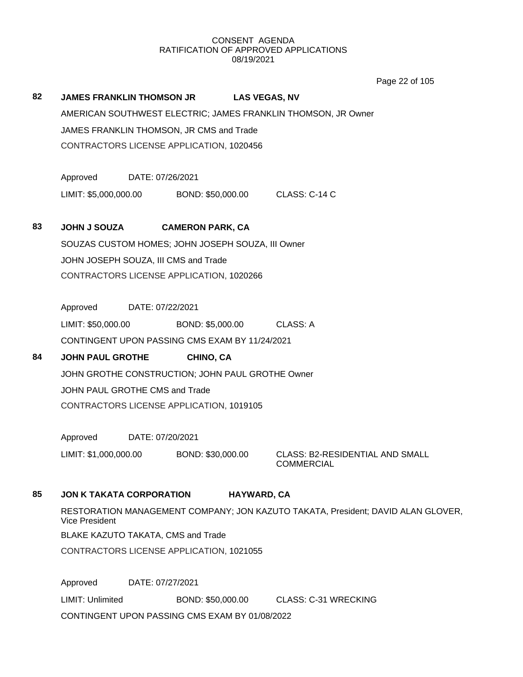Page 22 of 105

# **82 JAMES FRANKLIN THOMSON JR LAS VEGAS, NV** AMERICAN SOUTHWEST ELECTRIC; JAMES FRANKLIN THOMSON, JR Owner JAMES FRANKLIN THOMSON, JR CMS and Trade CONTRACTORS LICENSE APPLICATION, 1020456

Approved DATE: 07/26/2021 LIMIT: \$5,000,000.00 BOND: \$50,000.00 CLASS: C-14 C

### **83 JOHN J SOUZA CAMERON PARK, CA**

SOUZAS CUSTOM HOMES; JOHN JOSEPH SOUZA, III Owner JOHN JOSEPH SOUZA, III CMS and Trade CONTRACTORS LICENSE APPLICATION, 1020266

Approved DATE: 07/22/2021 LIMIT: \$50,000.00 BOND: \$5,000.00 CLASS: A CONTINGENT UPON PASSING CMS EXAM BY 11/24/2021

# **84 JOHN PAUL GROTHE CHINO, CA**

JOHN GROTHE CONSTRUCTION; JOHN PAUL GROTHE Owner JOHN PAUL GROTHE CMS and Trade CONTRACTORS LICENSE APPLICATION, 1019105

Approved DATE: 07/20/2021

LIMIT: \$1,000,000.00 BOND: \$30,000.00 CLASS: B2-RESIDENTIAL AND SMALL

COMMERCIAL

# **85 JON K TAKATA CORPORATION HAYWARD, CA**

RESTORATION MANAGEMENT COMPANY; JON KAZUTO TAKATA, President; DAVID ALAN GLOVER, Vice President

BLAKE KAZUTO TAKATA, CMS and Trade

CONTRACTORS LICENSE APPLICATION, 1021055

Approved DATE: 07/27/2021 LIMIT: Unlimited BOND: \$50,000.00 CLASS: C-31 WRECKING CONTINGENT UPON PASSING CMS EXAM BY 01/08/2022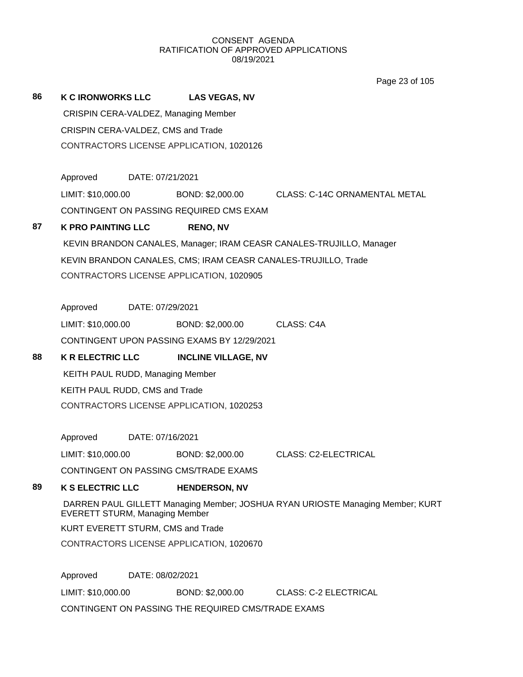Page 23 of 105

| 86 | <b>K C IRONWORKS LLC</b>              |                  | <b>LAS VEGAS, NV</b>                        |                                                                                |
|----|---------------------------------------|------------------|---------------------------------------------|--------------------------------------------------------------------------------|
|    |                                       |                  | CRISPIN CERA-VALDEZ, Managing Member        |                                                                                |
|    | CRISPIN CERA-VALDEZ, CMS and Trade    |                  |                                             |                                                                                |
|    |                                       |                  | CONTRACTORS LICENSE APPLICATION, 1020126    |                                                                                |
|    |                                       |                  |                                             |                                                                                |
|    | Approved                              | DATE: 07/21/2021 |                                             |                                                                                |
|    | LIMIT: \$10,000.00                    |                  |                                             | BOND: \$2,000.00 CLASS: C-14C ORNAMENTAL METAL                                 |
|    |                                       |                  | CONTINGENT ON PASSING REQUIRED CMS EXAM     |                                                                                |
| 87 | <b>K PRO PAINTING LLC</b>             |                  | <b>RENO, NV</b>                             |                                                                                |
|    |                                       |                  |                                             | KEVIN BRANDON CANALES, Manager; IRAM CEASR CANALES-TRUJILLO, Manager           |
|    |                                       |                  |                                             | KEVIN BRANDON CANALES, CMS; IRAM CEASR CANALES-TRUJILLO, Trade                 |
|    |                                       |                  | CONTRACTORS LICENSE APPLICATION, 1020905    |                                                                                |
|    | Approved                              | DATE: 07/29/2021 |                                             |                                                                                |
|    | LIMIT: \$10,000.00                    |                  | BOND: \$2,000.00 CLASS: C4A                 |                                                                                |
|    |                                       |                  | CONTINGENT UPON PASSING EXAMS BY 12/29/2021 |                                                                                |
|    |                                       |                  |                                             |                                                                                |
| 88 | <b>K R ELECTRIC LLC</b>               |                  | <b>INCLINE VILLAGE, NV</b>                  |                                                                                |
|    | KEITH PAUL RUDD, Managing Member      |                  |                                             |                                                                                |
|    | KEITH PAUL RUDD, CMS and Trade        |                  |                                             |                                                                                |
|    |                                       |                  | CONTRACTORS LICENSE APPLICATION, 1020253    |                                                                                |
|    |                                       |                  |                                             |                                                                                |
|    | Approved                              | DATE: 07/16/2021 |                                             |                                                                                |
|    | LIMIT: \$10,000.00                    |                  |                                             | BOND: \$2,000.00 CLASS: C2-ELECTRICAL                                          |
|    |                                       |                  | CONTINGENT ON PASSING CMS/TRADE EXAMS       |                                                                                |
| 89 | <b>K S ELECTRIC LLC</b>               |                  | <b>HENDERSON, NV</b>                        |                                                                                |
|    | <b>EVERETT STURM, Managing Member</b> |                  |                                             | DARREN PAUL GILLETT Managing Member; JOSHUA RYAN URIOSTE Managing Member; KURT |
|    | KURT EVERETT STURM, CMS and Trade     |                  |                                             |                                                                                |
|    |                                       |                  | CONTRACTORS LICENSE APPLICATION, 1020670    |                                                                                |
|    |                                       |                  |                                             |                                                                                |
|    | Approved<br>LIMIT: \$10,000.00        | DATE: 08/02/2021 | BOND: \$2,000.00                            | <b>CLASS: C-2 ELECTRICAL</b>                                                   |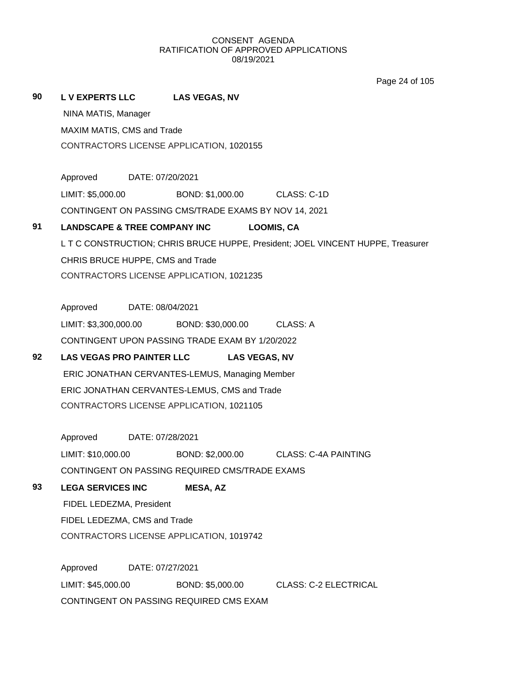Page 24 of 105

**90 L V EXPERTS LLC LAS VEGAS, NV**

NINA MATIS, Manager

MAXIM MATIS, CMS and Trade CONTRACTORS LICENSE APPLICATION, 1020155

Approved DATE: 07/20/2021

LIMIT: \$5,000.00 BOND: \$1,000.00 CLASS: C-1D

CONTINGENT ON PASSING CMS/TRADE EXAMS BY NOV 14, 2021

# **91 LANDSCAPE & TREE COMPANY INC LOOMIS, CA**

L T C CONSTRUCTION; CHRIS BRUCE HUPPE, President; JOEL VINCENT HUPPE, Treasurer CHRIS BRUCE HUPPE, CMS and Trade CONTRACTORS LICENSE APPLICATION, 1021235

Approved DATE: 08/04/2021 LIMIT: \$3,300,000.00 BOND: \$30,000.00 CLASS: A

CONTINGENT UPON PASSING TRADE EXAM BY 1/20/2022

# **92 LAS VEGAS PRO PAINTER LLC LAS VEGAS, NV**

ERIC JONATHAN CERVANTES-LEMUS, Managing Member ERIC JONATHAN CERVANTES-LEMUS, CMS and Trade CONTRACTORS LICENSE APPLICATION, 1021105

Approved DATE: 07/28/2021

LIMIT: \$10,000.00 BOND: \$2,000.00 CLASS: C-4A PAINTING

CONTINGENT ON PASSING REQUIRED CMS/TRADE EXAMS

# **93 LEGA SERVICES INC MESA, AZ**

FIDEL LEDEZMA, President FIDEL LEDEZMA, CMS and Trade CONTRACTORS LICENSE APPLICATION, 1019742

Approved DATE: 07/27/2021 LIMIT: \$45,000.00 BOND: \$5,000.00 CLASS: C-2 ELECTRICAL CONTINGENT ON PASSING REQUIRED CMS EXAM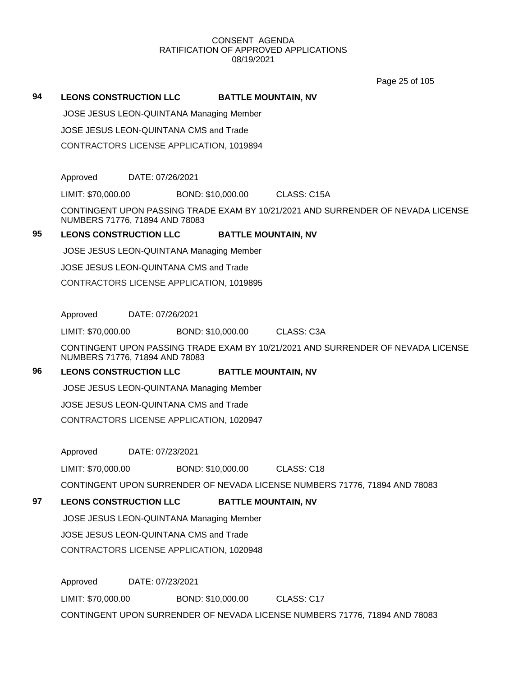Page 25 of 105

#### **94 LEONS CONSTRUCTION LLC BATTLE MOUNTAIN, NV**

JOSE JESUS LEON-QUINTANA Managing Member

JOSE JESUS LEON-QUINTANA CMS and Trade

CONTRACTORS LICENSE APPLICATION, 1019894

Approved DATE: 07/26/2021

LIMIT: \$70,000.00 BOND: \$10,000.00 CLASS: C15A

CONTINGENT UPON PASSING TRADE EXAM BY 10/21/2021 AND SURRENDER OF NEVADA LICENSE NUMBERS 71776, 71894 AND 78083

# **95 LEONS CONSTRUCTION LLC BATTLE MOUNTAIN, NV**

JOSE JESUS LEON-QUINTANA Managing Member

JOSE JESUS LEON-QUINTANA CMS and Trade

CONTRACTORS LICENSE APPLICATION, 1019895

Approved DATE: 07/26/2021

LIMIT: \$70,000.00 BOND: \$10,000.00 CLASS: C3A

CONTINGENT UPON PASSING TRADE EXAM BY 10/21/2021 AND SURRENDER OF NEVADA LICENSE NUMBERS 71776, 71894 AND 78083

# **96 LEONS CONSTRUCTION LLC BATTLE MOUNTAIN, NV**

JOSE JESUS LEON-QUINTANA Managing Member

JOSE JESUS LEON-QUINTANA CMS and Trade

CONTRACTORS LICENSE APPLICATION, 1020947

Approved DATE: 07/23/2021

LIMIT: \$70,000.00 BOND: \$10,000.00 CLASS: C18

CONTINGENT UPON SURRENDER OF NEVADA LICENSE NUMBERS 71776, 71894 AND 78083

# **97 LEONS CONSTRUCTION LLC BATTLE MOUNTAIN, NV**

JOSE JESUS LEON-QUINTANA Managing Member

JOSE JESUS LEON-QUINTANA CMS and Trade

CONTRACTORS LICENSE APPLICATION, 1020948

Approved DATE: 07/23/2021 LIMIT: \$70,000.00 BOND: \$10,000.00 CLASS: C17 CONTINGENT UPON SURRENDER OF NEVADA LICENSE NUMBERS 71776, 71894 AND 78083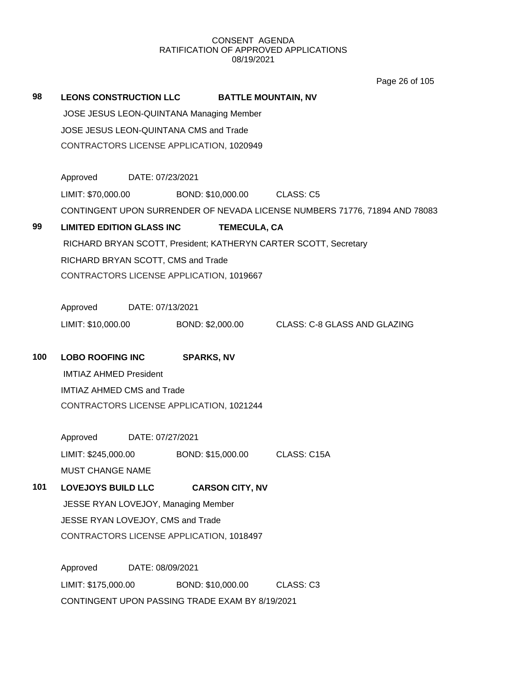Page 26 of 105

| 98  | <b>LEONS CONSTRUCTION LLC</b>                            |                  |                   | <b>BATTLE MOUNTAIN, NV</b>  |                                                                            |  |
|-----|----------------------------------------------------------|------------------|-------------------|-----------------------------|----------------------------------------------------------------------------|--|
|     | JOSE JESUS LEON-QUINTANA Managing Member                 |                  |                   |                             |                                                                            |  |
|     | JOSE JESUS LEON-QUINTANA CMS and Trade                   |                  |                   |                             |                                                                            |  |
|     | CONTRACTORS LICENSE APPLICATION, 1020949                 |                  |                   |                             |                                                                            |  |
|     |                                                          |                  |                   |                             |                                                                            |  |
|     | Approved                                                 | DATE: 07/23/2021 |                   |                             |                                                                            |  |
|     | LIMIT: \$70,000.00                                       |                  |                   | BOND: \$10,000.00 CLASS: C5 |                                                                            |  |
|     |                                                          |                  |                   |                             | CONTINGENT UPON SURRENDER OF NEVADA LICENSE NUMBERS 71776, 71894 AND 78083 |  |
| 99  | <b>LIMITED EDITION GLASS INC</b>                         |                  |                   | <b>TEMECULA, CA</b>         |                                                                            |  |
|     |                                                          |                  |                   |                             | RICHARD BRYAN SCOTT, President; KATHERYN CARTER SCOTT, Secretary           |  |
|     | RICHARD BRYAN SCOTT, CMS and Trade                       |                  |                   |                             |                                                                            |  |
|     | CONTRACTORS LICENSE APPLICATION, 1019667                 |                  |                   |                             |                                                                            |  |
|     | Approved                                                 | DATE: 07/13/2021 |                   |                             |                                                                            |  |
|     | LIMIT: \$10,000.00                                       |                  |                   |                             | BOND: \$2,000.00 CLASS: C-8 GLASS AND GLAZING                              |  |
| 100 |                                                          |                  |                   |                             |                                                                            |  |
|     | <b>LOBO ROOFING INC</b><br><b>IMTIAZ AHMED President</b> |                  | <b>SPARKS, NV</b> |                             |                                                                            |  |
|     | <b>IMTIAZ AHMED CMS and Trade</b>                        |                  |                   |                             |                                                                            |  |
|     | CONTRACTORS LICENSE APPLICATION, 1021244                 |                  |                   |                             |                                                                            |  |
|     |                                                          |                  |                   |                             |                                                                            |  |
|     | Approved                                                 | DATE: 07/27/2021 |                   |                             |                                                                            |  |
|     | LIMIT: \$245,000.00                                      |                  |                   |                             | BOND: \$15,000.00 CLASS: C15A                                              |  |
|     | <b>MUST CHANGE NAME</b>                                  |                  |                   |                             |                                                                            |  |
| 101 | <b>LOVEJOYS BUILD LLC</b>                                |                  |                   | <b>CARSON CITY, NV</b>      |                                                                            |  |
|     | JESSE RYAN LOVEJOY, Managing Member                      |                  |                   |                             |                                                                            |  |
|     | JESSE RYAN LOVEJOY, CMS and Trade                        |                  |                   |                             |                                                                            |  |
|     | CONTRACTORS LICENSE APPLICATION, 1018497                 |                  |                   |                             |                                                                            |  |
|     | Approved                                                 | DATE: 08/09/2021 |                   |                             |                                                                            |  |
|     | LIMIT: \$175,000.00                                      |                  | BOND: \$10,000.00 |                             | CLASS: C3                                                                  |  |
|     | CONTINGENT UPON PASSING TRADE EXAM BY 8/19/2021          |                  |                   |                             |                                                                            |  |
|     |                                                          |                  |                   |                             |                                                                            |  |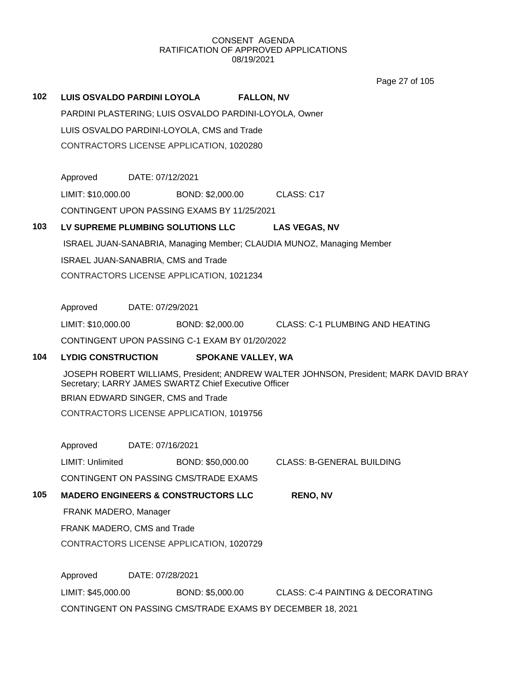|     |                                     |                  |                                                        | Page 27 of 105                                                                       |  |
|-----|-------------------------------------|------------------|--------------------------------------------------------|--------------------------------------------------------------------------------------|--|
| 102 | LUIS OSVALDO PARDINI LOYOLA         |                  |                                                        | <b>FALLON, NV</b>                                                                    |  |
|     |                                     |                  | PARDINI PLASTERING; LUIS OSVALDO PARDINI-LOYOLA, Owner |                                                                                      |  |
|     |                                     |                  | LUIS OSVALDO PARDINI-LOYOLA, CMS and Trade             |                                                                                      |  |
|     |                                     |                  | CONTRACTORS LICENSE APPLICATION, 1020280               |                                                                                      |  |
|     |                                     |                  |                                                        |                                                                                      |  |
|     | Approved                            | DATE: 07/12/2021 |                                                        |                                                                                      |  |
|     | LIMIT: \$10,000.00                  |                  | BOND: \$2,000.00                                       | CLASS: C17                                                                           |  |
|     |                                     |                  | CONTINGENT UPON PASSING EXAMS BY 11/25/2021            |                                                                                      |  |
| 103 |                                     |                  | LV SUPREME PLUMBING SOLUTIONS LLC                      | <b>LAS VEGAS, NV</b>                                                                 |  |
|     |                                     |                  |                                                        | ISRAEL JUAN-SANABRIA, Managing Member; CLAUDIA MUNOZ, Managing Member                |  |
|     | ISRAEL JUAN-SANABRIA, CMS and Trade |                  |                                                        |                                                                                      |  |
|     |                                     |                  | CONTRACTORS LICENSE APPLICATION, 1021234               |                                                                                      |  |
|     |                                     |                  |                                                        |                                                                                      |  |
|     | Approved                            | DATE: 07/29/2021 |                                                        |                                                                                      |  |
|     | LIMIT: \$10,000.00                  |                  | BOND: \$2,000.00                                       | CLASS: C-1 PLUMBING AND HEATING                                                      |  |
|     |                                     |                  | CONTINGENT UPON PASSING C-1 EXAM BY 01/20/2022         |                                                                                      |  |
| 104 | <b>LYDIG CONSTRUCTION</b>           |                  | <b>SPOKANE VALLEY, WA</b>                              |                                                                                      |  |
|     |                                     |                  | Secretary; LARRY JAMES SWARTZ Chief Executive Officer  | JOSEPH ROBERT WILLIAMS, President; ANDREW WALTER JOHNSON, President; MARK DAVID BRAY |  |
|     | BRIAN EDWARD SINGER, CMS and Trade  |                  |                                                        |                                                                                      |  |
|     |                                     |                  | CONTRACTORS LICENSE APPLICATION, 1019756               |                                                                                      |  |
|     |                                     |                  |                                                        |                                                                                      |  |
|     | Approved                            | DATE: 07/16/2021 |                                                        |                                                                                      |  |
|     | LIMIT: Unlimited                    |                  | BOND: \$50,000.00                                      | <b>CLASS: B-GENERAL BUILDING</b>                                                     |  |
|     |                                     |                  | CONTINGENT ON PASSING CMS/TRADE EXAMS                  |                                                                                      |  |
| 105 |                                     |                  | <b>MADERO ENGINEERS &amp; CONSTRUCTORS LLC</b>         | <b>RENO, NV</b>                                                                      |  |
|     | FRANK MADERO, Manager               |                  |                                                        |                                                                                      |  |
|     | FRANK MADERO, CMS and Trade         |                  |                                                        |                                                                                      |  |
|     |                                     |                  | CONTRACTORS LICENSE APPLICATION, 1020729               |                                                                                      |  |
|     | Approved                            | DATE: 07/28/2021 |                                                        |                                                                                      |  |
|     | LIMIT: \$45,000.00                  |                  | BOND: \$5,000.00                                       | <b>CLASS: C-4 PAINTING &amp; DECORATING</b>                                          |  |
|     |                                     |                  |                                                        | CONTINGENT ON PASSING CMS/TRADE EXAMS BY DECEMBER 18, 2021                           |  |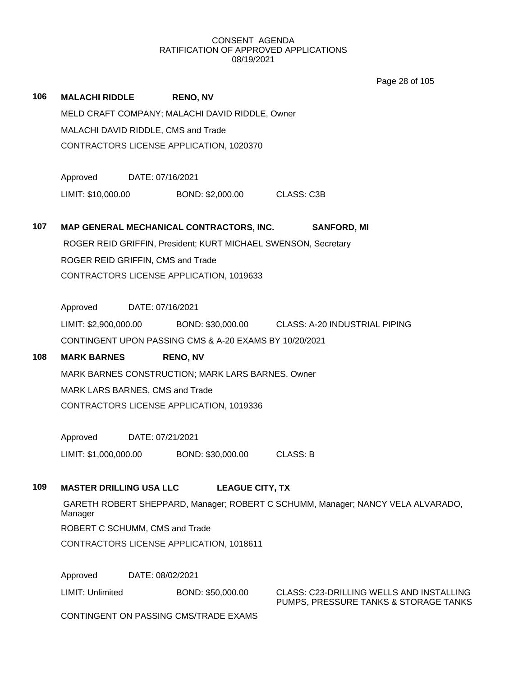Page 28 of 105

| 106 | <b>MALACHI RIDDLE</b>          | <b>RENO, NV</b>                                                |                                                                                   |  |  |  |  |  |
|-----|--------------------------------|----------------------------------------------------------------|-----------------------------------------------------------------------------------|--|--|--|--|--|
|     |                                | MELD CRAFT COMPANY; MALACHI DAVID RIDDLE, Owner                |                                                                                   |  |  |  |  |  |
|     |                                | MALACHI DAVID RIDDLE, CMS and Trade                            |                                                                                   |  |  |  |  |  |
|     |                                | CONTRACTORS LICENSE APPLICATION, 1020370                       |                                                                                   |  |  |  |  |  |
|     | Approved                       | DATE: 07/16/2021                                               |                                                                                   |  |  |  |  |  |
|     | LIMIT: \$10,000.00             | BOND: \$2,000.00                                               | CLASS: C3B                                                                        |  |  |  |  |  |
|     |                                |                                                                |                                                                                   |  |  |  |  |  |
| 107 |                                | MAP GENERAL MECHANICAL CONTRACTORS, INC.                       | <b>SANFORD, MI</b>                                                                |  |  |  |  |  |
|     |                                | ROGER REID GRIFFIN, President; KURT MICHAEL SWENSON, Secretary |                                                                                   |  |  |  |  |  |
|     |                                | ROGER REID GRIFFIN, CMS and Trade                              |                                                                                   |  |  |  |  |  |
|     |                                | CONTRACTORS LICENSE APPLICATION, 1019633                       |                                                                                   |  |  |  |  |  |
|     | Approved                       | DATE: 07/16/2021                                               |                                                                                   |  |  |  |  |  |
|     |                                |                                                                | LIMIT: \$2,900,000.00 BOND: \$30,000.00 CLASS: A-20 INDUSTRIAL PIPING             |  |  |  |  |  |
|     |                                | CONTINGENT UPON PASSING CMS & A-20 EXAMS BY 10/20/2021         |                                                                                   |  |  |  |  |  |
| 108 | <b>MARK BARNES</b>             | <b>RENO, NV</b>                                                |                                                                                   |  |  |  |  |  |
|     |                                | MARK BARNES CONSTRUCTION; MARK LARS BARNES, Owner              |                                                                                   |  |  |  |  |  |
|     |                                | MARK LARS BARNES, CMS and Trade                                |                                                                                   |  |  |  |  |  |
|     |                                | CONTRACTORS LICENSE APPLICATION, 1019336                       |                                                                                   |  |  |  |  |  |
|     | Approved                       | DATE: 07/21/2021                                               |                                                                                   |  |  |  |  |  |
|     | LIMIT: \$1,000,000.00          | BOND: \$30,000.00                                              | <b>CLASS: B</b>                                                                   |  |  |  |  |  |
| 109 | <b>MASTER DRILLING USA LLC</b> | <b>LEAGUE CITY, TX</b>                                         |                                                                                   |  |  |  |  |  |
|     |                                |                                                                | GARETH ROBERT SHEPPARD, Manager; ROBERT C SCHUMM, Manager; NANCY VELA ALVARADO,   |  |  |  |  |  |
|     | Manager                        |                                                                |                                                                                   |  |  |  |  |  |
|     |                                | ROBERT C SCHUMM, CMS and Trade                                 |                                                                                   |  |  |  |  |  |
|     |                                | CONTRACTORS LICENSE APPLICATION, 1018611                       |                                                                                   |  |  |  |  |  |
|     | Approved                       | DATE: 08/02/2021                                               |                                                                                   |  |  |  |  |  |
|     | LIMIT: Unlimited               | BOND: \$50,000.00                                              | CLASS: C23-DRILLING WELLS AND INSTALLING<br>PUMPS, PRESSURE TANKS & STORAGE TANKS |  |  |  |  |  |
|     |                                | CONTINGENT ON PASSING CMS/TRADE EXAMS                          |                                                                                   |  |  |  |  |  |
|     |                                |                                                                |                                                                                   |  |  |  |  |  |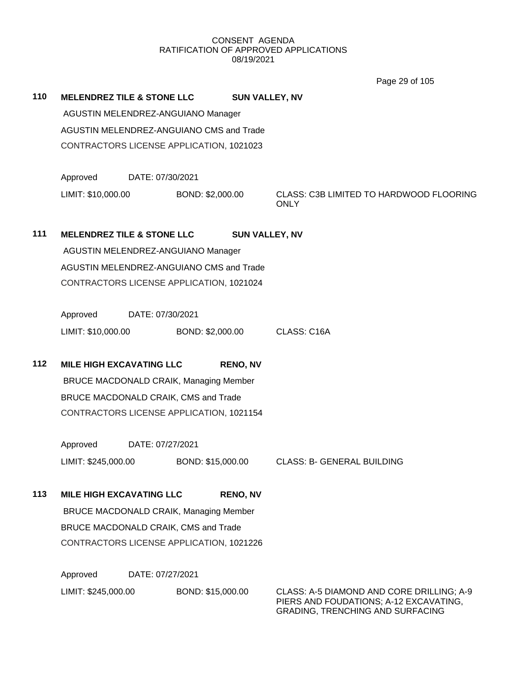Page 29 of 105

| 110 | <b>MELENDREZ TILE &amp; STONE LLC</b>    |                                          |                                               | <b>SUN VALLEY, NV</b> |                                                        |  |  |  |
|-----|------------------------------------------|------------------------------------------|-----------------------------------------------|-----------------------|--------------------------------------------------------|--|--|--|
|     | AGUSTIN MELENDREZ-ANGUIANO Manager       |                                          |                                               |                       |                                                        |  |  |  |
|     | AGUSTIN MELENDREZ-ANGUIANO CMS and Trade |                                          |                                               |                       |                                                        |  |  |  |
|     |                                          | CONTRACTORS LICENSE APPLICATION, 1021023 |                                               |                       |                                                        |  |  |  |
|     | Approved                                 | DATE: 07/30/2021                         |                                               |                       |                                                        |  |  |  |
|     | LIMIT: \$10,000.00                       |                                          | BOND: \$2,000.00                              |                       | CLASS: C3B LIMITED TO HARDWOOD FLOORING<br><b>ONLY</b> |  |  |  |
| 111 | <b>MELENDREZ TILE &amp; STONE LLC</b>    |                                          |                                               | <b>SUN VALLEY, NV</b> |                                                        |  |  |  |
|     |                                          |                                          | AGUSTIN MELENDREZ-ANGUIANO Manager            |                       |                                                        |  |  |  |
|     | AGUSTIN MELENDREZ-ANGUIANO CMS and Trade |                                          |                                               |                       |                                                        |  |  |  |
|     | CONTRACTORS LICENSE APPLICATION, 1021024 |                                          |                                               |                       |                                                        |  |  |  |
|     |                                          |                                          |                                               |                       |                                                        |  |  |  |
|     | Approved                                 | DATE: 07/30/2021                         |                                               |                       |                                                        |  |  |  |
|     | LIMIT: \$10,000.00                       |                                          | BOND: \$2,000.00                              |                       | CLASS: C16A                                            |  |  |  |
| 112 | <b>MILE HIGH EXCAVATING LLC</b>          |                                          |                                               | <b>RENO, NV</b>       |                                                        |  |  |  |
|     |                                          |                                          | <b>BRUCE MACDONALD CRAIK, Managing Member</b> |                       |                                                        |  |  |  |
|     | BRUCE MACDONALD CRAIK, CMS and Trade     |                                          |                                               |                       |                                                        |  |  |  |
|     | CONTRACTORS LICENSE APPLICATION, 1021154 |                                          |                                               |                       |                                                        |  |  |  |
|     | Approved                                 | DATE: 07/27/2021                         |                                               |                       |                                                        |  |  |  |
|     | LIMIT: \$245,000.00                      |                                          | BOND: \$15,000.00                             |                       | <b>CLASS: B- GENERAL BUILDING</b>                      |  |  |  |
| 113 | <b>MILE HIGH EXCAVATING LLC</b>          |                                          |                                               | <b>RENO, NV</b>       |                                                        |  |  |  |
|     |                                          |                                          | <b>BRUCE MACDONALD CRAIK, Managing Member</b> |                       |                                                        |  |  |  |
|     | BRUCE MACDONALD CRAIK, CMS and Trade     |                                          |                                               |                       |                                                        |  |  |  |
|     | CONTRACTORS LICENSE APPLICATION, 1021226 |                                          |                                               |                       |                                                        |  |  |  |
|     | Approved                                 | DATE: 07/27/2021                         |                                               |                       |                                                        |  |  |  |
|     | LIMIT: \$245,000.00                      |                                          | BOND: \$15,000.00                             |                       | CLASS: A-5 DIAMOND AND CORE DRILLING; A-9              |  |  |  |

PIERS AND FOUDATIONS; A-12 EXCAVATING, GRADING, TRENCHING AND SURFACING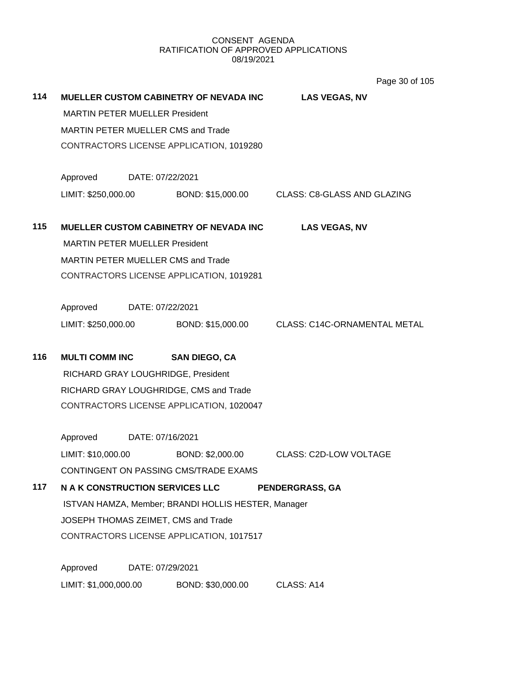**114 MUELLER CUSTOM CABINETRY OF NEVADA INC LAS VEGAS, NV** MARTIN PETER MUELLER President MARTIN PETER MUELLER CMS and Trade CONTRACTORS LICENSE APPLICATION, 1019280 Approved DATE: 07/22/2021 LIMIT: \$250,000.00 BOND: \$15,000.00 CLASS: C8-GLASS AND GLAZING **115 MUELLER CUSTOM CABINETRY OF NEVADA INC LAS VEGAS, NV** MARTIN PETER MUELLER President MARTIN PETER MUELLER CMS and Trade CONTRACTORS LICENSE APPLICATION, 1019281 Approved DATE: 07/22/2021 LIMIT: \$250,000.00 BOND: \$15,000.00 CLASS: C14C-ORNAMENTAL METAL **116 MULTI COMM INC SAN DIEGO, CA** RICHARD GRAY LOUGHRIDGE, President RICHARD GRAY LOUGHRIDGE, CMS and Trade CONTRACTORS LICENSE APPLICATION, 1020047 Approved DATE: 07/16/2021 LIMIT: \$10,000.00 BOND: \$2,000.00 CLASS: C2D-LOW VOLTAGE CONTINGENT ON PASSING CMS/TRADE EXAMS **117 N A K CONSTRUCTION SERVICES LLC PENDERGRASS, GA** ISTVAN HAMZA, Member; BRANDI HOLLIS HESTER, Manager JOSEPH THOMAS ZEIMET, CMS and Trade CONTRACTORS LICENSE APPLICATION, 1017517 Approved DATE: 07/29/2021 LIMIT: \$1,000,000.00 BOND: \$30,000.00 CLASS: A14 Page 30 of 105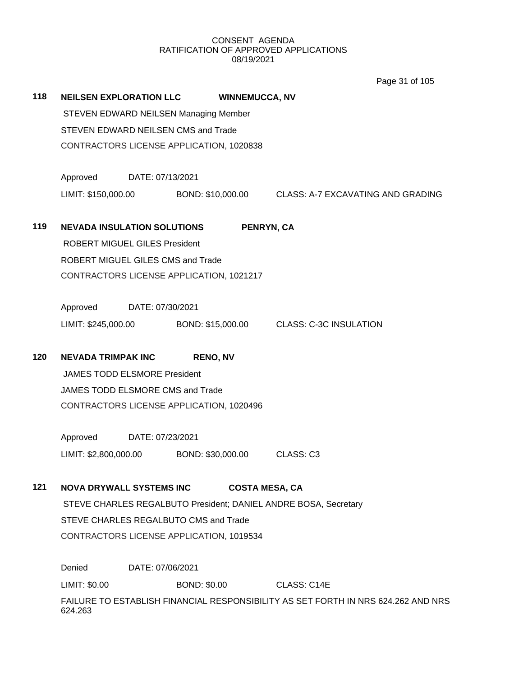Page 31 of 105

| 118 | <b>NEILSEN EXPLORATION LLC</b>                                                               |                                      | <b>WINNEMUCCA, NV</b> |  |                                                     |  |  |  |  |
|-----|----------------------------------------------------------------------------------------------|--------------------------------------|-----------------------|--|-----------------------------------------------------|--|--|--|--|
|     | STEVEN EDWARD NEILSEN Managing Member                                                        |                                      |                       |  |                                                     |  |  |  |  |
|     | STEVEN EDWARD NEILSEN CMS and Trade<br>CONTRACTORS LICENSE APPLICATION, 1020838              |                                      |                       |  |                                                     |  |  |  |  |
|     |                                                                                              |                                      |                       |  |                                                     |  |  |  |  |
|     | Approved                                                                                     | DATE: 07/13/2021                     |                       |  |                                                     |  |  |  |  |
|     | LIMIT: \$150,000.00                                                                          |                                      |                       |  | BOND: \$10,000.00 CLASS: A-7 EXCAVATING AND GRADING |  |  |  |  |
| 119 | <b>NEVADA INSULATION SOLUTIONS</b><br>PENRYN, CA                                             |                                      |                       |  |                                                     |  |  |  |  |
|     |                                                                                              | <b>ROBERT MIGUEL GILES President</b> |                       |  |                                                     |  |  |  |  |
|     | ROBERT MIGUEL GILES CMS and Trade<br>CONTRACTORS LICENSE APPLICATION, 1021217                |                                      |                       |  |                                                     |  |  |  |  |
|     |                                                                                              |                                      |                       |  |                                                     |  |  |  |  |
|     |                                                                                              |                                      |                       |  |                                                     |  |  |  |  |
|     | Approved DATE: 07/30/2021                                                                    |                                      |                       |  |                                                     |  |  |  |  |
|     | LIMIT: \$245,000.00                                                                          |                                      |                       |  | BOND: \$15,000.00 CLASS: C-3C INSULATION            |  |  |  |  |
| 120 | <b>NEVADA TRIMPAK INC</b>                                                                    |                                      | <b>RENO, NV</b>       |  |                                                     |  |  |  |  |
|     | <b>JAMES TODD ELSMORE President</b>                                                          |                                      |                       |  |                                                     |  |  |  |  |
|     | JAMES TODD ELSMORE CMS and Trade                                                             |                                      |                       |  |                                                     |  |  |  |  |
|     | CONTRACTORS LICENSE APPLICATION, 1020496                                                     |                                      |                       |  |                                                     |  |  |  |  |
|     | Approved                                                                                     |                                      |                       |  |                                                     |  |  |  |  |
|     | LIMIT: \$2,800,000.00                                                                        |                                      | BOND: \$30,000.00     |  | CLASS: C3                                           |  |  |  |  |
| 121 | <b>NOVA DRYWALL SYSTEMS INC</b>                                                              |                                      |                       |  | <b>COSTA MESA, CA</b>                               |  |  |  |  |
|     | STEVE CHARLES REGALBUTO President; DANIEL ANDRE BOSA, Secretary                              |                                      |                       |  |                                                     |  |  |  |  |
|     | STEVE CHARLES REGALBUTO CMS and Trade                                                        |                                      |                       |  |                                                     |  |  |  |  |
|     | CONTRACTORS LICENSE APPLICATION, 1019534                                                     |                                      |                       |  |                                                     |  |  |  |  |
|     | Denied                                                                                       | DATE: 07/06/2021                     |                       |  |                                                     |  |  |  |  |
|     | LIMIT: \$0.00                                                                                |                                      | <b>BOND: \$0.00</b>   |  | CLASS: C14E                                         |  |  |  |  |
|     | FAILURE TO ESTABLISH FINANCIAL RESPONSIBILITY AS SET FORTH IN NRS 624.262 AND NRS<br>624.263 |                                      |                       |  |                                                     |  |  |  |  |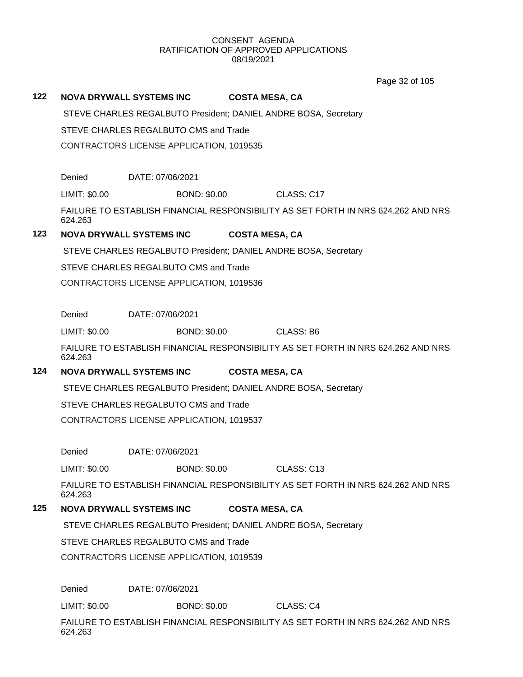Page 32 of 105

#### **122 NOVA DRYWALL SYSTEMS INC COSTA MESA, CA**

STEVE CHARLES REGALBUTO President; DANIEL ANDRE BOSA, Secretary

STEVE CHARLES REGALBUTO CMS and Trade

CONTRACTORS LICENSE APPLICATION, 1019535

Denied DATE: 07/06/2021

LIMIT: \$0.00 BOND: \$0.00 CLASS: C17

FAILURE TO ESTABLISH FINANCIAL RESPONSIBILITY AS SET FORTH IN NRS 624.262 AND NRS 624.263

# **123 NOVA DRYWALL SYSTEMS INC COSTA MESA, CA**

STEVE CHARLES REGALBUTO President; DANIEL ANDRE BOSA, Secretary

STEVE CHARLES REGALBUTO CMS and Trade

CONTRACTORS LICENSE APPLICATION, 1019536

Denied DATE: 07/06/2021

LIMIT: \$0.00 BOND: \$0.00 CLASS: B6

FAILURE TO ESTABLISH FINANCIAL RESPONSIBILITY AS SET FORTH IN NRS 624.262 AND NRS 624.263

# **124 NOVA DRYWALL SYSTEMS INC COSTA MESA, CA**

STEVE CHARLES REGALBUTO President; DANIEL ANDRE BOSA, Secretary

STEVE CHARLES REGALBUTO CMS and Trade

CONTRACTORS LICENSE APPLICATION, 1019537

Denied DATE: 07/06/2021

LIMIT: \$0.00 BOND: \$0.00 CLASS: C13

FAILURE TO ESTABLISH FINANCIAL RESPONSIBILITY AS SET FORTH IN NRS 624.262 AND NRS 624.263

### **125 NOVA DRYWALL SYSTEMS INC COSTA MESA, CA**

STEVE CHARLES REGALBUTO President; DANIEL ANDRE BOSA, Secretary

STEVE CHARLES REGALBUTO CMS and Trade

CONTRACTORS LICENSE APPLICATION, 1019539

Denied DATE: 07/06/2021

LIMIT: \$0.00 BOND: \$0.00 CLASS: C4

FAILURE TO ESTABLISH FINANCIAL RESPONSIBILITY AS SET FORTH IN NRS 624.262 AND NRS 624.263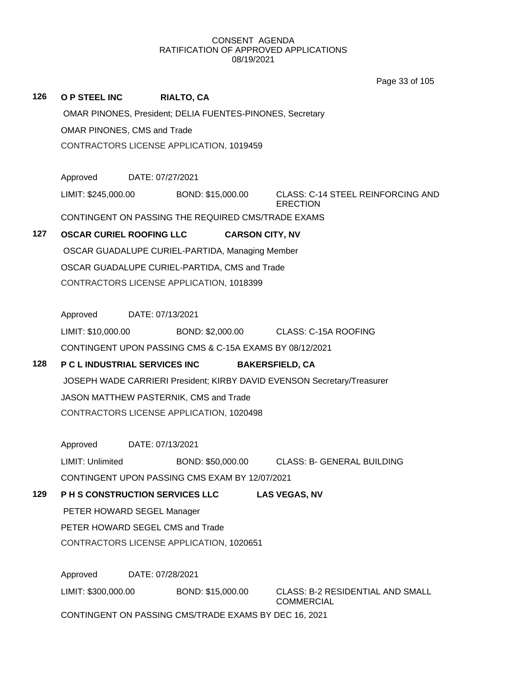Page 33 of 105

| 126                              | <b>O P STEEL INC</b>                                                                                              |                                                         | <b>RIALTO, CA</b>                                       |                                                              |  |  |  |  |  |
|----------------------------------|-------------------------------------------------------------------------------------------------------------------|---------------------------------------------------------|---------------------------------------------------------|--------------------------------------------------------------|--|--|--|--|--|
|                                  | OMAR PINONES, President; DELIA FUENTES-PINONES, Secretary                                                         |                                                         |                                                         |                                                              |  |  |  |  |  |
|                                  | OMAR PINONES, CMS and Trade<br>CONTRACTORS LICENSE APPLICATION, 1019459                                           |                                                         |                                                         |                                                              |  |  |  |  |  |
|                                  |                                                                                                                   |                                                         |                                                         |                                                              |  |  |  |  |  |
|                                  |                                                                                                                   |                                                         |                                                         |                                                              |  |  |  |  |  |
|                                  | Approved                                                                                                          | DATE: 07/27/2021                                        |                                                         |                                                              |  |  |  |  |  |
|                                  | LIMIT: \$245,000.00                                                                                               |                                                         | BOND: \$15,000.00                                       | <b>CLASS: C-14 STEEL REINFORCING AND</b><br><b>ERECTION</b>  |  |  |  |  |  |
|                                  | CONTINGENT ON PASSING THE REQUIRED CMS/TRADE EXAMS                                                                |                                                         |                                                         |                                                              |  |  |  |  |  |
| 127                              | <b>OSCAR CURIEL ROOFING LLC</b><br><b>CARSON CITY, NV</b>                                                         |                                                         |                                                         |                                                              |  |  |  |  |  |
|                                  | OSCAR GUADALUPE CURIEL-PARTIDA, Managing Member<br>OSCAR GUADALUPE CURIEL-PARTIDA, CMS and Trade                  |                                                         |                                                         |                                                              |  |  |  |  |  |
|                                  |                                                                                                                   |                                                         |                                                         |                                                              |  |  |  |  |  |
|                                  | CONTRACTORS LICENSE APPLICATION, 1018399                                                                          |                                                         |                                                         |                                                              |  |  |  |  |  |
|                                  |                                                                                                                   |                                                         |                                                         |                                                              |  |  |  |  |  |
|                                  | Approved                                                                                                          | DATE: 07/13/2021                                        |                                                         |                                                              |  |  |  |  |  |
|                                  | LIMIT: \$10,000.00                                                                                                |                                                         | BOND: \$2,000.00                                        | <b>CLASS: C-15A ROOFING</b>                                  |  |  |  |  |  |
|                                  |                                                                                                                   |                                                         | CONTINGENT UPON PASSING CMS & C-15A EXAMS BY 08/12/2021 |                                                              |  |  |  |  |  |
| 128                              |                                                                                                                   | P C L INDUSTRIAL SERVICES INC<br><b>BAKERSFIELD, CA</b> |                                                         |                                                              |  |  |  |  |  |
|                                  | JOSEPH WADE CARRIERI President; KIRBY DAVID EVENSON Secretary/Treasurer<br>JASON MATTHEW PASTERNIK, CMS and Trade |                                                         |                                                         |                                                              |  |  |  |  |  |
|                                  |                                                                                                                   |                                                         |                                                         |                                                              |  |  |  |  |  |
|                                  | CONTRACTORS LICENSE APPLICATION, 1020498                                                                          |                                                         |                                                         |                                                              |  |  |  |  |  |
|                                  | Approved                                                                                                          | DATE: 07/13/2021                                        |                                                         |                                                              |  |  |  |  |  |
|                                  | LIMIT: Unlimited                                                                                                  |                                                         | BOND: \$50,000.00                                       | <b>CLASS: B- GENERAL BUILDING</b>                            |  |  |  |  |  |
|                                  | CONTINGENT UPON PASSING CMS EXAM BY 12/07/2021                                                                    |                                                         |                                                         |                                                              |  |  |  |  |  |
| 129                              | <b>LAS VEGAS, NV</b>                                                                                              |                                                         |                                                         |                                                              |  |  |  |  |  |
|                                  |                                                                                                                   | PETER HOWARD SEGEL Manager                              |                                                         |                                                              |  |  |  |  |  |
| PETER HOWARD SEGEL CMS and Trade |                                                                                                                   |                                                         |                                                         |                                                              |  |  |  |  |  |
|                                  |                                                                                                                   | CONTRACTORS LICENSE APPLICATION, 1020651                |                                                         |                                                              |  |  |  |  |  |
|                                  | Approved<br>DATE: 07/28/2021                                                                                      |                                                         |                                                         |                                                              |  |  |  |  |  |
|                                  | LIMIT: \$300,000.00                                                                                               |                                                         | BOND: \$15,000.00                                       | <b>CLASS: B-2 RESIDENTIAL AND SMALL</b><br><b>COMMERCIAL</b> |  |  |  |  |  |
|                                  | CONTINGENT ON PASSING CMS/TRADE EXAMS BY DEC 16, 2021                                                             |                                                         |                                                         |                                                              |  |  |  |  |  |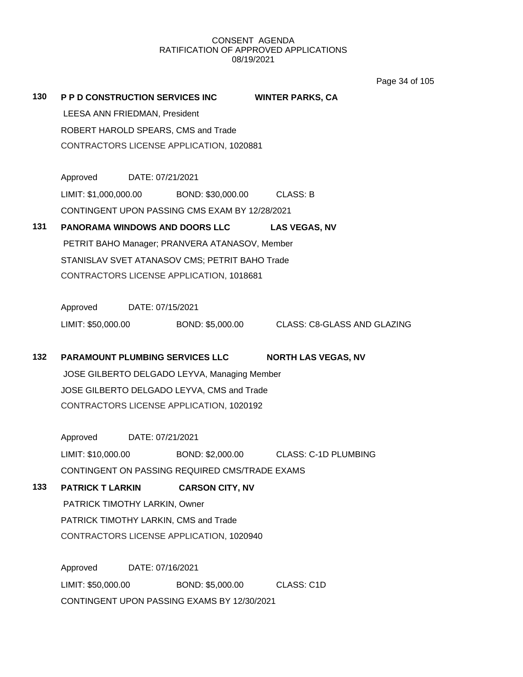Page 34 of 105

| 130 | P P D CONSTRUCTION SERVICES INC WINTER PARKS, CA                                                                 |                  |                                                  |                                                                 |  |
|-----|------------------------------------------------------------------------------------------------------------------|------------------|--------------------------------------------------|-----------------------------------------------------------------|--|
|     | LEESA ANN FRIEDMAN, President<br>ROBERT HAROLD SPEARS, CMS and Trade<br>CONTRACTORS LICENSE APPLICATION, 1020881 |                  |                                                  |                                                                 |  |
|     |                                                                                                                  |                  |                                                  |                                                                 |  |
|     |                                                                                                                  |                  |                                                  |                                                                 |  |
|     | Approved DATE: 07/21/2021                                                                                        |                  |                                                  |                                                                 |  |
|     |                                                                                                                  |                  | LIMIT: \$1,000,000.00 BOND: \$30,000.00 CLASS: B |                                                                 |  |
|     |                                                                                                                  |                  | CONTINGENT UPON PASSING CMS EXAM BY 12/28/2021   |                                                                 |  |
| 131 |                                                                                                                  |                  |                                                  | PANORAMA WINDOWS AND DOORS LLC LAS VEGAS, NV                    |  |
|     |                                                                                                                  |                  | PETRIT BAHO Manager; PRANVERA ATANASOV, Member   |                                                                 |  |
|     |                                                                                                                  |                  | STANISLAV SVET ATANASOV CMS; PETRIT BAHO Trade   |                                                                 |  |
|     |                                                                                                                  |                  | CONTRACTORS LICENSE APPLICATION, 1018681         |                                                                 |  |
|     | Approved DATE: 07/15/2021                                                                                        |                  |                                                  |                                                                 |  |
|     |                                                                                                                  |                  |                                                  | LIMIT: \$50,000.00 BOND: \$5,000.00 CLASS: C8-GLASS AND GLAZING |  |
|     |                                                                                                                  |                  |                                                  |                                                                 |  |
| 132 |                                                                                                                  |                  | <b>PARAMOUNT PLUMBING SERVICES LLC</b>           | <b>NORTH LAS VEGAS, NV</b>                                      |  |
|     |                                                                                                                  |                  | JOSE GILBERTO DELGADO LEYVA, Managing Member     |                                                                 |  |
|     |                                                                                                                  |                  | JOSE GILBERTO DELGADO LEYVA, CMS and Trade       |                                                                 |  |
|     |                                                                                                                  |                  | CONTRACTORS LICENSE APPLICATION, 1020192         |                                                                 |  |
|     | Approved DATE: 07/21/2021                                                                                        |                  |                                                  |                                                                 |  |
|     |                                                                                                                  |                  |                                                  | LIMIT: \$10,000.00 BOND: \$2,000.00 CLASS: C-1D PLUMBING        |  |
|     |                                                                                                                  |                  | CONTINGENT ON PASSING REQUIRED CMS/TRADE EXAMS   |                                                                 |  |
| 133 | PATRICK T LARKIN                                                                                                 |                  | <b>CARSON CITY, NV</b>                           |                                                                 |  |
|     | PATRICK TIMOTHY LARKIN, Owner                                                                                    |                  |                                                  |                                                                 |  |
|     |                                                                                                                  |                  | PATRICK TIMOTHY LARKIN, CMS and Trade            |                                                                 |  |
|     |                                                                                                                  |                  | CONTRACTORS LICENSE APPLICATION, 1020940         |                                                                 |  |
|     | Approved                                                                                                         | DATE: 07/16/2021 |                                                  |                                                                 |  |
|     | LIMIT: \$50,000.00                                                                                               |                  | BOND: \$5,000.00                                 | CLASS: C1D                                                      |  |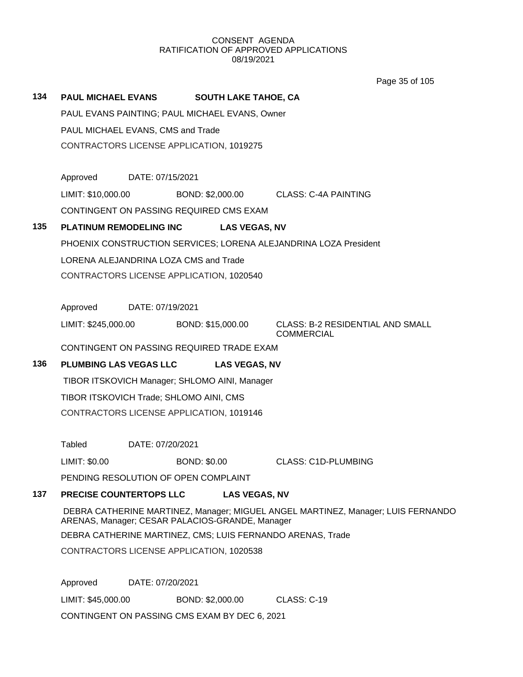Page 35 of 105

| 134 | <b>PAUL MICHAEL EVANS</b><br><b>SOUTH LAKE TAHOE, CA</b> |                  |                     |                      |                                                                                  |
|-----|----------------------------------------------------------|------------------|---------------------|----------------------|----------------------------------------------------------------------------------|
|     | PAUL EVANS PAINTING; PAUL MICHAEL EVANS, Owner           |                  |                     |                      |                                                                                  |
|     | PAUL MICHAEL EVANS, CMS and Trade                        |                  |                     |                      |                                                                                  |
|     | CONTRACTORS LICENSE APPLICATION, 1019275                 |                  |                     |                      |                                                                                  |
|     |                                                          |                  |                     |                      |                                                                                  |
|     | Approved                                                 | DATE: 07/15/2021 |                     |                      |                                                                                  |
|     | LIMIT: \$10,000.00                                       |                  | BOND: \$2,000.00    |                      | CLASS: C-4A PAINTING                                                             |
|     | CONTINGENT ON PASSING REQUIRED CMS EXAM                  |                  |                     |                      |                                                                                  |
| 135 | <b>PLATINUM REMODELING INC</b>                           |                  |                     | <b>LAS VEGAS, NV</b> |                                                                                  |
|     |                                                          |                  |                     |                      | PHOENIX CONSTRUCTION SERVICES; LORENA ALEJANDRINA LOZA President                 |
|     | LORENA ALEJANDRINA LOZA CMS and Trade                    |                  |                     |                      |                                                                                  |
|     | CONTRACTORS LICENSE APPLICATION, 1020540                 |                  |                     |                      |                                                                                  |
|     |                                                          |                  |                     |                      |                                                                                  |
|     | Approved                                                 | DATE: 07/19/2021 |                     |                      |                                                                                  |
|     | LIMIT: \$245,000.00                                      |                  | BOND: \$15,000.00   |                      | <b>CLASS: B-2 RESIDENTIAL AND SMALL</b><br><b>COMMERCIAL</b>                     |
|     | CONTINGENT ON PASSING REQUIRED TRADE EXAM                |                  |                     |                      |                                                                                  |
| 136 | <b>PLUMBING LAS VEGAS LLC</b>                            |                  |                     | <b>LAS VEGAS, NV</b> |                                                                                  |
|     | TIBOR ITSKOVICH Manager; SHLOMO AINI, Manager            |                  |                     |                      |                                                                                  |
|     | TIBOR ITSKOVICH Trade; SHLOMO AINI, CMS                  |                  |                     |                      |                                                                                  |
|     | CONTRACTORS LICENSE APPLICATION, 1019146                 |                  |                     |                      |                                                                                  |
|     |                                                          |                  |                     |                      |                                                                                  |
|     | Tabled                                                   | DATE: 07/20/2021 |                     |                      |                                                                                  |
|     | LIMIT: \$0.00                                            |                  | <b>BOND: \$0.00</b> |                      | <b>CLASS: C1D-PLUMBING</b>                                                       |
|     | PENDING RESOLUTION OF OPEN COMPLAINT                     |                  |                     |                      |                                                                                  |
| 137 | PRECISE COUNTERTOPS LLC                                  |                  |                     | <b>LAS VEGAS, NV</b> |                                                                                  |
|     | ARENAS, Manager; CESAR PALACIOS-GRANDE, Manager          |                  |                     |                      | DEBRA CATHERINE MARTINEZ, Manager; MIGUEL ANGEL MARTINEZ, Manager; LUIS FERNANDO |
|     |                                                          |                  |                     |                      | DEBRA CATHERINE MARTINEZ, CMS; LUIS FERNANDO ARENAS, Trade                       |
|     | CONTRACTORS LICENSE ARRIVATION 4000500                   |                  |                     |                      |                                                                                  |

CONTRACTORS LICENSE APPLICATION, 1020538

Approved DATE: 07/20/2021

LIMIT: \$45,000.00 BOND: \$2,000.00 CLASS: C-19

CONTINGENT ON PASSING CMS EXAM BY DEC 6, 2021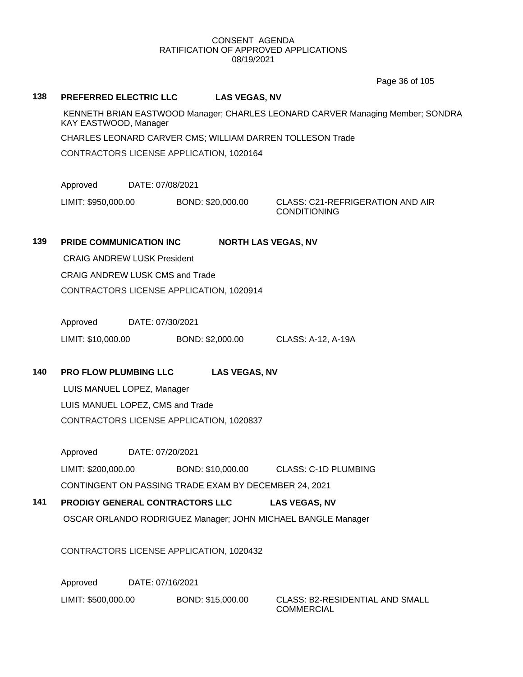Page 36 of 105

## **138 PREFERRED ELECTRIC LLC LAS VEGAS, NV**

KENNETH BRIAN EASTWOOD Manager; CHARLES LEONARD CARVER Managing Member; SONDRA KAY EASTWOOD, Manager

CHARLES LEONARD CARVER CMS; WILLIAM DARREN TOLLESON Trade

CONTRACTORS LICENSE APPLICATION, 1020164

Approved DATE: 07/08/2021

LIMIT: \$950,000.00 BOND: \$20,000.00 CLASS: C21-REFRIGERATION AND AIR

CONDITIONING

# **139 PRIDE COMMUNICATION INC NORTH LAS VEGAS, NV**

CRAIG ANDREW LUSK President CRAIG ANDREW LUSK CMS and Trade CONTRACTORS LICENSE APPLICATION, 1020914

Approved DATE: 07/30/2021 LIMIT: \$10,000.00 BOND: \$2,000.00 CLASS: A-12, A-19A

**140 PRO FLOW PLUMBING LLC LAS VEGAS, NV**

LUIS MANUEL LOPEZ, Manager LUIS MANUEL LOPEZ, CMS and Trade CONTRACTORS LICENSE APPLICATION, 1020837

Approved DATE: 07/20/2021 LIMIT: \$200,000.00 BOND: \$10,000.00 CLASS: C-1D PLUMBING CONTINGENT ON PASSING TRADE EXAM BY DECEMBER 24, 2021

# **141 PRODIGY GENERAL CONTRACTORS LLC LAS VEGAS, NV**

OSCAR ORLANDO RODRIGUEZ Manager; JOHN MICHAEL BANGLE Manager

CONTRACTORS LICENSE APPLICATION, 1020432

Approved DATE: 07/16/2021

LIMIT: \$500,000.00 BOND: \$15,000.00 CLASS: B2-RESIDENTIAL AND SMALL

**COMMERCIAL**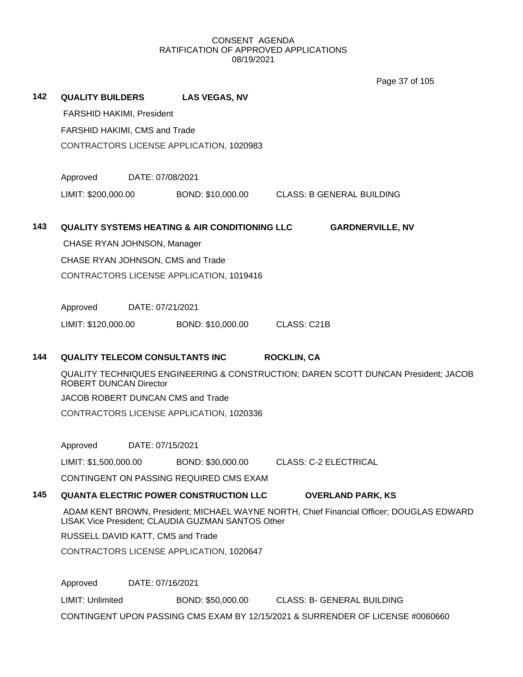Page 37 of 105

| 142 | <b>QUALITY BUILDERS</b>           |                  | <b>LAS VEGAS, NV</b>                                      |                                                                                          |
|-----|-----------------------------------|------------------|-----------------------------------------------------------|------------------------------------------------------------------------------------------|
|     | FARSHID HAKIMI, President         |                  |                                                           |                                                                                          |
|     | FARSHID HAKIMI, CMS and Trade     |                  |                                                           |                                                                                          |
|     |                                   |                  | CONTRACTORS LICENSE APPLICATION, 1020983                  |                                                                                          |
|     |                                   |                  |                                                           |                                                                                          |
|     | Approved                          | DATE: 07/08/2021 |                                                           |                                                                                          |
|     | LIMIT: \$200,000.00               |                  |                                                           | BOND: \$10,000.00 CLASS: B GENERAL BUILDING                                              |
| 143 |                                   |                  | <b>QUALITY SYSTEMS HEATING &amp; AIR CONDITIONING LLC</b> | <b>GARDNERVILLE, NV</b>                                                                  |
|     | CHASE RYAN JOHNSON, Manager       |                  |                                                           |                                                                                          |
|     | CHASE RYAN JOHNSON, CMS and Trade |                  |                                                           |                                                                                          |
|     |                                   |                  | CONTRACTORS LICENSE APPLICATION, 1019416                  |                                                                                          |
|     |                                   |                  |                                                           |                                                                                          |
|     | Approved                          | DATE: 07/21/2021 |                                                           |                                                                                          |
|     | LIMIT: \$120,000.00               |                  | BOND: \$10,000.00                                         | CLASS: C21B                                                                              |
|     |                                   |                  |                                                           |                                                                                          |
| 144 | QUALITY TELECOM CONSULTANTS INC   |                  |                                                           | <b>ROCKLIN, CA</b>                                                                       |
|     | <b>ROBERT DUNCAN Director</b>     |                  |                                                           | QUALITY TECHNIQUES ENGINEERING & CONSTRUCTION; DAREN SCOTT DUNCAN President; JACOB       |
|     | JACOB ROBERT DUNCAN CMS and Trade |                  |                                                           |                                                                                          |
|     |                                   |                  | CONTRACTORS LICENSE APPLICATION, 1020336                  |                                                                                          |
|     |                                   |                  |                                                           |                                                                                          |
|     | Approved                          | DATE: 07/15/2021 |                                                           |                                                                                          |
|     | LIMIT: \$1,500,000.00             |                  | BOND: \$30,000.00                                         | <b>CLASS: C-2 ELECTRICAL</b>                                                             |
|     |                                   |                  | CONTINGENT ON PASSING REQUIRED CMS EXAM                   |                                                                                          |
| 145 |                                   |                  | <b>QUANTA ELECTRIC POWER CONSTRUCTION LLC</b>             | <b>OVERLAND PARK, KS</b>                                                                 |
|     |                                   |                  | LISAK Vice President; CLAUDIA GUZMAN SANTOS Other         | ADAM KENT BROWN, President; MICHAEL WAYNE NORTH, Chief Financial Officer; DOUGLAS EDWARD |
|     | RUSSELL DAVID KATT, CMS and Trade |                  |                                                           |                                                                                          |
|     |                                   |                  | CONTRACTORS LICENSE APPLICATION, 1020647                  |                                                                                          |
|     | Approved                          | DATE: 07/16/2021 |                                                           |                                                                                          |
|     | <b>LIMIT: Unlimited</b>           |                  | BOND: \$50,000.00                                         | <b>CLASS: B- GENERAL BUILDING</b>                                                        |
|     |                                   |                  |                                                           | CONTINGENT UPON PASSING CMS EXAM BY 12/15/2021 & SURRENDER OF LICENSE #0060660           |
|     |                                   |                  |                                                           |                                                                                          |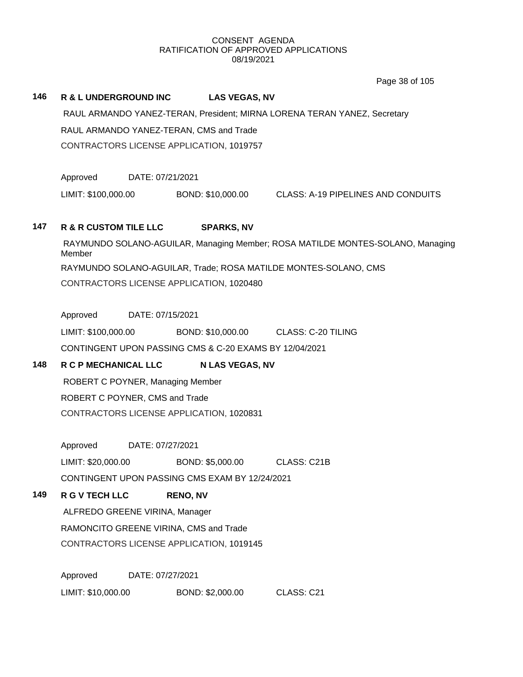Page 38 of 105

# **146 R & L UNDERGROUND INC LAS VEGAS, NV**

RAUL ARMANDO YANEZ-TERAN, President; MIRNA LORENA TERAN YANEZ, Secretary RAUL ARMANDO YANEZ-TERAN, CMS and Trade CONTRACTORS LICENSE APPLICATION, 1019757

Approved DATE: 07/21/2021

LIMIT: \$100,000.00 BOND: \$10,000.00 CLASS: A-19 PIPELINES AND CONDUITS

# **147 R & R CUSTOM TILE LLC SPARKS, NV**

RAYMUNDO SOLANO-AGUILAR, Managing Member; ROSA MATILDE MONTES-SOLANO, Managing Member RAYMUNDO SOLANO-AGUILAR, Trade; ROSA MATILDE MONTES-SOLANO, CMS CONTRACTORS LICENSE APPLICATION, 1020480

Approved DATE: 07/15/2021

LIMIT: \$100,000.00 BOND: \$10,000.00 CLASS: C-20 TILING CONTINGENT UPON PASSING CMS & C-20 EXAMS BY 12/04/2021

# **148 R C P MECHANICAL LLC N LAS VEGAS, NV**

ROBERT C POYNER, Managing Member ROBERT C POYNER, CMS and Trade CONTRACTORS LICENSE APPLICATION, 1020831

Approved DATE: 07/27/2021

LIMIT: \$20,000.00 BOND: \$5,000.00 CLASS: C21B

CONTINGENT UPON PASSING CMS EXAM BY 12/24/2021

# **149 R G V TECH LLC RENO, NV**

ALFREDO GREENE VIRINA, Manager RAMONCITO GREENE VIRINA, CMS and Trade CONTRACTORS LICENSE APPLICATION, 1019145

Approved DATE: 07/27/2021 LIMIT: \$10,000.00 BOND: \$2,000.00 CLASS: C21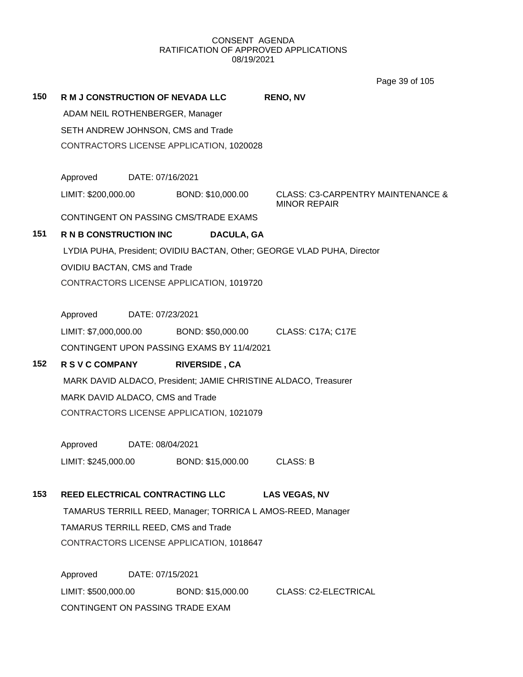Page 39 of 105

| 150 | R M J CONSTRUCTION OF NEVADA LLC         |                  |                                            | <b>RENO, NV</b>                                                         |  |
|-----|------------------------------------------|------------------|--------------------------------------------|-------------------------------------------------------------------------|--|
|     | ADAM NEIL ROTHENBERGER, Manager          |                  |                                            |                                                                         |  |
|     | SETH ANDREW JOHNSON, CMS and Trade       |                  |                                            |                                                                         |  |
|     | CONTRACTORS LICENSE APPLICATION, 1020028 |                  |                                            |                                                                         |  |
|     | Approved                                 | DATE: 07/16/2021 |                                            |                                                                         |  |
|     | LIMIT: \$200,000.00                      |                  | BOND: \$10,000.00                          | <b>CLASS: C3-CARPENTRY MAINTENANCE &amp;</b><br><b>MINOR REPAIR</b>     |  |
|     |                                          |                  | CONTINGENT ON PASSING CMS/TRADE EXAMS      |                                                                         |  |
| 151 | <b>R N B CONSTRUCTION INC</b>            |                  | DACULA, GA                                 |                                                                         |  |
|     |                                          |                  |                                            | LYDIA PUHA, President; OVIDIU BACTAN, Other; GEORGE VLAD PUHA, Director |  |
|     | <b>OVIDIU BACTAN, CMS and Trade</b>      |                  |                                            |                                                                         |  |
|     |                                          |                  | CONTRACTORS LICENSE APPLICATION, 1019720   |                                                                         |  |
|     | Approved                                 | DATE: 07/23/2021 |                                            |                                                                         |  |
|     | LIMIT: \$7,000,000.00                    |                  | BOND: \$50,000.00                          | <b>CLASS: C17A; C17E</b>                                                |  |
|     |                                          |                  | CONTINGENT UPON PASSING EXAMS BY 11/4/2021 |                                                                         |  |
| 152 | <b>R S V C COMPANY</b>                   |                  | <b>RIVERSIDE, CA</b>                       |                                                                         |  |
|     |                                          |                  |                                            | MARK DAVID ALDACO, President; JAMIE CHRISTINE ALDACO, Treasurer         |  |
|     | MARK DAVID ALDACO, CMS and Trade         |                  |                                            |                                                                         |  |
|     | CONTRACTORS LICENSE APPLICATION, 1021079 |                  |                                            |                                                                         |  |
|     | Approved                                 | DATE: 08/04/2021 |                                            |                                                                         |  |
|     | LIMIT: \$245,000.00                      |                  | BOND: \$15,000.00                          | <b>CLASS: B</b>                                                         |  |
| 153 | <b>REED ELECTRICAL CONTRACTING LLC</b>   |                  |                                            | <b>LAS VEGAS, NV</b>                                                    |  |
|     |                                          |                  |                                            | TAMARUS TERRILL REED, Manager; TORRICA L AMOS-REED, Manager             |  |
|     | TAMARUS TERRILL REED, CMS and Trade      |                  |                                            |                                                                         |  |
|     | CONTRACTORS LICENSE APPLICATION, 1018647 |                  |                                            |                                                                         |  |
|     | Approved                                 | DATE: 07/15/2021 |                                            |                                                                         |  |
|     | LIMIT: \$500,000.00                      |                  | BOND: \$15,000.00                          | <b>CLASS: C2-ELECTRICAL</b>                                             |  |
|     | CONTINGENT ON PASSING TRADE EXAM         |                  |                                            |                                                                         |  |
|     |                                          |                  |                                            |                                                                         |  |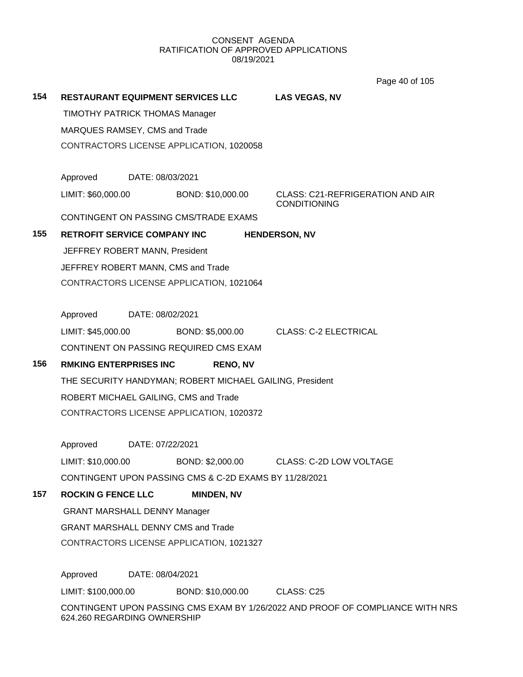Page 40 of 105

**154 RESTAURANT EQUIPMENT SERVICES LLC LAS VEGAS, NV** TIMOTHY PATRICK THOMAS Manager MARQUES RAMSEY, CMS and Trade CONTRACTORS LICENSE APPLICATION, 1020058 Approved DATE: 08/03/2021 LIMIT: \$60,000.00 BOND: \$10,000.00 CLASS: C21-REFRIGERATION AND AIR CONDITIONING CONTINGENT ON PASSING CMS/TRADE EXAMS **155 RETROFIT SERVICE COMPANY INC HENDERSON, NV** JEFFREY ROBERT MANN, President JEFFREY ROBERT MANN, CMS and Trade CONTRACTORS LICENSE APPLICATION, 1021064 Approved DATE: 08/02/2021 LIMIT: \$45,000.00 BOND: \$5,000.00 CLASS: C-2 ELECTRICAL CONTINENT ON PASSING REQUIRED CMS EXAM **156 RMKING ENTERPRISES INC RENO, NV** THE SECURITY HANDYMAN; ROBERT MICHAEL GAILING, President ROBERT MICHAEL GAILING, CMS and Trade CONTRACTORS LICENSE APPLICATION, 1020372 Approved DATE: 07/22/2021 LIMIT: \$10,000.00 BOND: \$2,000.00 CLASS: C-2D LOW VOLTAGE CONTINGENT UPON PASSING CMS & C-2D EXAMS BY 11/28/2021 **157 ROCKIN G FENCE LLC MINDEN, NV** GRANT MARSHALL DENNY Manager GRANT MARSHALL DENNY CMS and Trade CONTRACTORS LICENSE APPLICATION, 1021327 Approved DATE: 08/04/2021 LIMIT: \$100,000.00 BOND: \$10,000.00 CLASS: C25 CONTINGENT UPON PASSING CMS EXAM BY 1/26/2022 AND PROOF OF COMPLIANCE WITH NRS 624.260 REGARDING OWNERSHIP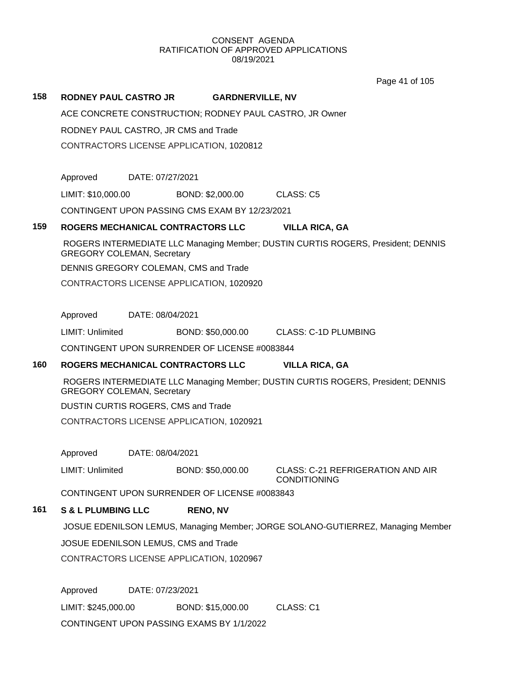Page 41 of 105

## **158 RODNEY PAUL CASTRO JR GARDNERVILLE, NV**

ACE CONCRETE CONSTRUCTION; RODNEY PAUL CASTRO, JR Owner

RODNEY PAUL CASTRO, JR CMS and Trade

CONTRACTORS LICENSE APPLICATION, 1020812

Approved DATE: 07/27/2021

LIMIT: \$10,000.00 BOND: \$2,000.00 CLASS: C5

CONTINGENT UPON PASSING CMS EXAM BY 12/23/2021

## **159 ROGERS MECHANICAL CONTRACTORS LLC VILLA RICA, GA**

ROGERS INTERMEDIATE LLC Managing Member; DUSTIN CURTIS ROGERS, President; DENNIS GREGORY COLEMAN, Secretary

DENNIS GREGORY COLEMAN, CMS and Trade

CONTRACTORS LICENSE APPLICATION, 1020920

Approved DATE: 08/04/2021

LIMIT: Unlimited BOND: \$50,000.00 CLASS: C-1D PLUMBING

CONTINGENT UPON SURRENDER OF LICENSE #0083844

# **160 ROGERS MECHANICAL CONTRACTORS LLC VILLA RICA, GA**

ROGERS INTERMEDIATE LLC Managing Member; DUSTIN CURTIS ROGERS, President; DENNIS GREGORY COLEMAN, Secretary

DUSTIN CURTIS ROGERS, CMS and Trade

CONTRACTORS LICENSE APPLICATION, 1020921

Approved DATE: 08/04/2021

LIMIT: Unlimited BOND: \$50,000.00 CLASS: C-21 REFRIGERATION AND AIR

**CONDITIONING** 

CONTINGENT UPON SURRENDER OF LICENSE #0083843

# **161 S & L PLUMBING LLC RENO, NV**

JOSUE EDENILSON LEMUS, Managing Member; JORGE SOLANO-GUTIERREZ, Managing Member JOSUE EDENILSON LEMUS, CMS and Trade CONTRACTORS LICENSE APPLICATION, 1020967

Approved DATE: 07/23/2021 LIMIT: \$245,000.00 BOND: \$15,000.00 CLASS: C1 CONTINGENT UPON PASSING EXAMS BY 1/1/2022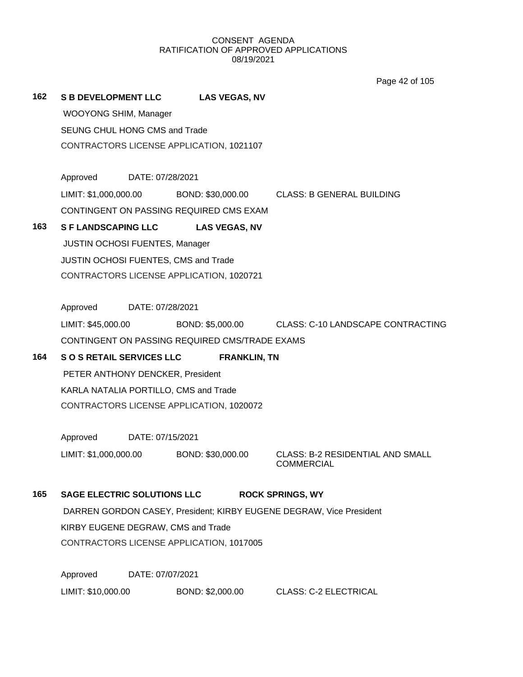Page 42 of 105

# **162 S B DEVELOPMENT LLC LAS VEGAS, NV**

WOOYONG SHIM, Manager SEUNG CHUL HONG CMS and Trade CONTRACTORS LICENSE APPLICATION, 1021107

Approved DATE: 07/28/2021

LIMIT: \$1,000,000.00 BOND: \$30,000.00 CLASS: B GENERAL BUILDING

CONTINGENT ON PASSING REQUIRED CMS EXAM

# **163 S F LANDSCAPING LLC LAS VEGAS, NV**

JUSTIN OCHOSI FUENTES, Manager JUSTIN OCHOSI FUENTES, CMS and Trade CONTRACTORS LICENSE APPLICATION, 1020721

Approved DATE: 07/28/2021

LIMIT: \$45,000.00 BOND: \$5,000.00 CLASS: C-10 LANDSCAPE CONTRACTING CONTINGENT ON PASSING REQUIRED CMS/TRADE EXAMS

# **164 S O S RETAIL SERVICES LLC FRANKLIN, TN**

PETER ANTHONY DENCKER, President KARLA NATALIA PORTILLO, CMS and Trade CONTRACTORS LICENSE APPLICATION, 1020072

Approved DATE: 07/15/2021

LIMIT: \$1,000,000.00 BOND: \$30,000.00 CLASS: B-2 RESIDENTIAL AND SMALL

COMMERCIAL

# **165 SAGE ELECTRIC SOLUTIONS LLC ROCK SPRINGS, WY**

DARREN GORDON CASEY, President; KIRBY EUGENE DEGRAW, Vice President KIRBY EUGENE DEGRAW, CMS and Trade CONTRACTORS LICENSE APPLICATION, 1017005

Approved DATE: 07/07/2021 LIMIT: \$10,000.00 BOND: \$2,000.00 CLASS: C-2 ELECTRICAL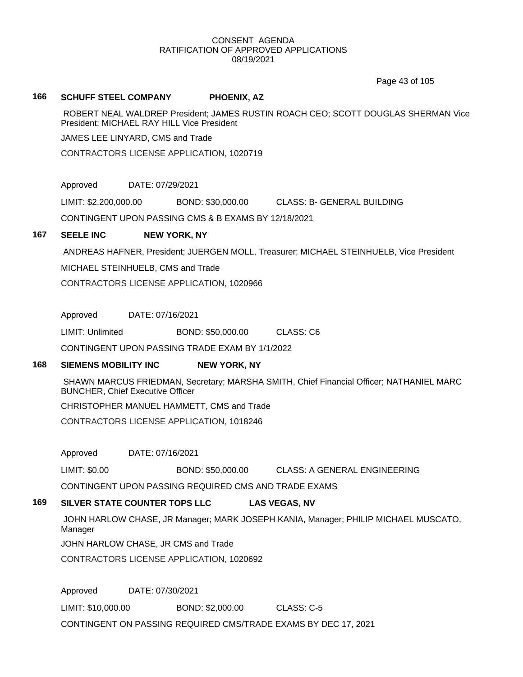Page 43 of 105

## **166 SCHUFF STEEL COMPANY PHOENIX, AZ**

ROBERT NEAL WALDREP President; JAMES RUSTIN ROACH CEO; SCOTT DOUGLAS SHERMAN Vice President; MICHAEL RAY HILL Vice President

JAMES LEE LINYARD, CMS and Trade

CONTRACTORS LICENSE APPLICATION, 1020719

Approved DATE: 07/29/2021

LIMIT: \$2,200,000.00 BOND: \$30,000.00 CLASS: B- GENERAL BUILDING

CONTINGENT UPON PASSING CMS & B EXAMS BY 12/18/2021

# **167 SEELE INC NEW YORK, NY**

ANDREAS HAFNER, President; JUERGEN MOLL, Treasurer; MICHAEL STEINHUELB, Vice President

MICHAEL STEINHUELB, CMS and Trade

CONTRACTORS LICENSE APPLICATION, 1020966

Approved DATE: 07/16/2021

LIMIT: Unlimited BOND: \$50,000.00 CLASS: C6

CONTINGENT UPON PASSING TRADE EXAM BY 1/1/2022

# **168 SIEMENS MOBILITY INC NEW YORK, NY**

SHAWN MARCUS FRIEDMAN, Secretary; MARSHA SMITH, Chief Financial Officer; NATHANIEL MARC BUNCHER, Chief Executive Officer

CHRISTOPHER MANUEL HAMMETT, CMS and Trade

CONTRACTORS LICENSE APPLICATION, 1018246

Approved DATE: 07/16/2021

LIMIT: \$0.00 BOND: \$50,000.00 CLASS: A GENERAL ENGINEERING

CONTINGENT UPON PASSING REQUIRED CMS AND TRADE EXAMS

# **169 SILVER STATE COUNTER TOPS LLC LAS VEGAS, NV**

JOHN HARLOW CHASE, JR Manager; MARK JOSEPH KANIA, Manager; PHILIP MICHAEL MUSCATO, Manager

JOHN HARLOW CHASE, JR CMS and Trade

CONTRACTORS LICENSE APPLICATION, 1020692

Approved DATE: 07/30/2021

LIMIT: \$10,000.00 BOND: \$2,000.00 CLASS: C-5

CONTINGENT ON PASSING REQUIRED CMS/TRADE EXAMS BY DEC 17, 2021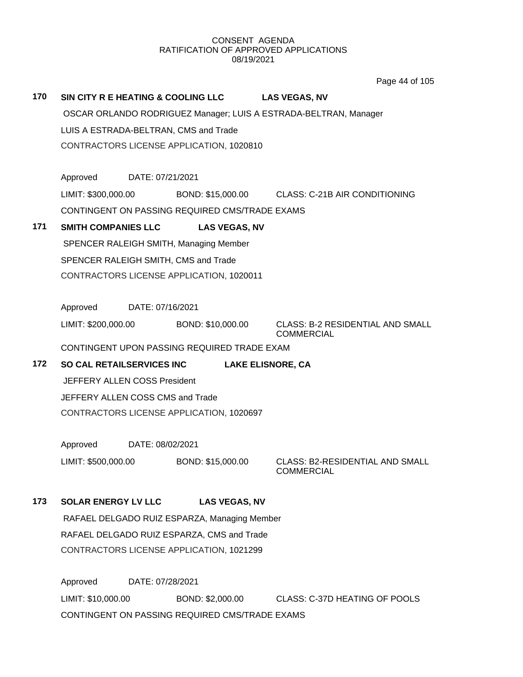Page 44 of 105

| 170 | SIN CITY R E HEATING & COOLING LLC LAS VEGAS, NV                 |                                          |                                                |                                                 |  |  |
|-----|------------------------------------------------------------------|------------------------------------------|------------------------------------------------|-------------------------------------------------|--|--|
|     | OSCAR ORLANDO RODRIGUEZ Manager; LUIS A ESTRADA-BELTRAN, Manager |                                          |                                                |                                                 |  |  |
|     | LUIS A ESTRADA-BELTRAN, CMS and Trade                            |                                          |                                                |                                                 |  |  |
|     |                                                                  | CONTRACTORS LICENSE APPLICATION, 1020810 |                                                |                                                 |  |  |
|     |                                                                  |                                          |                                                |                                                 |  |  |
|     | Approved                                                         | DATE: 07/21/2021                         |                                                |                                                 |  |  |
|     | LIMIT: \$300,000.00                                              |                                          |                                                | BOND: \$15,000.00 CLASS: C-21B AIR CONDITIONING |  |  |
|     |                                                                  |                                          | CONTINGENT ON PASSING REQUIRED CMS/TRADE EXAMS |                                                 |  |  |
| 171 | <b>SMITH COMPANIES LLC</b>                                       |                                          | <b>LAS VEGAS, NV</b>                           |                                                 |  |  |
|     |                                                                  |                                          | SPENCER RALEIGH SMITH, Managing Member         |                                                 |  |  |
|     |                                                                  |                                          | SPENCER RALEIGH SMITH, CMS and Trade           |                                                 |  |  |
|     |                                                                  |                                          | CONTRACTORS LICENSE APPLICATION, 1020011       |                                                 |  |  |
|     |                                                                  |                                          |                                                |                                                 |  |  |
|     | Approved                                                         | DATE: 07/16/2021                         |                                                |                                                 |  |  |
|     | LIMIT: \$200,000.00                                              |                                          | BOND: \$10,000.00                              | <b>CLASS: B-2 RESIDENTIAL AND SMALL</b>         |  |  |
|     |                                                                  |                                          |                                                | <b>COMMERCIAL</b>                               |  |  |
|     |                                                                  |                                          | CONTINGENT UPON PASSING REQUIRED TRADE EXAM    |                                                 |  |  |
| 172 | <b>SO CAL RETAILSERVICES INC</b><br><b>LAKE ELISNORE, CA</b>     |                                          |                                                |                                                 |  |  |
|     | JEFFERY ALLEN COSS President                                     |                                          |                                                |                                                 |  |  |
|     | JEFFERY ALLEN COSS CMS and Trade                                 |                                          |                                                |                                                 |  |  |
|     |                                                                  |                                          | CONTRACTORS LICENSE APPLICATION, 1020697       |                                                 |  |  |
|     |                                                                  |                                          |                                                |                                                 |  |  |
|     | Approved                                                         | DATE: 08/02/2021                         |                                                |                                                 |  |  |
|     | LIMIT: \$500,000.00                                              |                                          | BOND: \$15,000.00                              | CLASS: B2-RESIDENTIAL AND SMALL<br>COMMERCIAL   |  |  |
|     |                                                                  |                                          |                                                |                                                 |  |  |
| 173 | <b>SOLAR ENERGY LV LLC</b>                                       |                                          | <b>LAS VEGAS, NV</b>                           |                                                 |  |  |
|     |                                                                  |                                          | RAFAEL DELGADO RUIZ ESPARZA, Managing Member   |                                                 |  |  |
|     |                                                                  |                                          | RAFAEL DELGADO RUIZ ESPARZA, CMS and Trade     |                                                 |  |  |
|     |                                                                  |                                          | CONTRACTORS LICENSE APPLICATION, 1021299       |                                                 |  |  |
|     |                                                                  |                                          |                                                |                                                 |  |  |
|     | Approved                                                         | DATE: 07/28/2021                         |                                                |                                                 |  |  |

LIMIT: \$10,000.00 BOND: \$2,000.00 CLASS: C-37D HEATING OF POOLS CONTINGENT ON PASSING REQUIRED CMS/TRADE EXAMS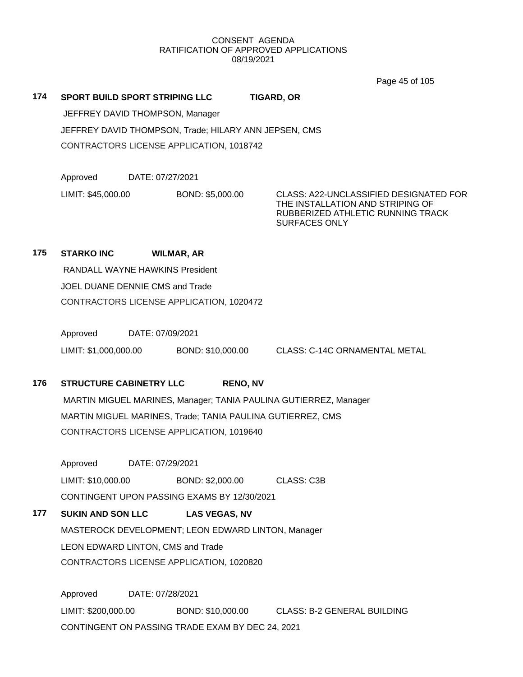Page 45 of 105

| 174        |                    | SPORT BUILD SPORT STRIPING LLC           |                                                       | <b>TIGARD, OR</b>                                                                                                                       |
|------------|--------------------|------------------------------------------|-------------------------------------------------------|-----------------------------------------------------------------------------------------------------------------------------------------|
|            |                    | JEFFREY DAVID THOMPSON, Manager          |                                                       |                                                                                                                                         |
|            |                    |                                          | JEFFREY DAVID THOMPSON, Trade; HILARY ANN JEPSEN, CMS |                                                                                                                                         |
|            |                    | CONTRACTORS LICENSE APPLICATION, 1018742 |                                                       |                                                                                                                                         |
|            |                    |                                          |                                                       |                                                                                                                                         |
|            | Approved           | DATE: 07/27/2021                         |                                                       |                                                                                                                                         |
|            | LIMIT: \$45,000.00 |                                          | BOND: \$5,000.00                                      | CLASS: A22-UNCLASSIFIED DESIGNATED FOR<br>THE INSTALLATION AND STRIPING OF<br>RUBBERIZED ATHLETIC RUNNING TRACK<br><b>SURFACES ONLY</b> |
| <b>475</b> | CTADIZO INO        | WHIMAD AD                                |                                                       |                                                                                                                                         |

# **175 STARKO INC WILMAR, AR**

RANDALL WAYNE HAWKINS President JOEL DUANE DENNIE CMS and Trade CONTRACTORS LICENSE APPLICATION, 1020472

Approved DATE: 07/09/2021 LIMIT: \$1,000,000.00 BOND: \$10,000.00 CLASS: C-14C ORNAMENTAL METAL

# **176 STRUCTURE CABINETRY LLC RENO, NV**

MARTIN MIGUEL MARINES, Manager; TANIA PAULINA GUTIERREZ, Manager MARTIN MIGUEL MARINES, Trade; TANIA PAULINA GUTIERREZ, CMS CONTRACTORS LICENSE APPLICATION, 1019640

Approved DATE: 07/29/2021

LIMIT: \$10,000.00 BOND: \$2,000.00 CLASS: C3B CONTINGENT UPON PASSING EXAMS BY 12/30/2021

# **177 SUKIN AND SON LLC LAS VEGAS, NV**

MASTEROCK DEVELOPMENT; LEON EDWARD LINTON, Manager LEON EDWARD LINTON, CMS and Trade CONTRACTORS LICENSE APPLICATION, 1020820

Approved DATE: 07/28/2021 LIMIT: \$200,000.00 BOND: \$10,000.00 CLASS: B-2 GENERAL BUILDING CONTINGENT ON PASSING TRADE EXAM BY DEC 24, 2021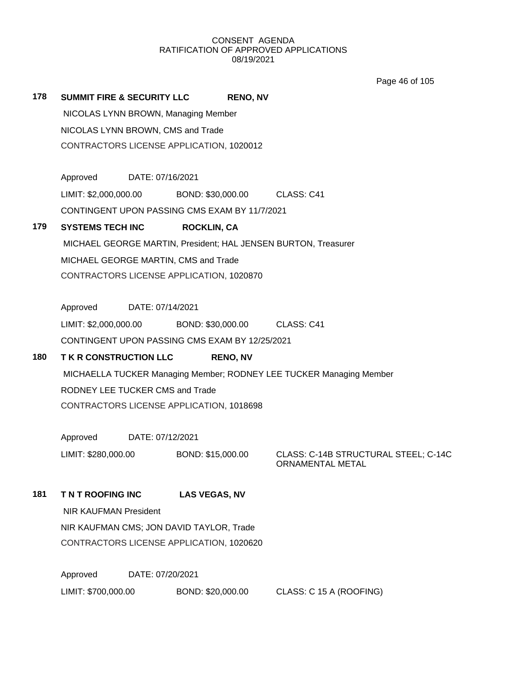Page 46 of 105

**178 SUMMIT FIRE & SECURITY LLC RENO, NV** NICOLAS LYNN BROWN, Managing Member NICOLAS LYNN BROWN, CMS and Trade CONTRACTORS LICENSE APPLICATION, 1020012 Approved DATE: 07/16/2021 LIMIT: \$2,000,000.00 BOND: \$30,000.00 CLASS: C41 CONTINGENT UPON PASSING CMS EXAM BY 11/7/2021 **179 SYSTEMS TECH INC ROCKLIN, CA** MICHAEL GEORGE MARTIN, President; HAL JENSEN BURTON, Treasurer MICHAEL GEORGE MARTIN, CMS and Trade CONTRACTORS LICENSE APPLICATION, 1020870 Approved DATE: 07/14/2021 LIMIT: \$2,000,000.00 BOND: \$30,000.00 CLASS: C41 CONTINGENT UPON PASSING CMS EXAM BY 12/25/2021 **180 T K R CONSTRUCTION LLC RENO, NV** MICHAELLA TUCKER Managing Member; RODNEY LEE TUCKER Managing Member RODNEY LEE TUCKER CMS and Trade CONTRACTORS LICENSE APPLICATION, 1018698 Approved DATE: 07/12/2021 LIMIT: \$280,000.00 BOND: \$15,000.00 CLASS: C-14B STRUCTURAL STEEL; C-14C ORNAMENTAL METAL **181 T N T ROOFING INC LAS VEGAS, NV** NIR KAUFMAN President NIR KAUFMAN CMS; JON DAVID TAYLOR, Trade CONTRACTORS LICENSE APPLICATION, 1020620 Approved DATE: 07/20/2021

LIMIT: \$700,000.00 BOND: \$20,000.00 CLASS: C 15 A (ROOFING)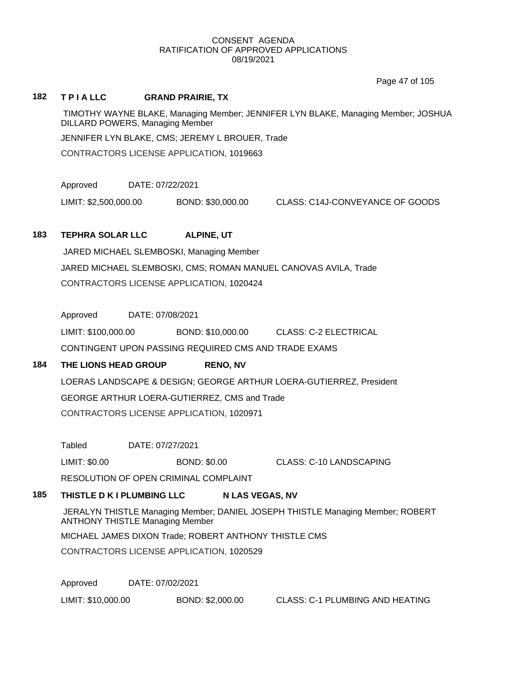Page 47 of 105

## **182 T P I A LLC GRAND PRAIRIE, TX**

TIMOTHY WAYNE BLAKE, Managing Member; JENNIFER LYN BLAKE, Managing Member; JOSHUA DILLARD POWERS, Managing Member

JENNIFER LYN BLAKE, CMS; JEREMY L BROUER, Trade

CONTRACTORS LICENSE APPLICATION, 1019663

Approved DATE: 07/22/2021

LIMIT: \$2,500,000.00 BOND: \$30,000.00 CLASS: C14J-CONVEYANCE OF GOODS

# **183 TEPHRA SOLAR LLC ALPINE, UT**

JARED MICHAEL SLEMBOSKI, Managing Member JARED MICHAEL SLEMBOSKI, CMS; ROMAN MANUEL CANOVAS AVILA, Trade CONTRACTORS LICENSE APPLICATION, 1020424

Approved DATE: 07/08/2021

LIMIT: \$100,000.00 BOND: \$10,000.00 CLASS: C-2 ELECTRICAL CONTINGENT UPON PASSING REQUIRED CMS AND TRADE EXAMS

# **184 THE LIONS HEAD GROUP RENO, NV**

LOERAS LANDSCAPE & DESIGN; GEORGE ARTHUR LOERA-GUTIERREZ, President GEORGE ARTHUR LOERA-GUTIERREZ, CMS and Trade CONTRACTORS LICENSE APPLICATION, 1020971

Tabled DATE: 07/27/2021

LIMIT: \$0.00 BOND: \$0.00 CLASS: C-10 LANDSCAPING

RESOLUTION OF OPEN CRIMINAL COMPLAINT

# **185 THISTLE D K I PLUMBING LLC N LAS VEGAS, NV**

JERALYN THISTLE Managing Member; DANIEL JOSEPH THISTLE Managing Member; ROBERT ANTHONY THISTLE Managing Member

MICHAEL JAMES DIXON Trade; ROBERT ANTHONY THISTLE CMS

CONTRACTORS LICENSE APPLICATION, 1020529

Approved DATE: 07/02/2021

LIMIT: \$10,000.00 BOND: \$2,000.00 CLASS: C-1 PLUMBING AND HEATING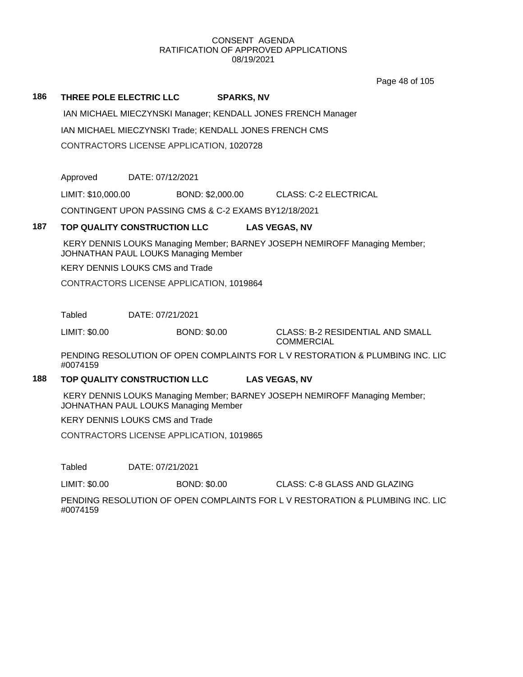Page 48 of 105

# **186 THREE POLE ELECTRIC LLC SPARKS, NV**

IAN MICHAEL MIECZYNSKI Manager; KENDALL JONES FRENCH Manager IAN MICHAEL MIECZYNSKI Trade; KENDALL JONES FRENCH CMS CONTRACTORS LICENSE APPLICATION, 1020728

Approved DATE: 07/12/2021

LIMIT: \$10,000.00 BOND: \$2,000.00 CLASS: C-2 ELECTRICAL

CONTINGENT UPON PASSING CMS & C-2 EXAMS BY12/18/2021

# **187 TOP QUALITY CONSTRUCTION LLC LAS VEGAS, NV**

KERY DENNIS LOUKS Managing Member; BARNEY JOSEPH NEMIROFF Managing Member; JOHNATHAN PAUL LOUKS Managing Member

KERY DENNIS LOUKS CMS and Trade

CONTRACTORS LICENSE APPLICATION, 1019864

Tabled DATE: 07/21/2021

LIMIT: \$0.00 BOND: \$0.00 CLASS: B-2 RESIDENTIAL AND SMALL

COMMERCIAL

PENDING RESOLUTION OF OPEN COMPLAINTS FOR L V RESTORATION & PLUMBING INC. LIC #0074159

# **188 TOP QUALITY CONSTRUCTION LLC LAS VEGAS, NV**

KERY DENNIS LOUKS Managing Member; BARNEY JOSEPH NEMIROFF Managing Member; JOHNATHAN PAUL LOUKS Managing Member

KERY DENNIS LOUKS CMS and Trade

CONTRACTORS LICENSE APPLICATION, 1019865

Tabled DATE: 07/21/2021

LIMIT: \$0.00 BOND: \$0.00 CLASS: C-8 GLASS AND GLAZING

PENDING RESOLUTION OF OPEN COMPLAINTS FOR L V RESTORATION & PLUMBING INC. LIC #0074159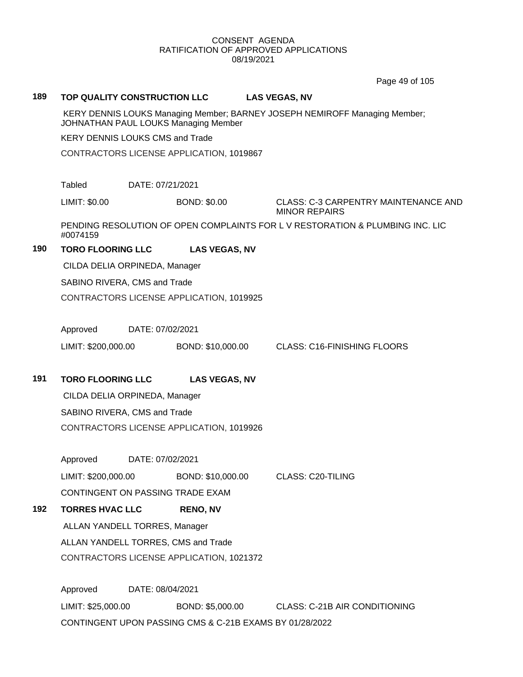Page 49 of 105

## **189 TOP QUALITY CONSTRUCTION LLC LAS VEGAS, NV**

KERY DENNIS LOUKS Managing Member; BARNEY JOSEPH NEMIROFF Managing Member; JOHNATHAN PAUL LOUKS Managing Member

KERY DENNIS LOUKS CMS and Trade

CONTRACTORS LICENSE APPLICATION, 1019867

Tabled DATE: 07/21/2021

LIMIT: \$0.00 BOND: \$0.00 CLASS: C-3 CARPENTRY MAINTENANCE AND MINOR REPAIRS

PENDING RESOLUTION OF OPEN COMPLAINTS FOR L V RESTORATION & PLUMBING INC. LIC #0074159

# **190 TORO FLOORING LLC LAS VEGAS, NV**

CILDA DELIA ORPINEDA, Manager

SABINO RIVERA, CMS and Trade

CONTRACTORS LICENSE APPLICATION, 1019925

Approved DATE: 07/02/2021

LIMIT: \$200,000.00 BOND: \$10,000.00 CLASS: C16-FINISHING FLOORS

**191 TORO FLOORING LLC LAS VEGAS, NV**

CILDA DELIA ORPINEDA, Manager SABINO RIVERA, CMS and Trade CONTRACTORS LICENSE APPLICATION, 1019926

Approved DATE: 07/02/2021 LIMIT: \$200,000.00 BOND: \$10,000.00 CLASS: C20-TILING CONTINGENT ON PASSING TRADE EXAM

**192 TORRES HVAC LLC RENO, NV** ALLAN YANDELL TORRES, Manager ALLAN YANDELL TORRES, CMS and Trade CONTRACTORS LICENSE APPLICATION, 1021372

> Approved DATE: 08/04/2021 LIMIT: \$25,000.00 BOND: \$5,000.00 CLASS: C-21B AIR CONDITIONING CONTINGENT UPON PASSING CMS & C-21B EXAMS BY 01/28/2022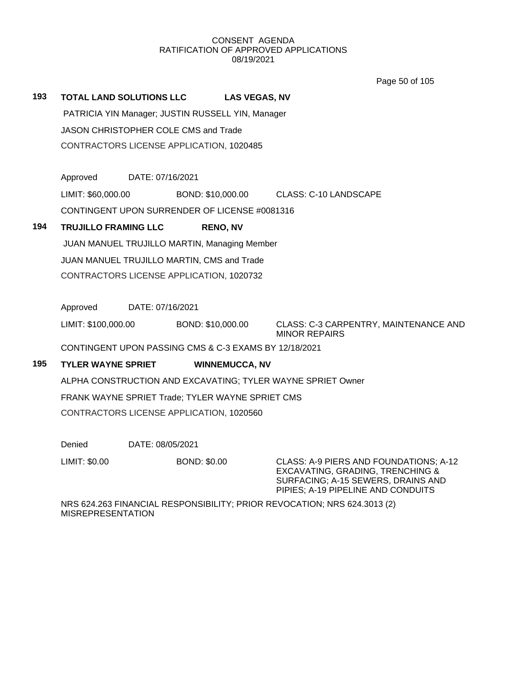Page 50 of 105

# **193 TOTAL LAND SOLUTIONS LLC LAS VEGAS, NV**

PATRICIA YIN Manager; JUSTIN RUSSELL YIN, Manager

JASON CHRISTOPHER COLE CMS and Trade

CONTRACTORS LICENSE APPLICATION, 1020485

Approved DATE: 07/16/2021

LIMIT: \$60,000.00 BOND: \$10,000.00 CLASS: C-10 LANDSCAPE

CONTINGENT UPON SURRENDER OF LICENSE #0081316

# **194 TRUJILLO FRAMING LLC RENO, NV**

JUAN MANUEL TRUJILLO MARTIN, Managing Member JUAN MANUEL TRUJILLO MARTIN, CMS and Trade CONTRACTORS LICENSE APPLICATION, 1020732

Approved DATE: 07/16/2021

LIMIT: \$100,000.00 BOND: \$10,000.00 CLASS: C-3 CARPENTRY, MAINTENANCE AND MINOR REPAIRS

CONTINGENT UPON PASSING CMS & C-3 EXAMS BY 12/18/2021

# **195 TYLER WAYNE SPRIET WINNEMUCCA, NV**

ALPHA CONSTRUCTION AND EXCAVATING; TYLER WAYNE SPRIET Owner FRANK WAYNE SPRIET Trade; TYLER WAYNE SPRIET CMS CONTRACTORS LICENSE APPLICATION, 1020560

Denied DATE: 08/05/2021

LIMIT: \$0.00 BOND: \$0.00 CLASS: A-9 PIERS AND FOUNDATIONS; A-12 EXCAVATING, GRADING, TRENCHING & SURFACING; A-15 SEWERS, DRAINS AND PIPIES; A-19 PIPELINE AND CONDUITS

NRS 624.263 FINANCIAL RESPONSIBILITY; PRIOR REVOCATION; NRS 624.3013 (2) MISREPRESENTATION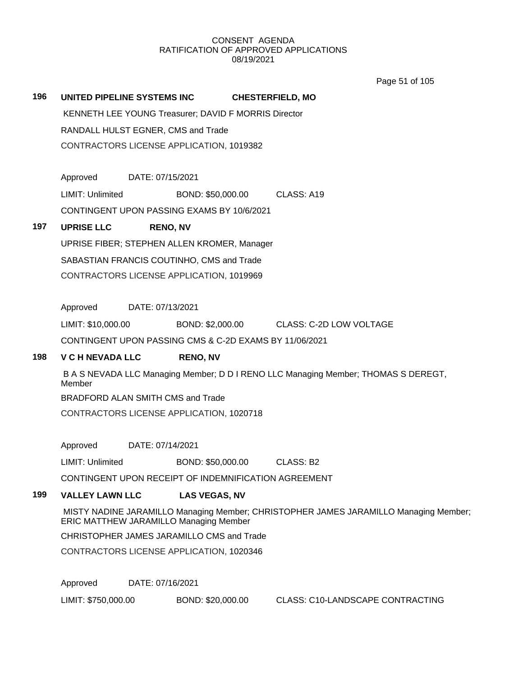Page 51 of 105

**196 UNITED PIPELINE SYSTEMS INC CHESTERFIELD, MO**

KENNETH LEE YOUNG Treasurer; DAVID F MORRIS Director RANDALL HULST EGNER, CMS and Trade CONTRACTORS LICENSE APPLICATION, 1019382

Approved DATE: 07/15/2021

LIMIT: Unlimited BOND: \$50,000.00 CLASS: A19

CONTINGENT UPON PASSING EXAMS BY 10/6/2021

# **197 UPRISE LLC RENO, NV**

UPRISE FIBER; STEPHEN ALLEN KROMER, Manager SABASTIAN FRANCIS COUTINHO, CMS and Trade CONTRACTORS LICENSE APPLICATION, 1019969

Approved DATE: 07/13/2021

LIMIT: \$10,000.00 BOND: \$2,000.00 CLASS: C-2D LOW VOLTAGE

CONTINGENT UPON PASSING CMS & C-2D EXAMS BY 11/06/2021

# **198 V C H NEVADA LLC RENO, NV**

B A S NEVADA LLC Managing Member; D D I RENO LLC Managing Member; THOMAS S DEREGT, Member BRADFORD ALAN SMITH CMS and Trade CONTRACTORS LICENSE APPLICATION, 1020718

Approved DATE: 07/14/2021

LIMIT: Unlimited BOND: \$50,000.00 CLASS: B2

CONTINGENT UPON RECEIPT OF INDEMNIFICATION AGREEMENT

# **199 VALLEY LAWN LLC LAS VEGAS, NV**

MISTY NADINE JARAMILLO Managing Member; CHRISTOPHER JAMES JARAMILLO Managing Member; ERIC MATTHEW JARAMILLO Managing Member

CHRISTOPHER JAMES JARAMILLO CMS and Trade

CONTRACTORS LICENSE APPLICATION, 1020346

Approved DATE: 07/16/2021

LIMIT: \$750,000.00 BOND: \$20,000.00 CLASS: C10-LANDSCAPE CONTRACTING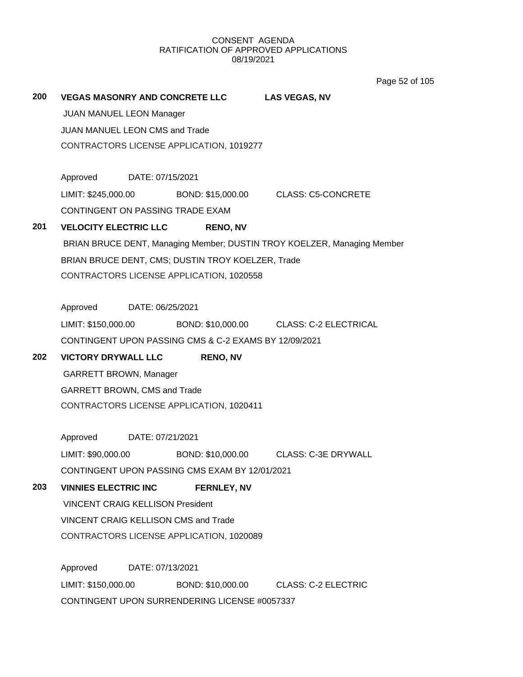Page 52 of 105

# **200 VEGAS MASONRY AND CONCRETE LLC LAS VEGAS, NV** JUAN MANUEL LEON Manager JUAN MANUEL LEON CMS and Trade CONTRACTORS LICENSE APPLICATION, 1019277 Approved DATE: 07/15/2021 LIMIT: \$245,000.00 BOND: \$15,000.00 CLASS: C5-CONCRETE CONTINGENT ON PASSING TRADE EXAM **201 VELOCITY ELECTRIC LLC RENO, NV** BRIAN BRUCE DENT, Managing Member; DUSTIN TROY KOELZER, Managing Member BRIAN BRUCE DENT, CMS; DUSTIN TROY KOELZER, Trade CONTRACTORS LICENSE APPLICATION, 1020558 Approved DATE: 06/25/2021 LIMIT: \$150,000.00 BOND: \$10,000.00 CLASS: C-2 ELECTRICAL CONTINGENT UPON PASSING CMS & C-2 EXAMS BY 12/09/2021 **202 VICTORY DRYWALL LLC RENO, NV** GARRETT BROWN, Manager GARRETT BROWN, CMS and Trade CONTRACTORS LICENSE APPLICATION, 1020411 Approved DATE: 07/21/2021 LIMIT: \$90,000.00 BOND: \$10,000.00 CLASS: C-3E DRYWALL CONTINGENT UPON PASSING CMS EXAM BY 12/01/2021 **203 VINNIES ELECTRIC INC FERNLEY, NV** VINCENT CRAIG KELLISON President VINCENT CRAIG KELLISON CMS and Trade CONTRACTORS LICENSE APPLICATION, 1020089 Approved DATE: 07/13/2021 LIMIT: \$150,000.00 BOND: \$10,000.00 CLASS: C-2 ELECTRIC CONTINGENT UPON SURRENDERING LICENSE #0057337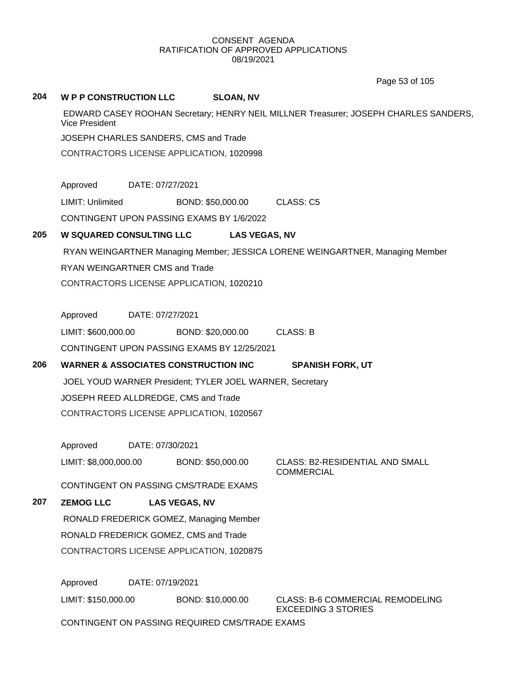Page 53 of 105

## **204 W P P CONSTRUCTION LLC SLOAN, NV**

EDWARD CASEY ROOHAN Secretary; HENRY NEIL MILLNER Treasurer; JOSEPH CHARLES SANDERS, Vice President

JOSEPH CHARLES SANDERS, CMS and Trade

CONTRACTORS LICENSE APPLICATION, 1020998

Approved DATE: 07/27/2021

LIMIT: Unlimited BOND: \$50,000.00 CLASS: C5

CONTINGENT UPON PASSING EXAMS BY 1/6/2022

# **205 W SQUARED CONSULTING LLC LAS VEGAS, NV**

RYAN WEINGARTNER Managing Member; JESSICA LORENE WEINGARTNER, Managing Member RYAN WEINGARTNER CMS and Trade CONTRACTORS LICENSE APPLICATION, 1020210

Approved DATE: 07/27/2021

LIMIT: \$600,000.00 BOND: \$20,000.00 CLASS: B CONTINGENT UPON PASSING EXAMS BY 12/25/2021

# **206 WARNER & ASSOCIATES CONSTRUCTION INC SPANISH FORK, UT**

JOEL YOUD WARNER President; TYLER JOEL WARNER, Secretary JOSEPH REED ALLDREDGE, CMS and Trade CONTRACTORS LICENSE APPLICATION, 1020567

Approved DATE: 07/30/2021

LIMIT: \$8,000,000.00 BOND: \$50,000.00 CLASS: B2-RESIDENTIAL AND SMALL

**COMMERCIAL** 

CONTINGENT ON PASSING CMS/TRADE EXAMS

# **207 ZEMOG LLC LAS VEGAS, NV**

RONALD FREDERICK GOMEZ, Managing Member RONALD FREDERICK GOMEZ, CMS and Trade CONTRACTORS LICENSE APPLICATION, 1020875

Approved DATE: 07/19/2021

LIMIT: \$150,000.00 BOND: \$10,000.00 CLASS: B-6 COMMERCIAL REMODELING

EXCEEDING 3 STORIES

CONTINGENT ON PASSING REQUIRED CMS/TRADE EXAMS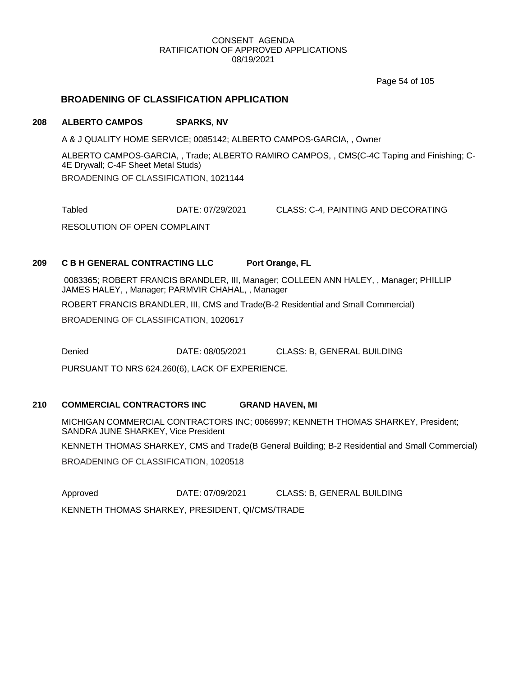Page 54 of 105

# **BROADENING OF CLASSIFICATION APPLICATION**

## **208 ALBERTO CAMPOS SPARKS, NV**

A & J QUALITY HOME SERVICE; 0085142; ALBERTO CAMPOS-GARCIA, , Owner

ALBERTO CAMPOS-GARCIA, , Trade; ALBERTO RAMIRO CAMPOS, , CMS(C-4C Taping and Finishing; C-4E Drywall; C-4F Sheet Metal Studs) BROADENING OF CLASSIFICATION, 1021144

Tabled DATE: 07/29/2021 CLASS: C-4, PAINTING AND DECORATING

RESOLUTION OF OPEN COMPLAINT

# **209 C B H GENERAL CONTRACTING LLC Port Orange, FL**

0083365; ROBERT FRANCIS BRANDLER, III, Manager; COLLEEN ANN HALEY, , Manager; PHILLIP JAMES HALEY, , Manager; PARMVIR CHAHAL, , Manager

ROBERT FRANCIS BRANDLER, III, CMS and Trade(B-2 Residential and Small Commercial)

BROADENING OF CLASSIFICATION, 1020617

Denied DATE: 08/05/2021 CLASS: B, GENERAL BUILDING

PURSUANT TO NRS 624.260(6), LACK OF EXPERIENCE.

# **210 COMMERCIAL CONTRACTORS INC GRAND HAVEN, MI**

MICHIGAN COMMERCIAL CONTRACTORS INC; 0066997; KENNETH THOMAS SHARKEY, President; SANDRA JUNE SHARKEY, Vice President

KENNETH THOMAS SHARKEY, CMS and Trade(B General Building; B-2 Residential and Small Commercial)

BROADENING OF CLASSIFICATION, 1020518

Approved DATE: 07/09/2021 CLASS: B, GENERAL BUILDING

KENNETH THOMAS SHARKEY, PRESIDENT, QI/CMS/TRADE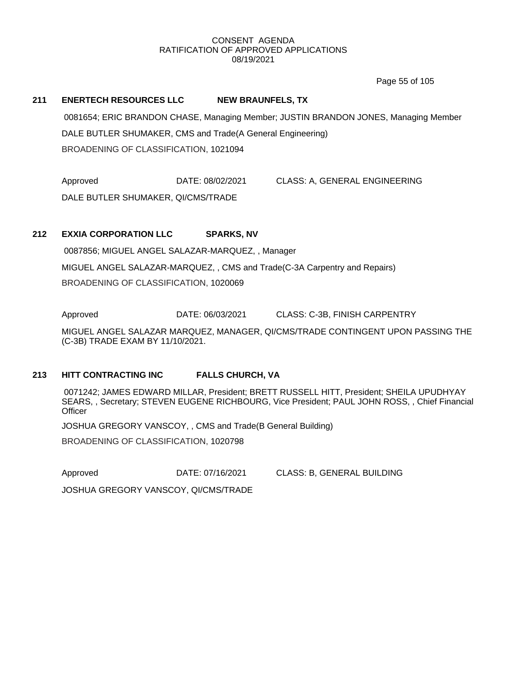Page 55 of 105

## **211 ENERTECH RESOURCES LLC NEW BRAUNFELS, TX**

0081654; ERIC BRANDON CHASE, Managing Member; JUSTIN BRANDON JONES, Managing Member DALE BUTLER SHUMAKER, CMS and Trade(A General Engineering) BROADENING OF CLASSIFICATION, 1021094

Approved DATE: 08/02/2021 CLASS: A, GENERAL ENGINEERING DALE BUTLER SHUMAKER, QI/CMS/TRADE

# **212 EXXIA CORPORATION LLC SPARKS, NV**

0087856; MIGUEL ANGEL SALAZAR-MARQUEZ, , Manager MIGUEL ANGEL SALAZAR-MARQUEZ, , CMS and Trade(C-3A Carpentry and Repairs) BROADENING OF CLASSIFICATION, 1020069

Approved DATE: 06/03/2021 CLASS: C-3B, FINISH CARPENTRY

MIGUEL ANGEL SALAZAR MARQUEZ, MANAGER, QI/CMS/TRADE CONTINGENT UPON PASSING THE (C-3B) TRADE EXAM BY 11/10/2021.

# **213 HITT CONTRACTING INC FALLS CHURCH, VA**

0071242; JAMES EDWARD MILLAR, President; BRETT RUSSELL HITT, President; SHEILA UPUDHYAY SEARS, , Secretary; STEVEN EUGENE RICHBOURG, Vice President; PAUL JOHN ROSS, , Chief Financial **Officer** 

JOSHUA GREGORY VANSCOY, , CMS and Trade(B General Building)

BROADENING OF CLASSIFICATION, 1020798

Approved DATE: 07/16/2021 CLASS: B, GENERAL BUILDING

JOSHUA GREGORY VANSCOY, QI/CMS/TRADE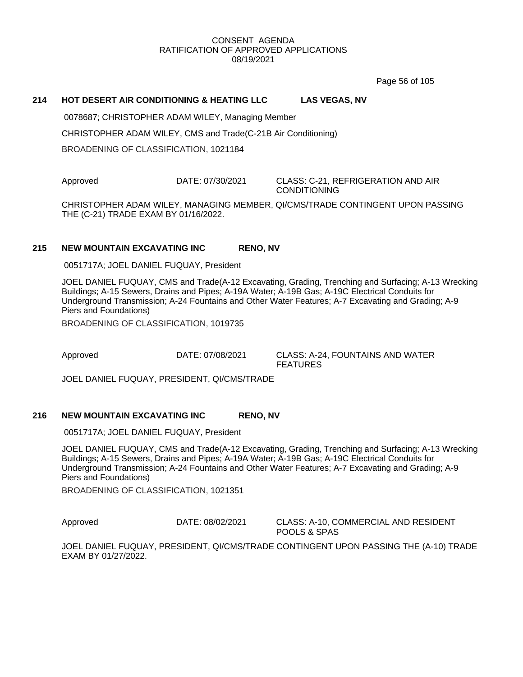Page 56 of 105

# **214 HOT DESERT AIR CONDITIONING & HEATING LLC LAS VEGAS, NV**

0078687; CHRISTOPHER ADAM WILEY, Managing Member

CHRISTOPHER ADAM WILEY, CMS and Trade(C-21B Air Conditioning)

BROADENING OF CLASSIFICATION, 1021184

Approved DATE: 07/30/2021 CLASS: C-21, REFRIGERATION AND AIR

**CONDITIONING** 

CHRISTOPHER ADAM WILEY, MANAGING MEMBER, QI/CMS/TRADE CONTINGENT UPON PASSING THE (C-21) TRADE EXAM BY 01/16/2022.

## **215 NEW MOUNTAIN EXCAVATING INC RENO, NV**

0051717A; JOEL DANIEL FUQUAY, President

JOEL DANIEL FUQUAY, CMS and Trade(A-12 Excavating, Grading, Trenching and Surfacing; A-13 Wrecking Buildings; A-15 Sewers, Drains and Pipes; A-19A Water; A-19B Gas; A-19C Electrical Conduits for Underground Transmission; A-24 Fountains and Other Water Features; A-7 Excavating and Grading; A-9 Piers and Foundations)

BROADENING OF CLASSIFICATION, 1019735

Approved DATE: 07/08/2021 CLASS: A-24, FOUNTAINS AND WATER FEATURES

JOEL DANIEL FUQUAY, PRESIDENT, QI/CMS/TRADE

## **216 NEW MOUNTAIN EXCAVATING INC RENO, NV**

0051717A; JOEL DANIEL FUQUAY, President

JOEL DANIEL FUQUAY, CMS and Trade(A-12 Excavating, Grading, Trenching and Surfacing; A-13 Wrecking Buildings; A-15 Sewers, Drains and Pipes; A-19A Water; A-19B Gas; A-19C Electrical Conduits for Underground Transmission; A-24 Fountains and Other Water Features; A-7 Excavating and Grading; A-9 Piers and Foundations)

BROADENING OF CLASSIFICATION, 1021351

Approved **DATE: 08/02/2021** CLASS: A-10, COMMERCIAL AND RESIDENT POOLS & SPAS

JOEL DANIEL FUQUAY, PRESIDENT, QI/CMS/TRADE CONTINGENT UPON PASSING THE (A-10) TRADE EXAM BY 01/27/2022.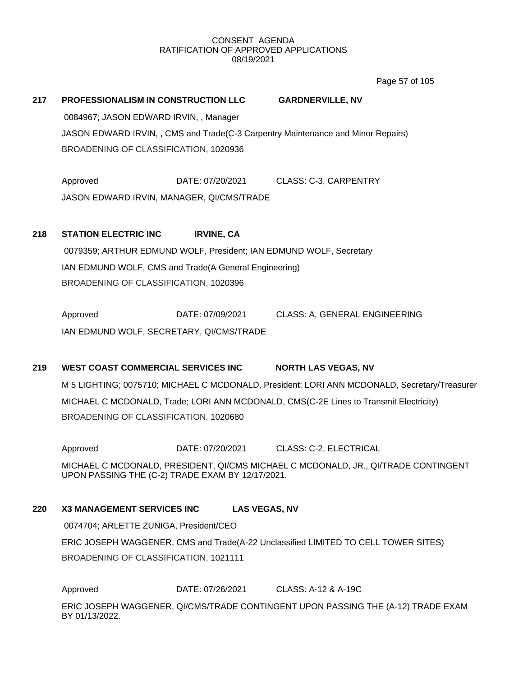Page 57 of 105

# **217 PROFESSIONALISM IN CONSTRUCTION LLC GARDNERVILLE, NV** 0084967; JASON EDWARD IRVIN, , Manager JASON EDWARD IRVIN, , CMS and Trade(C-3 Carpentry Maintenance and Minor Repairs) BROADENING OF CLASSIFICATION, 1020936

Approved DATE: 07/20/2021 CLASS: C-3, CARPENTRY JASON EDWARD IRVIN, MANAGER, QI/CMS/TRADE

# **218 STATION ELECTRIC INC IRVINE, CA**

0079359; ARTHUR EDMUND WOLF, President; IAN EDMUND WOLF, Secretary IAN EDMUND WOLF, CMS and Trade(A General Engineering) BROADENING OF CLASSIFICATION, 1020396

Approved DATE: 07/09/2021 CLASS: A, GENERAL ENGINEERING IAN EDMUND WOLF, SECRETARY, QI/CMS/TRADE

# **219 WEST COAST COMMERCIAL SERVICES INC NORTH LAS VEGAS, NV**

M 5 LIGHTING; 0075710; MICHAEL C MCDONALD, President; LORI ANN MCDONALD, Secretary/Treasurer MICHAEL C MCDONALD, Trade; LORI ANN MCDONALD, CMS(C-2E Lines to Transmit Electricity) BROADENING OF CLASSIFICATION, 1020680

Approved DATE: 07/20/2021 CLASS: C-2, ELECTRICAL

MICHAEL C MCDONALD, PRESIDENT, QI/CMS MICHAEL C MCDONALD, JR., QI/TRADE CONTINGENT UPON PASSING THE (C-2) TRADE EXAM BY 12/17/2021.

# **220 X3 MANAGEMENT SERVICES INC LAS VEGAS, NV**

0074704; ARLETTE ZUNIGA, President/CEO ERIC JOSEPH WAGGENER, CMS and Trade(A-22 Unclassified LIMITED TO CELL TOWER SITES) BROADENING OF CLASSIFICATION, 1021111

Approved DATE: 07/26/2021 CLASS: A-12 & A-19C

ERIC JOSEPH WAGGENER, QI/CMS/TRADE CONTINGENT UPON PASSING THE (A-12) TRADE EXAM BY 01/13/2022.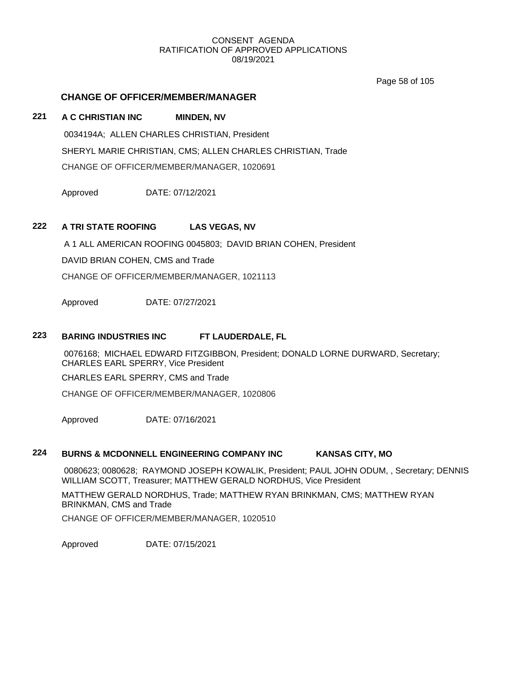Page 58 of 105

# **CHANGE OF OFFICER/MEMBER/MANAGER**

# **221 A C CHRISTIAN INC MINDEN, NV**

0034194A; ALLEN CHARLES CHRISTIAN, President SHERYL MARIE CHRISTIAN, CMS; ALLEN CHARLES CHRISTIAN, Trade CHANGE OF OFFICER/MEMBER/MANAGER, 1020691

Approved DATE: 07/12/2021

# **222 A TRI STATE ROOFING LAS VEGAS, NV**

A 1 ALL AMERICAN ROOFING 0045803; DAVID BRIAN COHEN, President

DAVID BRIAN COHEN, CMS and Trade

CHANGE OF OFFICER/MEMBER/MANAGER, 1021113

Approved DATE: 07/27/2021

# **223 BARING INDUSTRIES INC FT LAUDERDALE, FL**

0076168; MICHAEL EDWARD FITZGIBBON, President; DONALD LORNE DURWARD, Secretary; CHARLES EARL SPERRY, Vice President

CHARLES EARL SPERRY, CMS and Trade

CHANGE OF OFFICER/MEMBER/MANAGER, 1020806

Approved DATE: 07/16/2021

# **224 BURNS & MCDONNELL ENGINEERING COMPANY INC KANSAS CITY, MO**

0080623; 0080628; RAYMOND JOSEPH KOWALIK, President; PAUL JOHN ODUM, , Secretary; DENNIS WILLIAM SCOTT, Treasurer; MATTHEW GERALD NORDHUS, Vice President

MATTHEW GERALD NORDHUS, Trade; MATTHEW RYAN BRINKMAN, CMS; MATTHEW RYAN BRINKMAN, CMS and Trade

CHANGE OF OFFICER/MEMBER/MANAGER, 1020510

Approved DATE: 07/15/2021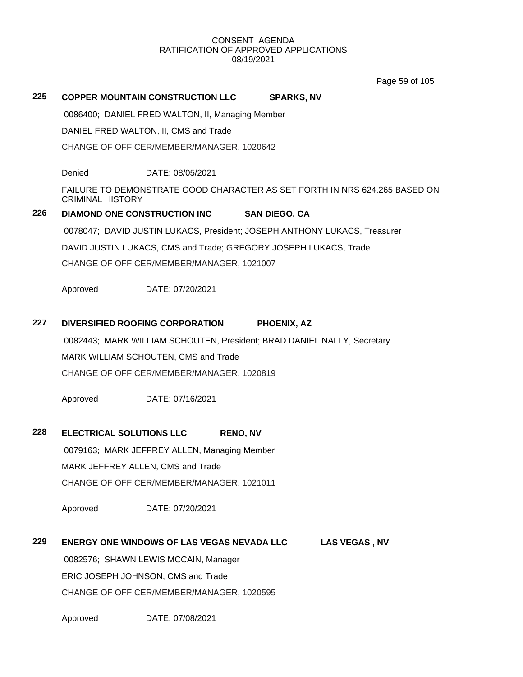Page 59 of 105

# **225 COPPER MOUNTAIN CONSTRUCTION LLC SPARKS, NV**

0086400; DANIEL FRED WALTON, II, Managing Member

DANIEL FRED WALTON, II, CMS and Trade

CHANGE OF OFFICER/MEMBER/MANAGER, 1020642

Denied DATE: 08/05/2021

FAILURE TO DEMONSTRATE GOOD CHARACTER AS SET FORTH IN NRS 624.265 BASED ON CRIMINAL HISTORY

# **226 DIAMOND ONE CONSTRUCTION INC SAN DIEGO, CA**

0078047; DAVID JUSTIN LUKACS, President; JOSEPH ANTHONY LUKACS, Treasurer DAVID JUSTIN LUKACS, CMS and Trade; GREGORY JOSEPH LUKACS, Trade CHANGE OF OFFICER/MEMBER/MANAGER, 1021007

Approved DATE: 07/20/2021

## **227 DIVERSIFIED ROOFING CORPORATION PHOENIX, AZ**

0082443; MARK WILLIAM SCHOUTEN, President; BRAD DANIEL NALLY, Secretary MARK WILLIAM SCHOUTEN, CMS and Trade CHANGE OF OFFICER/MEMBER/MANAGER, 1020819

Approved DATE: 07/16/2021

# **228 ELECTRICAL SOLUTIONS LLC RENO, NV**

0079163; MARK JEFFREY ALLEN, Managing Member MARK JEFFREY ALLEN, CMS and Trade CHANGE OF OFFICER/MEMBER/MANAGER, 1021011

Approved DATE: 07/20/2021

# **229 ENERGY ONE WINDOWS OF LAS VEGAS NEVADA LLC LAS VEGAS , NV**

0082576; SHAWN LEWIS MCCAIN, Manager ERIC JOSEPH JOHNSON, CMS and Trade CHANGE OF OFFICER/MEMBER/MANAGER, 1020595

Approved DATE: 07/08/2021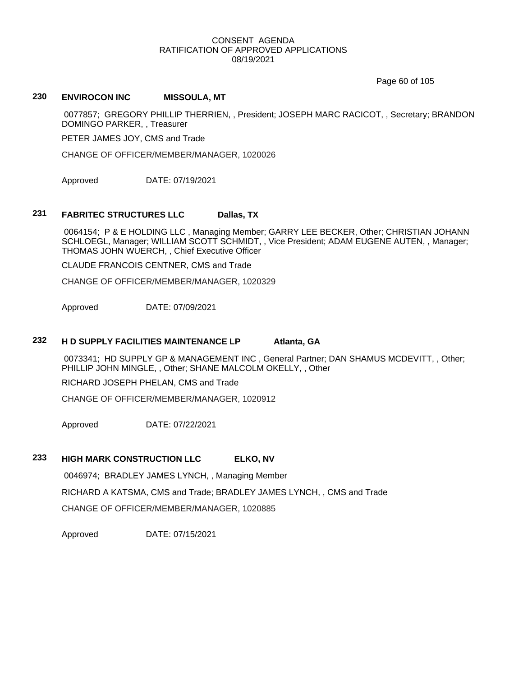Page 60 of 105

# **230 ENVIROCON INC MISSOULA, MT**

0077857; GREGORY PHILLIP THERRIEN, , President; JOSEPH MARC RACICOT, , Secretary; BRANDON DOMINGO PARKER, , Treasurer

PETER JAMES JOY, CMS and Trade

CHANGE OF OFFICER/MEMBER/MANAGER, 1020026

Approved DATE: 07/19/2021

# **231 FABRITEC STRUCTURES LLC Dallas, TX**

0064154; P & E HOLDING LLC , Managing Member; GARRY LEE BECKER, Other; CHRISTIAN JOHANN SCHLOEGL, Manager; WILLIAM SCOTT SCHMIDT, , Vice President; ADAM EUGENE AUTEN, , Manager; THOMAS JOHN WUERCH, , Chief Executive Officer

CLAUDE FRANCOIS CENTNER, CMS and Trade

CHANGE OF OFFICER/MEMBER/MANAGER, 1020329

Approved DATE: 07/09/2021

#### **232 H D SUPPLY FACILITIES MAINTENANCE LP Atlanta, GA**

0073341; HD SUPPLY GP & MANAGEMENT INC , General Partner; DAN SHAMUS MCDEVITT, , Other; PHILLIP JOHN MINGLE, , Other; SHANE MALCOLM OKELLY, , Other

RICHARD JOSEPH PHELAN, CMS and Trade

CHANGE OF OFFICER/MEMBER/MANAGER, 1020912

Approved DATE: 07/22/2021

## **233 HIGH MARK CONSTRUCTION LLC ELKO, NV**

0046974; BRADLEY JAMES LYNCH, , Managing Member

RICHARD A KATSMA, CMS and Trade; BRADLEY JAMES LYNCH, , CMS and Trade

CHANGE OF OFFICER/MEMBER/MANAGER, 1020885

Approved DATE: 07/15/2021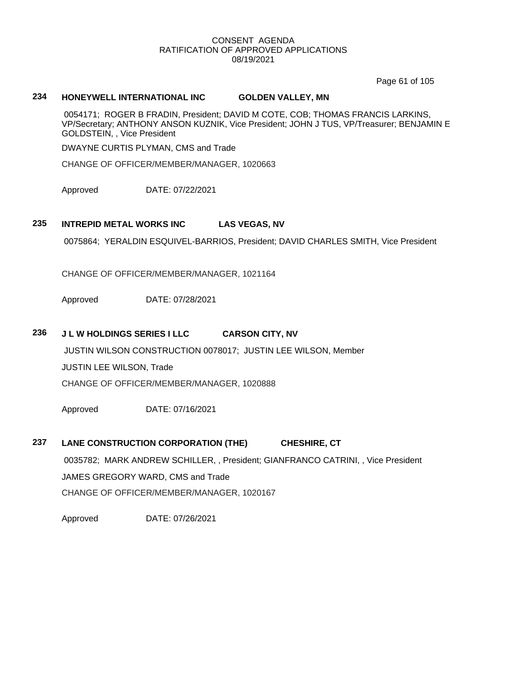Page 61 of 105

# **234 HONEYWELL INTERNATIONAL INC GOLDEN VALLEY, MN**

0054171; ROGER B FRADIN, President; DAVID M COTE, COB; THOMAS FRANCIS LARKINS, VP/Secretary; ANTHONY ANSON KUZNIK, Vice President; JOHN J TUS, VP/Treasurer; BENJAMIN E GOLDSTEIN, , Vice President

DWAYNE CURTIS PLYMAN, CMS and Trade

CHANGE OF OFFICER/MEMBER/MANAGER, 1020663

Approved DATE: 07/22/2021

## **235 INTREPID METAL WORKS INC LAS VEGAS, NV**

0075864; YERALDIN ESQUIVEL-BARRIOS, President; DAVID CHARLES SMITH, Vice President

CHANGE OF OFFICER/MEMBER/MANAGER, 1021164

Approved DATE: 07/28/2021

## **236 J L W HOLDINGS SERIES I LLC CARSON CITY, NV**

JUSTIN WILSON CONSTRUCTION 0078017; JUSTIN LEE WILSON, Member JUSTIN LEE WILSON, Trade CHANGE OF OFFICER/MEMBER/MANAGER, 1020888

Approved DATE: 07/16/2021

# **237 LANE CONSTRUCTION CORPORATION (THE) CHESHIRE, CT**

0035782; MARK ANDREW SCHILLER, , President; GIANFRANCO CATRINI, , Vice President JAMES GREGORY WARD, CMS and Trade CHANGE OF OFFICER/MEMBER/MANAGER, 1020167

Approved DATE: 07/26/2021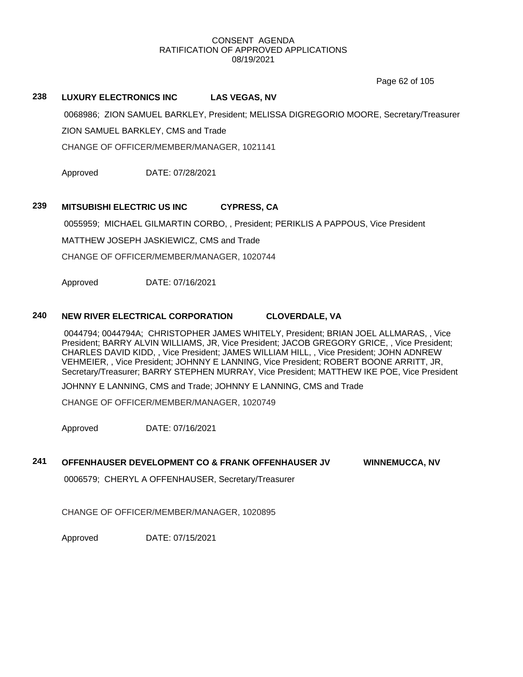Page 62 of 105

# **238 LUXURY ELECTRONICS INC LAS VEGAS, NV**

0068986; ZION SAMUEL BARKLEY, President; MELISSA DIGREGORIO MOORE, Secretary/Treasurer

ZION SAMUEL BARKLEY, CMS and Trade

CHANGE OF OFFICER/MEMBER/MANAGER, 1021141

Approved DATE: 07/28/2021

# **239 MITSUBISHI ELECTRIC US INC CYPRESS, CA**

0055959; MICHAEL GILMARTIN CORBO, , President; PERIKLIS A PAPPOUS, Vice President

MATTHEW JOSEPH JASKIEWICZ, CMS and Trade

CHANGE OF OFFICER/MEMBER/MANAGER, 1020744

Approved DATE: 07/16/2021

## **240 NEW RIVER ELECTRICAL CORPORATION CLOVERDALE, VA**

0044794; 0044794A; CHRISTOPHER JAMES WHITELY, President; BRIAN JOEL ALLMARAS, , Vice President; BARRY ALVIN WILLIAMS, JR, Vice President; JACOB GREGORY GRICE, , Vice President; CHARLES DAVID KIDD, , Vice President; JAMES WILLIAM HILL, , Vice President; JOHN ADNREW VEHMEIER, , Vice President; JOHNNY E LANNING, Vice President; ROBERT BOONE ARRITT, JR, Secretary/Treasurer; BARRY STEPHEN MURRAY, Vice President; MATTHEW IKE POE, Vice President

JOHNNY E LANNING, CMS and Trade; JOHNNY E LANNING, CMS and Trade

CHANGE OF OFFICER/MEMBER/MANAGER, 1020749

Approved DATE: 07/16/2021

# **241 OFFENHAUSER DEVELOPMENT CO & FRANK OFFENHAUSER JV WINNEMUCCA, NV**

0006579; CHERYL A OFFENHAUSER, Secretary/Treasurer

CHANGE OF OFFICER/MEMBER/MANAGER, 1020895

Approved DATE: 07/15/2021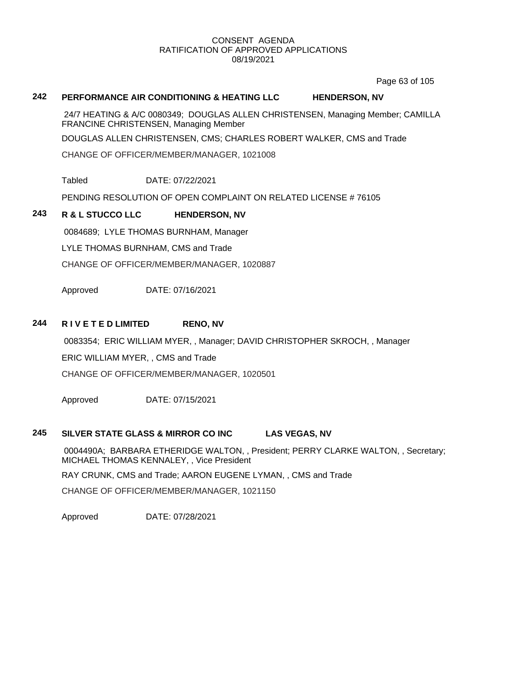Page 63 of 105

# **242 PERFORMANCE AIR CONDITIONING & HEATING LLC HENDERSON, NV**

24/7 HEATING & A/C 0080349; DOUGLAS ALLEN CHRISTENSEN, Managing Member; CAMILLA FRANCINE CHRISTENSEN, Managing Member

DOUGLAS ALLEN CHRISTENSEN, CMS; CHARLES ROBERT WALKER, CMS and Trade

CHANGE OF OFFICER/MEMBER/MANAGER, 1021008

Tabled DATE: 07/22/2021

PENDING RESOLUTION OF OPEN COMPLAINT ON RELATED LICENSE # 76105

# **243 R & L STUCCO LLC HENDERSON, NV**

0084689; LYLE THOMAS BURNHAM, Manager

LYLE THOMAS BURNHAM, CMS and Trade

CHANGE OF OFFICER/MEMBER/MANAGER, 1020887

Approved DATE: 07/16/2021

# **244 R I V E T E D LIMITED RENO, NV**

0083354; ERIC WILLIAM MYER, , Manager; DAVID CHRISTOPHER SKROCH, , Manager ERIC WILLIAM MYER, , CMS and Trade CHANGE OF OFFICER/MEMBER/MANAGER, 1020501

Approved DATE: 07/15/2021

## **245 SILVER STATE GLASS & MIRROR CO INC LAS VEGAS, NV**

0004490A; BARBARA ETHERIDGE WALTON, , President; PERRY CLARKE WALTON, , Secretary; MICHAEL THOMAS KENNALEY, , Vice President

RAY CRUNK, CMS and Trade; AARON EUGENE LYMAN, , CMS and Trade

CHANGE OF OFFICER/MEMBER/MANAGER, 1021150

Approved DATE: 07/28/2021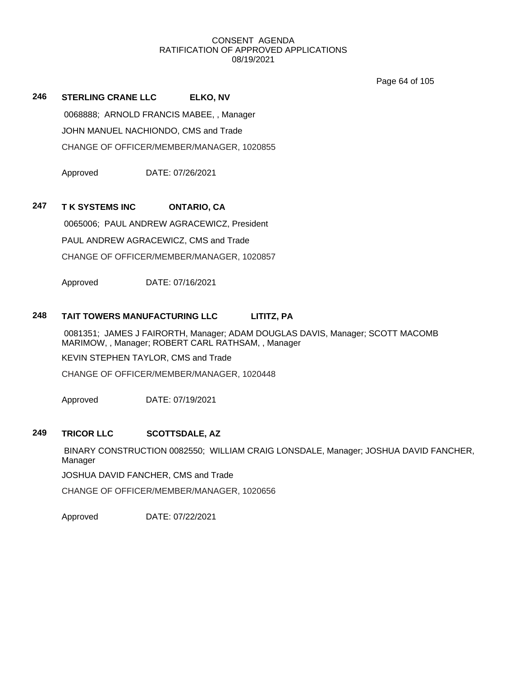Page 64 of 105

**246 STERLING CRANE LLC ELKO, NV** 0068888; ARNOLD FRANCIS MABEE, , Manager JOHN MANUEL NACHIONDO, CMS and Trade CHANGE OF OFFICER/MEMBER/MANAGER, 1020855

Approved DATE: 07/26/2021

# **247 T K SYSTEMS INC ONTARIO, CA**

0065006; PAUL ANDREW AGRACEWICZ, President PAUL ANDREW AGRACEWICZ, CMS and Trade CHANGE OF OFFICER/MEMBER/MANAGER, 1020857

Approved DATE: 07/16/2021

# **248 TAIT TOWERS MANUFACTURING LLC LITITZ, PA**

0081351; JAMES J FAIRORTH, Manager; ADAM DOUGLAS DAVIS, Manager; SCOTT MACOMB MARIMOW, , Manager; ROBERT CARL RATHSAM, , Manager KEVIN STEPHEN TAYLOR, CMS and Trade CHANGE OF OFFICER/MEMBER/MANAGER, 1020448

Approved DATE: 07/19/2021

## **249 TRICOR LLC SCOTTSDALE, AZ**

BINARY CONSTRUCTION 0082550; WILLIAM CRAIG LONSDALE, Manager; JOSHUA DAVID FANCHER, Manager

JOSHUA DAVID FANCHER, CMS and Trade

CHANGE OF OFFICER/MEMBER/MANAGER, 1020656

Approved DATE: 07/22/2021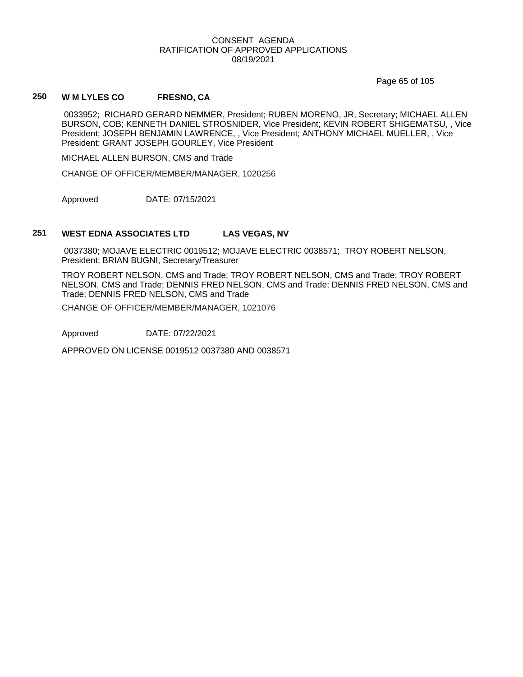Page 65 of 105

# **250 W M LYLES CO FRESNO, CA**

0033952; RICHARD GERARD NEMMER, President; RUBEN MORENO, JR, Secretary; MICHAEL ALLEN BURSON, COB; KENNETH DANIEL STROSNIDER, Vice President; KEVIN ROBERT SHIGEMATSU, , Vice President; JOSEPH BENJAMIN LAWRENCE, , Vice President; ANTHONY MICHAEL MUELLER, , Vice President; GRANT JOSEPH GOURLEY, Vice President

MICHAEL ALLEN BURSON, CMS and Trade

CHANGE OF OFFICER/MEMBER/MANAGER, 1020256

Approved DATE: 07/15/2021

## **251 WEST EDNA ASSOCIATES LTD LAS VEGAS, NV**

0037380; MOJAVE ELECTRIC 0019512; MOJAVE ELECTRIC 0038571; TROY ROBERT NELSON, President; BRIAN BUGNI, Secretary/Treasurer

TROY ROBERT NELSON, CMS and Trade; TROY ROBERT NELSON, CMS and Trade; TROY ROBERT NELSON, CMS and Trade; DENNIS FRED NELSON, CMS and Trade; DENNIS FRED NELSON, CMS and Trade; DENNIS FRED NELSON, CMS and Trade

CHANGE OF OFFICER/MEMBER/MANAGER, 1021076

Approved DATE: 07/22/2021

APPROVED ON LICENSE 0019512 0037380 AND 0038571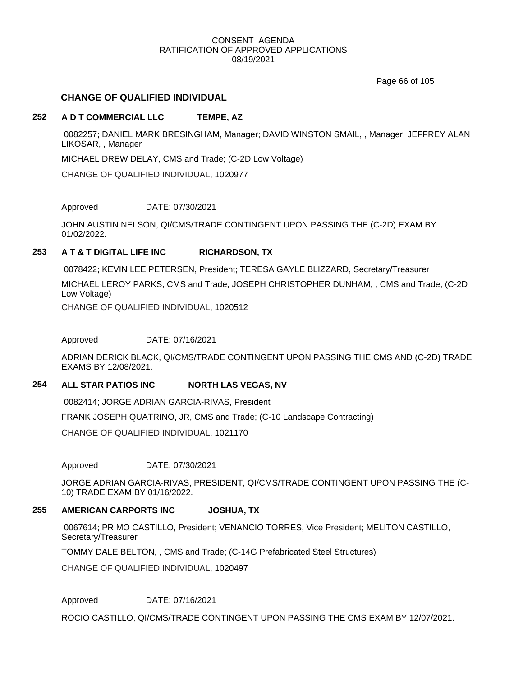Page 66 of 105

# **CHANGE OF QUALIFIED INDIVIDUAL**

# **252 A D T COMMERCIAL LLC TEMPE, AZ**

0082257; DANIEL MARK BRESINGHAM, Manager; DAVID WINSTON SMAIL, , Manager; JEFFREY ALAN LIKOSAR, , Manager

MICHAEL DREW DELAY, CMS and Trade; (C-2D Low Voltage)

CHANGE OF QUALIFIED INDIVIDUAL, 1020977

Approved DATE: 07/30/2021

JOHN AUSTIN NELSON, QI/CMS/TRADE CONTINGENT UPON PASSING THE (C-2D) EXAM BY 01/02/2022.

# **253 A T & T DIGITAL LIFE INC RICHARDSON, TX**

0078422; KEVIN LEE PETERSEN, President; TERESA GAYLE BLIZZARD, Secretary/Treasurer MICHAEL LEROY PARKS, CMS and Trade; JOSEPH CHRISTOPHER DUNHAM, , CMS and Trade; (C-2D Low Voltage)

CHANGE OF QUALIFIED INDIVIDUAL, 1020512

Approved DATE: 07/16/2021

ADRIAN DERICK BLACK, QI/CMS/TRADE CONTINGENT UPON PASSING THE CMS AND (C-2D) TRADE EXAMS BY 12/08/2021.

## **254 ALL STAR PATIOS INC NORTH LAS VEGAS, NV**

0082414; JORGE ADRIAN GARCIA-RIVAS, President

FRANK JOSEPH QUATRINO, JR, CMS and Trade; (C-10 Landscape Contracting)

CHANGE OF QUALIFIED INDIVIDUAL, 1021170

Approved DATE: 07/30/2021

JORGE ADRIAN GARCIA-RIVAS, PRESIDENT, QI/CMS/TRADE CONTINGENT UPON PASSING THE (C-10) TRADE EXAM BY 01/16/2022.

# **255 AMERICAN CARPORTS INC JOSHUA, TX**

0067614; PRIMO CASTILLO, President; VENANCIO TORRES, Vice President; MELITON CASTILLO, Secretary/Treasurer

TOMMY DALE BELTON, , CMS and Trade; (C-14G Prefabricated Steel Structures)

CHANGE OF QUALIFIED INDIVIDUAL, 1020497

Approved DATE: 07/16/2021

ROCIO CASTILLO, QI/CMS/TRADE CONTINGENT UPON PASSING THE CMS EXAM BY 12/07/2021.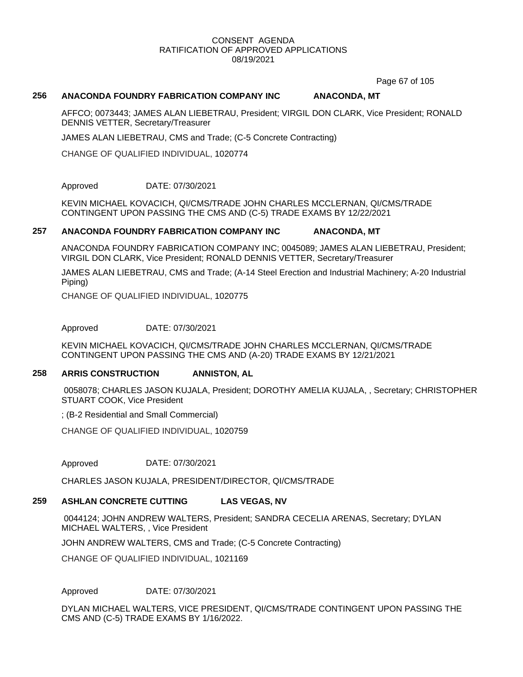Page 67 of 105

## **256 ANACONDA FOUNDRY FABRICATION COMPANY INC ANACONDA, MT**

AFFCO; 0073443; JAMES ALAN LIEBETRAU, President; VIRGIL DON CLARK, Vice President; RONALD DENNIS VETTER, Secretary/Treasurer

JAMES ALAN LIEBETRAU, CMS and Trade; (C-5 Concrete Contracting)

CHANGE OF QUALIFIED INDIVIDUAL, 1020774

Approved DATE: 07/30/2021

KEVIN MICHAEL KOVACICH, QI/CMS/TRADE JOHN CHARLES MCCLERNAN, QI/CMS/TRADE CONTINGENT UPON PASSING THE CMS AND (C-5) TRADE EXAMS BY 12/22/2021

## **257 ANACONDA FOUNDRY FABRICATION COMPANY INC ANACONDA, MT**

ANACONDA FOUNDRY FABRICATION COMPANY INC; 0045089; JAMES ALAN LIEBETRAU, President; VIRGIL DON CLARK, Vice President; RONALD DENNIS VETTER, Secretary/Treasurer

JAMES ALAN LIEBETRAU, CMS and Trade; (A-14 Steel Erection and Industrial Machinery; A-20 Industrial Piping)

CHANGE OF QUALIFIED INDIVIDUAL, 1020775

Approved DATE: 07/30/2021

KEVIN MICHAEL KOVACICH, QI/CMS/TRADE JOHN CHARLES MCCLERNAN, QI/CMS/TRADE CONTINGENT UPON PASSING THE CMS AND (A-20) TRADE EXAMS BY 12/21/2021

## **258 ARRIS CONSTRUCTION ANNISTON, AL**

0058078; CHARLES JASON KUJALA, President; DOROTHY AMELIA KUJALA, , Secretary; CHRISTOPHER STUART COOK, Vice President

; (B-2 Residential and Small Commercial)

CHANGE OF QUALIFIED INDIVIDUAL, 1020759

Approved DATE: 07/30/2021

CHARLES JASON KUJALA, PRESIDENT/DIRECTOR, QI/CMS/TRADE

# **259 ASHLAN CONCRETE CUTTING LAS VEGAS, NV**

0044124; JOHN ANDREW WALTERS, President; SANDRA CECELIA ARENAS, Secretary; DYLAN MICHAEL WALTERS, , Vice President

JOHN ANDREW WALTERS, CMS and Trade; (C-5 Concrete Contracting)

CHANGE OF QUALIFIED INDIVIDUAL, 1021169

# Approved DATE: 07/30/2021

DYLAN MICHAEL WALTERS, VICE PRESIDENT, QI/CMS/TRADE CONTINGENT UPON PASSING THE CMS AND (C-5) TRADE EXAMS BY 1/16/2022.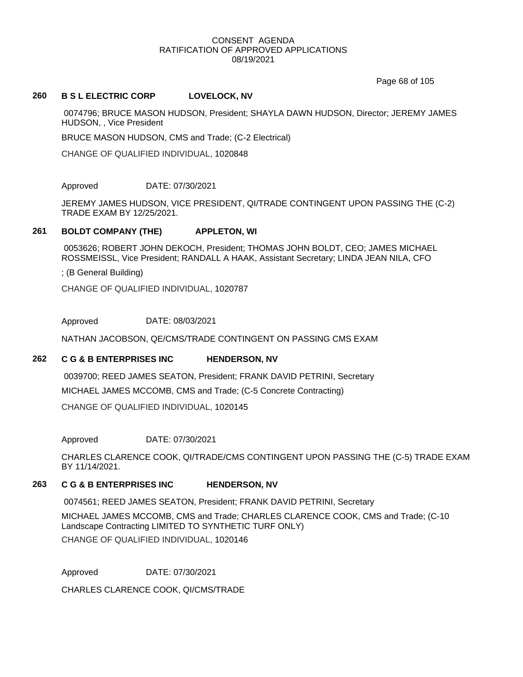Page 68 of 105

## **260 B S L ELECTRIC CORP LOVELOCK, NV**

0074796; BRUCE MASON HUDSON, President; SHAYLA DAWN HUDSON, Director; JEREMY JAMES HUDSON, , Vice President

BRUCE MASON HUDSON, CMS and Trade; (C-2 Electrical)

CHANGE OF QUALIFIED INDIVIDUAL, 1020848

Approved DATE: 07/30/2021

JEREMY JAMES HUDSON, VICE PRESIDENT, QI/TRADE CONTINGENT UPON PASSING THE (C-2) TRADE EXAM BY 12/25/2021.

## **261 BOLDT COMPANY (THE) APPLETON, WI**

0053626; ROBERT JOHN DEKOCH, President; THOMAS JOHN BOLDT, CEO; JAMES MICHAEL ROSSMEISSL, Vice President; RANDALL A HAAK, Assistant Secretary; LINDA JEAN NILA, CFO

; (B General Building)

CHANGE OF QUALIFIED INDIVIDUAL, 1020787

Approved DATE: 08/03/2021

NATHAN JACOBSON, QE/CMS/TRADE CONTINGENT ON PASSING CMS EXAM

## **262 C G & B ENTERPRISES INC HENDERSON, NV**

0039700; REED JAMES SEATON, President; FRANK DAVID PETRINI, Secretary MICHAEL JAMES MCCOMB, CMS and Trade; (C-5 Concrete Contracting) CHANGE OF QUALIFIED INDIVIDUAL, 1020145

Approved DATE: 07/30/2021

CHARLES CLARENCE COOK, QI/TRADE/CMS CONTINGENT UPON PASSING THE (C-5) TRADE EXAM BY 11/14/2021.

# **263 C G & B ENTERPRISES INC HENDERSON, NV**

0074561; REED JAMES SEATON, President; FRANK DAVID PETRINI, Secretary

MICHAEL JAMES MCCOMB, CMS and Trade; CHARLES CLARENCE COOK, CMS and Trade; (C-10 Landscape Contracting LIMITED TO SYNTHETIC TURF ONLY)

CHANGE OF QUALIFIED INDIVIDUAL, 1020146

Approved DATE: 07/30/2021

CHARLES CLARENCE COOK, QI/CMS/TRADE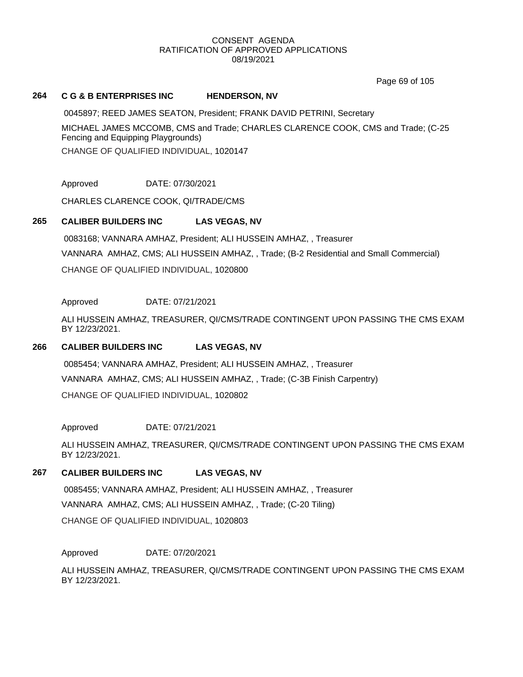Page 69 of 105

## **264 C G & B ENTERPRISES INC HENDERSON, NV**

0045897; REED JAMES SEATON, President; FRANK DAVID PETRINI, Secretary MICHAEL JAMES MCCOMB, CMS and Trade; CHARLES CLARENCE COOK, CMS and Trade; (C-25 Fencing and Equipping Playgrounds) CHANGE OF QUALIFIED INDIVIDUAL, 1020147

Approved DATE: 07/30/2021

CHARLES CLARENCE COOK, QI/TRADE/CMS

# **265 CALIBER BUILDERS INC LAS VEGAS, NV**

0083168; VANNARA AMHAZ, President; ALI HUSSEIN AMHAZ, , Treasurer VANNARA AMHAZ, CMS; ALI HUSSEIN AMHAZ, , Trade; (B-2 Residential and Small Commercial) CHANGE OF QUALIFIED INDIVIDUAL, 1020800

# Approved DATE: 07/21/2021

ALI HUSSEIN AMHAZ, TREASURER, QI/CMS/TRADE CONTINGENT UPON PASSING THE CMS EXAM BY 12/23/2021.

## **266 CALIBER BUILDERS INC LAS VEGAS, NV**

0085454; VANNARA AMHAZ, President; ALI HUSSEIN AMHAZ, , Treasurer VANNARA AMHAZ, CMS; ALI HUSSEIN AMHAZ, , Trade; (C-3B Finish Carpentry) CHANGE OF QUALIFIED INDIVIDUAL, 1020802

Approved DATE: 07/21/2021

ALI HUSSEIN AMHAZ, TREASURER, QI/CMS/TRADE CONTINGENT UPON PASSING THE CMS EXAM BY 12/23/2021.

# **267 CALIBER BUILDERS INC LAS VEGAS, NV**

0085455; VANNARA AMHAZ, President; ALI HUSSEIN AMHAZ, , Treasurer VANNARA AMHAZ, CMS; ALI HUSSEIN AMHAZ, , Trade; (C-20 Tiling) CHANGE OF QUALIFIED INDIVIDUAL, 1020803

## Approved DATE: 07/20/2021

ALI HUSSEIN AMHAZ, TREASURER, QI/CMS/TRADE CONTINGENT UPON PASSING THE CMS EXAM BY 12/23/2021.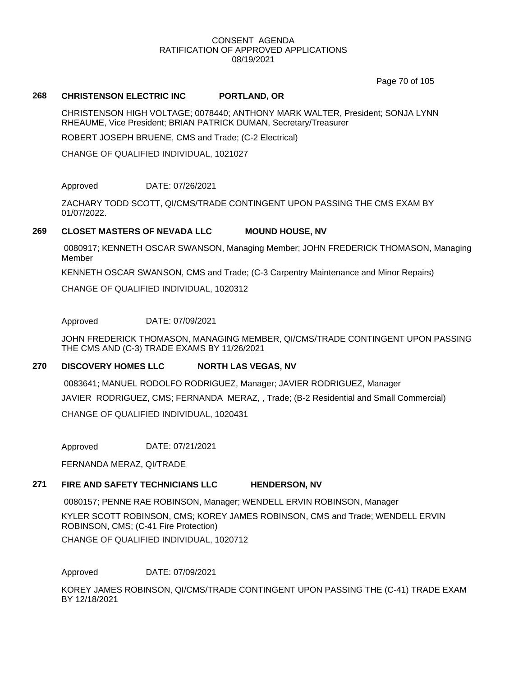Page 70 of 105

# **268 CHRISTENSON ELECTRIC INC PORTLAND, OR**

CHRISTENSON HIGH VOLTAGE; 0078440; ANTHONY MARK WALTER, President; SONJA LYNN RHEAUME, Vice President; BRIAN PATRICK DUMAN, Secretary/Treasurer

ROBERT JOSEPH BRUENE, CMS and Trade; (C-2 Electrical)

CHANGE OF QUALIFIED INDIVIDUAL, 1021027

## Approved DATE: 07/26/2021

ZACHARY TODD SCOTT, QI/CMS/TRADE CONTINGENT UPON PASSING THE CMS EXAM BY 01/07/2022.

## **269 CLOSET MASTERS OF NEVADA LLC MOUND HOUSE, NV**

0080917; KENNETH OSCAR SWANSON, Managing Member; JOHN FREDERICK THOMASON, Managing Member

KENNETH OSCAR SWANSON, CMS and Trade; (C-3 Carpentry Maintenance and Minor Repairs)

CHANGE OF QUALIFIED INDIVIDUAL, 1020312

Approved DATE: 07/09/2021

JOHN FREDERICK THOMASON, MANAGING MEMBER, QI/CMS/TRADE CONTINGENT UPON PASSING THE CMS AND (C-3) TRADE EXAMS BY 11/26/2021

# **270 DISCOVERY HOMES LLC NORTH LAS VEGAS, NV**

0083641; MANUEL RODOLFO RODRIGUEZ, Manager; JAVIER RODRIGUEZ, Manager JAVIER RODRIGUEZ, CMS; FERNANDA MERAZ, , Trade; (B-2 Residential and Small Commercial) CHANGE OF QUALIFIED INDIVIDUAL, 1020431

Approved DATE: 07/21/2021

FERNANDA MERAZ, QI/TRADE

# **271 FIRE AND SAFETY TECHNICIANS LLC HENDERSON, NV**

0080157; PENNE RAE ROBINSON, Manager; WENDELL ERVIN ROBINSON, Manager

KYLER SCOTT ROBINSON, CMS; KOREY JAMES ROBINSON, CMS and Trade; WENDELL ERVIN ROBINSON, CMS; (C-41 Fire Protection)

CHANGE OF QUALIFIED INDIVIDUAL, 1020712

Approved DATE: 07/09/2021

KOREY JAMES ROBINSON, QI/CMS/TRADE CONTINGENT UPON PASSING THE (C-41) TRADE EXAM BY 12/18/2021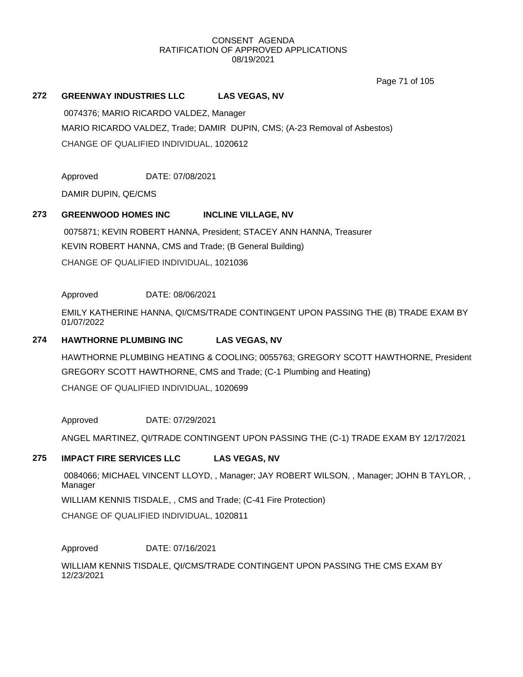Page 71 of 105

## **272 GREENWAY INDUSTRIES LLC LAS VEGAS, NV**

0074376; MARIO RICARDO VALDEZ, Manager MARIO RICARDO VALDEZ, Trade; DAMIR DUPIN, CMS; (A-23 Removal of Asbestos) CHANGE OF QUALIFIED INDIVIDUAL, 1020612

Approved DATE: 07/08/2021

DAMIR DUPIN, QE/CMS

# **273 GREENWOOD HOMES INC INCLINE VILLAGE, NV**

0075871; KEVIN ROBERT HANNA, President; STACEY ANN HANNA, Treasurer KEVIN ROBERT HANNA, CMS and Trade; (B General Building) CHANGE OF QUALIFIED INDIVIDUAL, 1021036

Approved DATE: 08/06/2021

EMILY KATHERINE HANNA, QI/CMS/TRADE CONTINGENT UPON PASSING THE (B) TRADE EXAM BY 01/07/2022

#### **274 HAWTHORNE PLUMBING INC LAS VEGAS, NV**

HAWTHORNE PLUMBING HEATING & COOLING; 0055763; GREGORY SCOTT HAWTHORNE, President GREGORY SCOTT HAWTHORNE, CMS and Trade; (C-1 Plumbing and Heating) CHANGE OF QUALIFIED INDIVIDUAL, 1020699

Approved DATE: 07/29/2021

ANGEL MARTINEZ, QI/TRADE CONTINGENT UPON PASSING THE (C-1) TRADE EXAM BY 12/17/2021

# **275 IMPACT FIRE SERVICES LLC LAS VEGAS, NV**

0084066; MICHAEL VINCENT LLOYD, , Manager; JAY ROBERT WILSON, , Manager; JOHN B TAYLOR, , Manager

WILLIAM KENNIS TISDALE, , CMS and Trade; (C-41 Fire Protection)

CHANGE OF QUALIFIED INDIVIDUAL, 1020811

Approved DATE: 07/16/2021

WILLIAM KENNIS TISDALE, QI/CMS/TRADE CONTINGENT UPON PASSING THE CMS EXAM BY 12/23/2021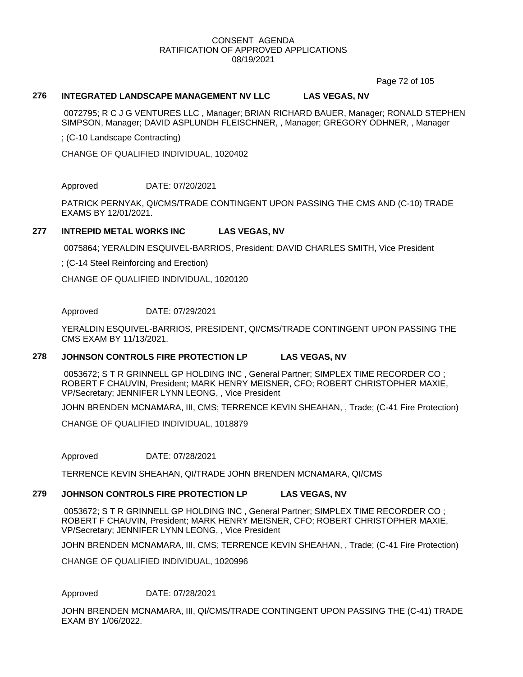Page 72 of 105

## **276 INTEGRATED LANDSCAPE MANAGEMENT NV LLC LAS VEGAS, NV**

0072795; R C J G VENTURES LLC , Manager; BRIAN RICHARD BAUER, Manager; RONALD STEPHEN SIMPSON, Manager; DAVID ASPLUNDH FLEISCHNER, , Manager; GREGORY ODHNER, , Manager

; (C-10 Landscape Contracting)

CHANGE OF QUALIFIED INDIVIDUAL, 1020402

Approved DATE: 07/20/2021

PATRICK PERNYAK, QI/CMS/TRADE CONTINGENT UPON PASSING THE CMS AND (C-10) TRADE EXAMS BY 12/01/2021.

## **277 INTREPID METAL WORKS INC LAS VEGAS, NV**

0075864; YERALDIN ESQUIVEL-BARRIOS, President; DAVID CHARLES SMITH, Vice President

; (C-14 Steel Reinforcing and Erection)

CHANGE OF QUALIFIED INDIVIDUAL, 1020120

Approved DATE: 07/29/2021

YERALDIN ESQUIVEL-BARRIOS, PRESIDENT, QI/CMS/TRADE CONTINGENT UPON PASSING THE CMS EXAM BY 11/13/2021.

# **278 JOHNSON CONTROLS FIRE PROTECTION LP LAS VEGAS, NV**

0053672; S T R GRINNELL GP HOLDING INC , General Partner; SIMPLEX TIME RECORDER CO ; ROBERT F CHAUVIN, President; MARK HENRY MEISNER, CFO; ROBERT CHRISTOPHER MAXIE, VP/Secretary; JENNIFER LYNN LEONG, , Vice President

JOHN BRENDEN MCNAMARA, III, CMS; TERRENCE KEVIN SHEAHAN, , Trade; (C-41 Fire Protection)

CHANGE OF QUALIFIED INDIVIDUAL, 1018879

Approved DATE: 07/28/2021

TERRENCE KEVIN SHEAHAN, QI/TRADE JOHN BRENDEN MCNAMARA, QI/CMS

# **279 JOHNSON CONTROLS FIRE PROTECTION LP LAS VEGAS, NV**

0053672; S T R GRINNELL GP HOLDING INC , General Partner; SIMPLEX TIME RECORDER CO ; ROBERT F CHAUVIN, President; MARK HENRY MEISNER, CFO; ROBERT CHRISTOPHER MAXIE, VP/Secretary; JENNIFER LYNN LEONG, , Vice President

JOHN BRENDEN MCNAMARA, III, CMS; TERRENCE KEVIN SHEAHAN, , Trade; (C-41 Fire Protection)

CHANGE OF QUALIFIED INDIVIDUAL, 1020996

#### Approved DATE: 07/28/2021

JOHN BRENDEN MCNAMARA, III, QI/CMS/TRADE CONTINGENT UPON PASSING THE (C-41) TRADE EXAM BY 1/06/2022.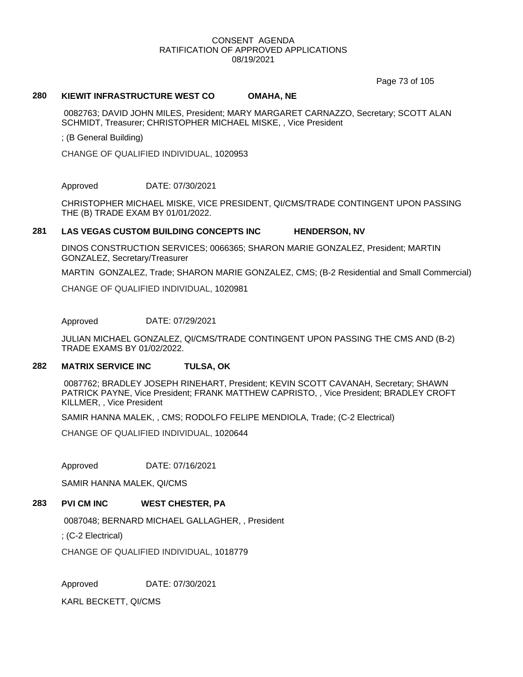Page 73 of 105

#### **280 KIEWIT INFRASTRUCTURE WEST CO OMAHA, NE**

0082763; DAVID JOHN MILES, President; MARY MARGARET CARNAZZO, Secretary; SCOTT ALAN SCHMIDT, Treasurer; CHRISTOPHER MICHAEL MISKE, , Vice President

; (B General Building)

CHANGE OF QUALIFIED INDIVIDUAL, 1020953

Approved DATE: 07/30/2021

CHRISTOPHER MICHAEL MISKE, VICE PRESIDENT, QI/CMS/TRADE CONTINGENT UPON PASSING THE (B) TRADE EXAM BY 01/01/2022.

#### **281 LAS VEGAS CUSTOM BUILDING CONCEPTS INC HENDERSON, NV**

DINOS CONSTRUCTION SERVICES; 0066365; SHARON MARIE GONZALEZ, President; MARTIN GONZALEZ, Secretary/Treasurer

MARTIN GONZALEZ, Trade; SHARON MARIE GONZALEZ, CMS; (B-2 Residential and Small Commercial)

CHANGE OF QUALIFIED INDIVIDUAL, 1020981

Approved DATE: 07/29/2021

JULIAN MICHAEL GONZALEZ, QI/CMS/TRADE CONTINGENT UPON PASSING THE CMS AND (B-2) TRADE EXAMS BY 01/02/2022.

# **282 MATRIX SERVICE INC TULSA, OK**

0087762; BRADLEY JOSEPH RINEHART, President; KEVIN SCOTT CAVANAH, Secretary; SHAWN PATRICK PAYNE, Vice President; FRANK MATTHEW CAPRISTO, , Vice President; BRADLEY CROFT KILLMER, , Vice President

SAMIR HANNA MALEK, , CMS; RODOLFO FELIPE MENDIOLA, Trade; (C-2 Electrical)

CHANGE OF QUALIFIED INDIVIDUAL, 1020644

Approved DATE: 07/16/2021

SAMIR HANNA MALEK, QI/CMS

#### **283 PVI CM INC WEST CHESTER, PA**

0087048; BERNARD MICHAEL GALLAGHER, , President

; (C-2 Electrical)

CHANGE OF QUALIFIED INDIVIDUAL, 1018779

Approved DATE: 07/30/2021

KARL BECKETT, QI/CMS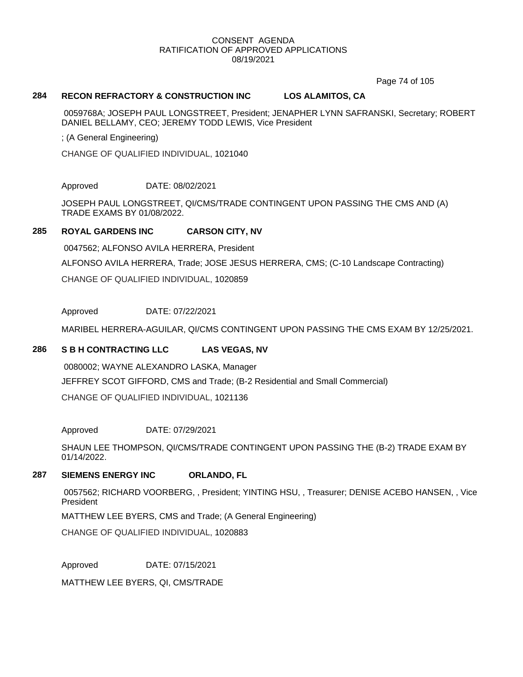Page 74 of 105

# **284 RECON REFRACTORY & CONSTRUCTION INC LOS ALAMITOS, CA**

0059768A; JOSEPH PAUL LONGSTREET, President; JENAPHER LYNN SAFRANSKI, Secretary; ROBERT DANIEL BELLAMY, CEO; JEREMY TODD LEWIS, Vice President

; (A General Engineering)

CHANGE OF QUALIFIED INDIVIDUAL, 1021040

Approved DATE: 08/02/2021

JOSEPH PAUL LONGSTREET, QI/CMS/TRADE CONTINGENT UPON PASSING THE CMS AND (A) TRADE EXAMS BY 01/08/2022.

# **285 ROYAL GARDENS INC CARSON CITY, NV**

0047562; ALFONSO AVILA HERRERA, President ALFONSO AVILA HERRERA, Trade; JOSE JESUS HERRERA, CMS; (C-10 Landscape Contracting) CHANGE OF QUALIFIED INDIVIDUAL, 1020859

Approved DATE: 07/22/2021

MARIBEL HERRERA-AGUILAR, QI/CMS CONTINGENT UPON PASSING THE CMS EXAM BY 12/25/2021.

# **286 S B H CONTRACTING LLC LAS VEGAS, NV**

0080002; WAYNE ALEXANDRO LASKA, Manager JEFFREY SCOT GIFFORD, CMS and Trade; (B-2 Residential and Small Commercial) CHANGE OF QUALIFIED INDIVIDUAL, 1021136

Approved DATE: 07/29/2021

SHAUN LEE THOMPSON, QI/CMS/TRADE CONTINGENT UPON PASSING THE (B-2) TRADE EXAM BY 01/14/2022.

# **287 SIEMENS ENERGY INC ORLANDO, FL**

0057562; RICHARD VOORBERG, , President; YINTING HSU, , Treasurer; DENISE ACEBO HANSEN, , Vice President

MATTHEW LEE BYERS, CMS and Trade; (A General Engineering)

CHANGE OF QUALIFIED INDIVIDUAL, 1020883

Approved DATE: 07/15/2021

MATTHEW LEE BYERS, QI, CMS/TRADE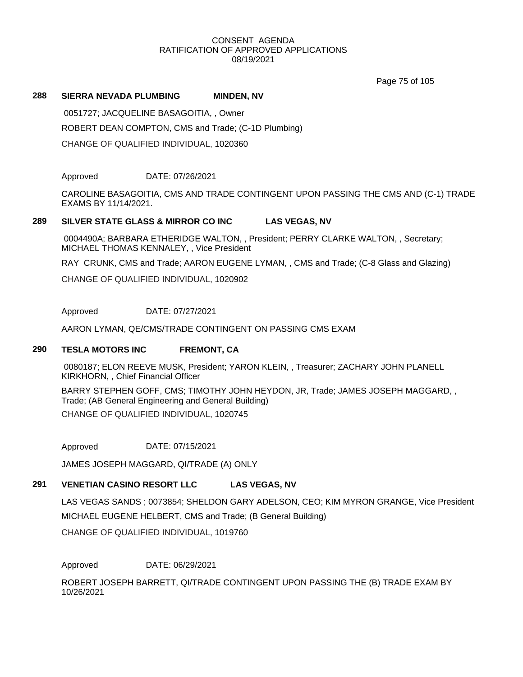Page 75 of 105

#### **288 SIERRA NEVADA PLUMBING MINDEN, NV**

0051727; JACQUELINE BASAGOITIA, , Owner ROBERT DEAN COMPTON, CMS and Trade; (C-1D Plumbing) CHANGE OF QUALIFIED INDIVIDUAL, 1020360

Approved DATE: 07/26/2021

CAROLINE BASAGOITIA, CMS AND TRADE CONTINGENT UPON PASSING THE CMS AND (C-1) TRADE EXAMS BY 11/14/2021.

## **289 SILVER STATE GLASS & MIRROR CO INC LAS VEGAS, NV**

0004490A; BARBARA ETHERIDGE WALTON, , President; PERRY CLARKE WALTON, , Secretary; MICHAEL THOMAS KENNALEY, , Vice President

RAY CRUNK, CMS and Trade; AARON EUGENE LYMAN, , CMS and Trade; (C-8 Glass and Glazing)

CHANGE OF QUALIFIED INDIVIDUAL, 1020902

Approved DATE: 07/27/2021

AARON LYMAN, QE/CMS/TRADE CONTINGENT ON PASSING CMS EXAM

# **290 TESLA MOTORS INC FREMONT, CA**

0080187; ELON REEVE MUSK, President; YARON KLEIN, , Treasurer; ZACHARY JOHN PLANELL KIRKHORN, , Chief Financial Officer

BARRY STEPHEN GOFF, CMS; TIMOTHY JOHN HEYDON, JR, Trade; JAMES JOSEPH MAGGARD, , Trade; (AB General Engineering and General Building)

CHANGE OF QUALIFIED INDIVIDUAL, 1020745

Approved DATE: 07/15/2021

JAMES JOSEPH MAGGARD, QI/TRADE (A) ONLY

# **291 VENETIAN CASINO RESORT LLC LAS VEGAS, NV**

LAS VEGAS SANDS ; 0073854; SHELDON GARY ADELSON, CEO; KIM MYRON GRANGE, Vice President MICHAEL EUGENE HELBERT, CMS and Trade; (B General Building)

CHANGE OF QUALIFIED INDIVIDUAL, 1019760

Approved DATE: 06/29/2021

ROBERT JOSEPH BARRETT, QI/TRADE CONTINGENT UPON PASSING THE (B) TRADE EXAM BY 10/26/2021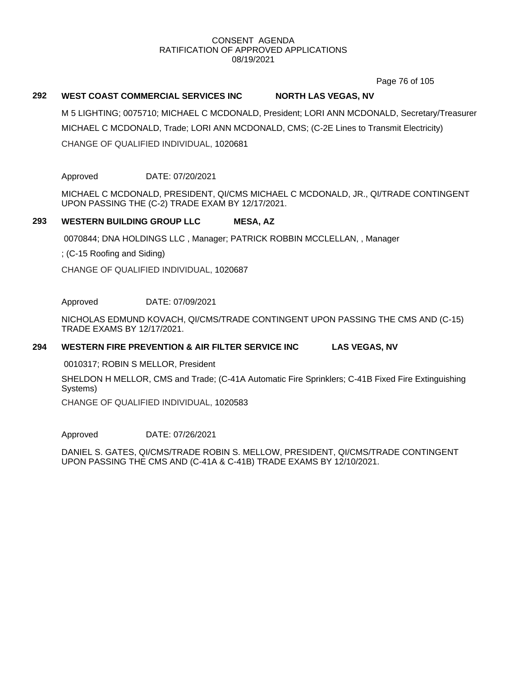Page 76 of 105

# **292 WEST COAST COMMERCIAL SERVICES INC NORTH LAS VEGAS, NV**

M 5 LIGHTING; 0075710; MICHAEL C MCDONALD, President; LORI ANN MCDONALD, Secretary/Treasurer MICHAEL C MCDONALD, Trade; LORI ANN MCDONALD, CMS; (C-2E Lines to Transmit Electricity) CHANGE OF QUALIFIED INDIVIDUAL, 1020681

Approved DATE: 07/20/2021

MICHAEL C MCDONALD, PRESIDENT, QI/CMS MICHAEL C MCDONALD, JR., QI/TRADE CONTINGENT UPON PASSING THE (C-2) TRADE EXAM BY 12/17/2021.

## **293 WESTERN BUILDING GROUP LLC MESA, AZ**

0070844; DNA HOLDINGS LLC , Manager; PATRICK ROBBIN MCCLELLAN, , Manager

; (C-15 Roofing and Siding)

CHANGE OF QUALIFIED INDIVIDUAL, 1020687

Approved DATE: 07/09/2021

NICHOLAS EDMUND KOVACH, QI/CMS/TRADE CONTINGENT UPON PASSING THE CMS AND (C-15) TRADE EXAMS BY 12/17/2021.

#### **294 WESTERN FIRE PREVENTION & AIR FILTER SERVICE INC LAS VEGAS, NV**

0010317; ROBIN S MELLOR, President

SHELDON H MELLOR, CMS and Trade; (C-41A Automatic Fire Sprinklers; C-41B Fixed Fire Extinguishing Systems)

CHANGE OF QUALIFIED INDIVIDUAL, 1020583

Approved DATE: 07/26/2021

DANIEL S. GATES, QI/CMS/TRADE ROBIN S. MELLOW, PRESIDENT, QI/CMS/TRADE CONTINGENT UPON PASSING THE CMS AND (C-41A & C-41B) TRADE EXAMS BY 12/10/2021.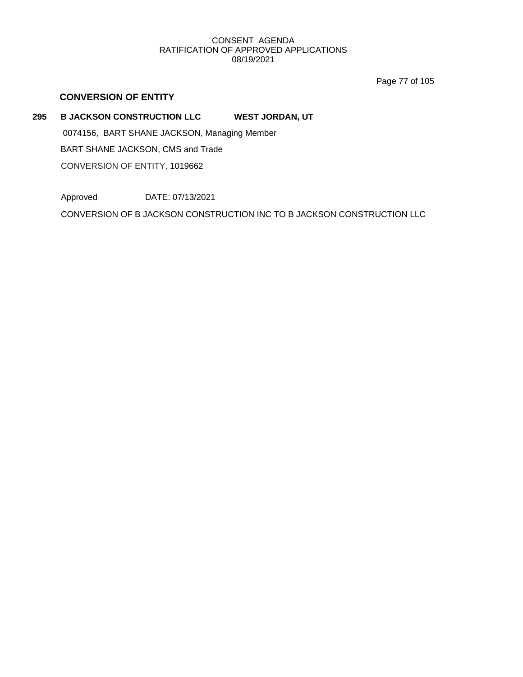Page 77 of 105

# **CONVERSION OF ENTITY**

# **295 B JACKSON CONSTRUCTION LLC WEST JORDAN, UT**

0074156, BART SHANE JACKSON, Managing Member BART SHANE JACKSON, CMS and Trade CONVERSION OF ENTITY, 1019662

Approved DATE: 07/13/2021

CONVERSION OF B JACKSON CONSTRUCTION INC TO B JACKSON CONSTRUCTION LLC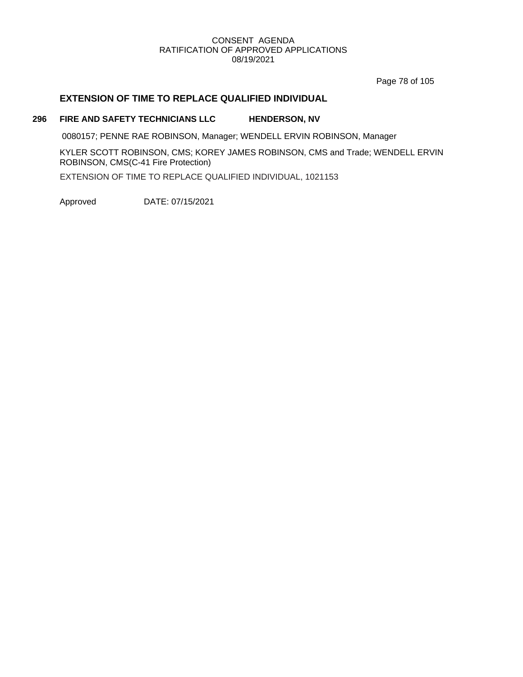Page 78 of 105

# **EXTENSION OF TIME TO REPLACE QUALIFIED INDIVIDUAL**

#### **296 FIRE AND SAFETY TECHNICIANS LLC HENDERSON, NV**

0080157; PENNE RAE ROBINSON, Manager; WENDELL ERVIN ROBINSON, Manager

KYLER SCOTT ROBINSON, CMS; KOREY JAMES ROBINSON, CMS and Trade; WENDELL ERVIN ROBINSON, CMS(C-41 Fire Protection)

EXTENSION OF TIME TO REPLACE QUALIFIED INDIVIDUAL, 1021153

Approved DATE: 07/15/2021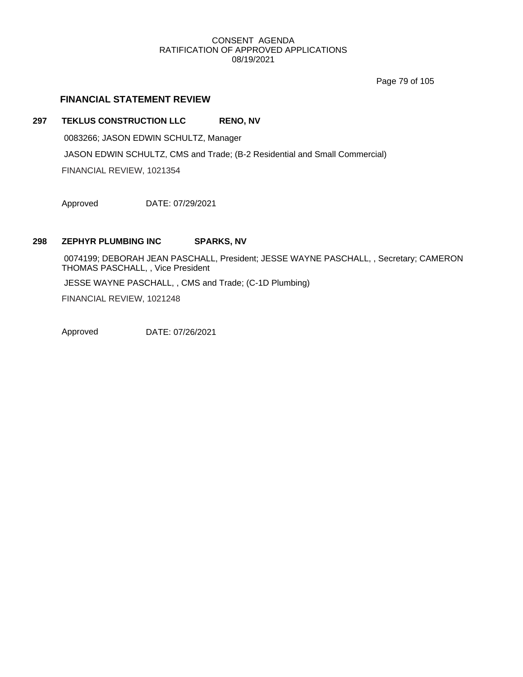Page 79 of 105

# **FINANCIAL STATEMENT REVIEW**

#### **297 TEKLUS CONSTRUCTION LLC RENO, NV**

0083266; JASON EDWIN SCHULTZ, Manager JASON EDWIN SCHULTZ, CMS and Trade; (B-2 Residential and Small Commercial)

FINANCIAL REVIEW, 1021354

Approved DATE: 07/29/2021

# **298 ZEPHYR PLUMBING INC SPARKS, NV**

0074199; DEBORAH JEAN PASCHALL, President; JESSE WAYNE PASCHALL, , Secretary; CAMERON THOMAS PASCHALL, , Vice President JESSE WAYNE PASCHALL, , CMS and Trade; (C-1D Plumbing) FINANCIAL REVIEW, 1021248

Approved DATE: 07/26/2021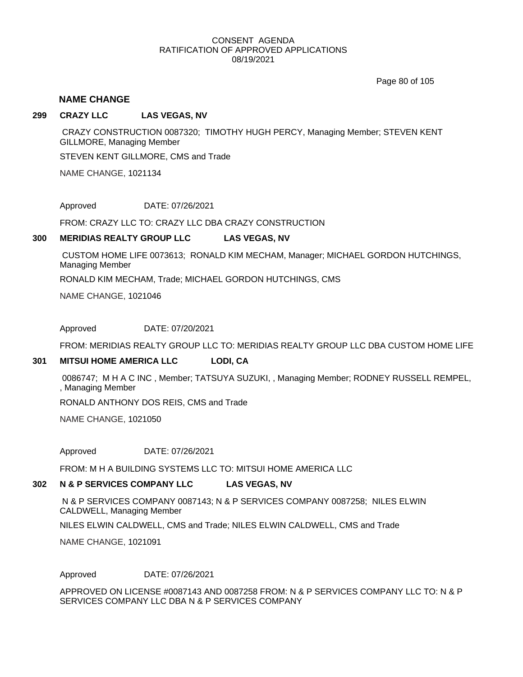Page 80 of 105

#### **NAME CHANGE**

#### **299 CRAZY LLC LAS VEGAS, NV**

CRAZY CONSTRUCTION 0087320; TIMOTHY HUGH PERCY, Managing Member; STEVEN KENT GILLMORE, Managing Member

STEVEN KENT GILLMORE, CMS and Trade

NAME CHANGE, 1021134

Approved DATE: 07/26/2021

FROM: CRAZY LLC TO: CRAZY LLC DBA CRAZY CONSTRUCTION

#### **300 MERIDIAS REALTY GROUP LLC LAS VEGAS, NV**

CUSTOM HOME LIFE 0073613; RONALD KIM MECHAM, Manager; MICHAEL GORDON HUTCHINGS, Managing Member

RONALD KIM MECHAM, Trade; MICHAEL GORDON HUTCHINGS, CMS

NAME CHANGE, 1021046

Approved DATE: 07/20/2021

FROM: MERIDIAS REALTY GROUP LLC TO: MERIDIAS REALTY GROUP LLC DBA CUSTOM HOME LIFE

#### **301 MITSUI HOME AMERICA LLC LODI, CA**

0086747; M H A C INC , Member; TATSUYA SUZUKI, , Managing Member; RODNEY RUSSELL REMPEL, , Managing Member

RONALD ANTHONY DOS REIS, CMS and Trade

NAME CHANGE, 1021050

Approved DATE: 07/26/2021

FROM: M H A BUILDING SYSTEMS LLC TO: MITSUI HOME AMERICA LLC

#### **302 N & P SERVICES COMPANY LLC LAS VEGAS, NV**

N & P SERVICES COMPANY 0087143; N & P SERVICES COMPANY 0087258; NILES ELWIN CALDWELL, Managing Member

NILES ELWIN CALDWELL, CMS and Trade; NILES ELWIN CALDWELL, CMS and Trade

NAME CHANGE, 1021091

Approved DATE: 07/26/2021

APPROVED ON LICENSE #0087143 AND 0087258 FROM: N & P SERVICES COMPANY LLC TO: N & P SERVICES COMPANY LLC DBA N & P SERVICES COMPANY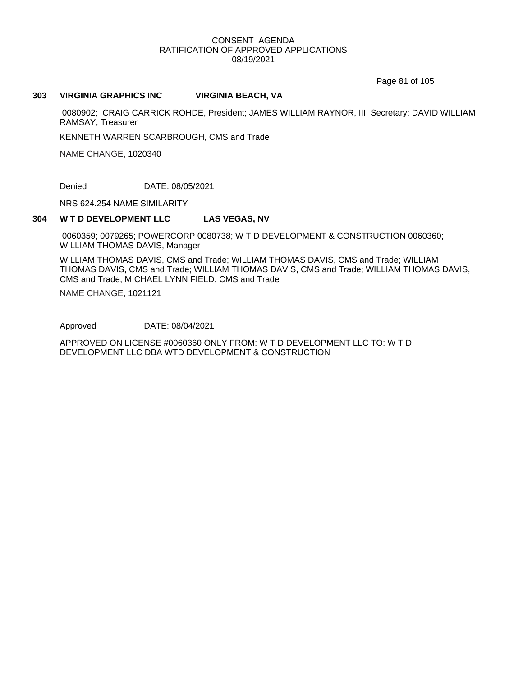Page 81 of 105

#### **303 VIRGINIA GRAPHICS INC VIRGINIA BEACH, VA**

0080902; CRAIG CARRICK ROHDE, President; JAMES WILLIAM RAYNOR, III, Secretary; DAVID WILLIAM RAMSAY, Treasurer

KENNETH WARREN SCARBROUGH, CMS and Trade

NAME CHANGE, 1020340

Denied DATE: 08/05/2021

NRS 624.254 NAME SIMILARITY

#### **304 W T D DEVELOPMENT LLC LAS VEGAS, NV**

0060359; 0079265; POWERCORP 0080738; W T D DEVELOPMENT & CONSTRUCTION 0060360; WILLIAM THOMAS DAVIS, Manager

WILLIAM THOMAS DAVIS, CMS and Trade; WILLIAM THOMAS DAVIS, CMS and Trade; WILLIAM THOMAS DAVIS, CMS and Trade; WILLIAM THOMAS DAVIS, CMS and Trade; WILLIAM THOMAS DAVIS, CMS and Trade; MICHAEL LYNN FIELD, CMS and Trade

NAME CHANGE, 1021121

Approved DATE: 08/04/2021

APPROVED ON LICENSE #0060360 ONLY FROM: W T D DEVELOPMENT LLC TO: W T D DEVELOPMENT LLC DBA WTD DEVELOPMENT & CONSTRUCTION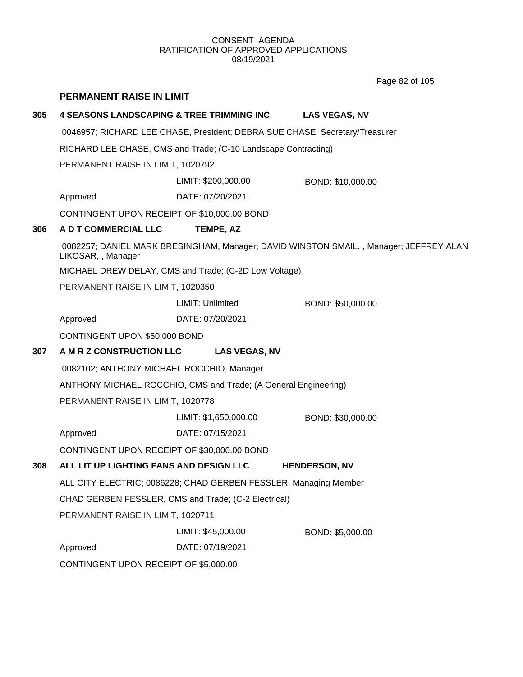Page 82 of 105

|     | <b>PERMANENT RAISE IN LIMIT</b>                                             |                                                                  |                                                                                        |  |  |  |
|-----|-----------------------------------------------------------------------------|------------------------------------------------------------------|----------------------------------------------------------------------------------------|--|--|--|
| 305 | <b>4 SEASONS LANDSCAPING &amp; TREE TRIMMING INC</b>                        |                                                                  | <b>LAS VEGAS, NV</b>                                                                   |  |  |  |
|     | 0046957; RICHARD LEE CHASE, President; DEBRA SUE CHASE, Secretary/Treasurer |                                                                  |                                                                                        |  |  |  |
|     |                                                                             | RICHARD LEE CHASE, CMS and Trade; (C-10 Landscape Contracting)   |                                                                                        |  |  |  |
|     | PERMANENT RAISE IN LIMIT, 1020792                                           |                                                                  |                                                                                        |  |  |  |
|     | LIMIT: \$200,000.00<br>BOND: \$10,000.00                                    |                                                                  |                                                                                        |  |  |  |
|     | Approved                                                                    | DATE: 07/20/2021                                                 |                                                                                        |  |  |  |
|     | CONTINGENT UPON RECEIPT OF \$10,000.00 BOND                                 |                                                                  |                                                                                        |  |  |  |
| 306 | A D T COMMERCIAL LLC                                                        | TEMPE, AZ                                                        |                                                                                        |  |  |  |
|     | LIKOSAR, , Manager                                                          |                                                                  | 0082257; DANIEL MARK BRESINGHAM, Manager; DAVID WINSTON SMAIL, , Manager; JEFFREY ALAN |  |  |  |
|     |                                                                             | MICHAEL DREW DELAY, CMS and Trade; (C-2D Low Voltage)            |                                                                                        |  |  |  |
|     | PERMANENT RAISE IN LIMIT, 1020350                                           |                                                                  |                                                                                        |  |  |  |
|     |                                                                             | LIMIT: Unlimited                                                 | BOND: \$50,000.00                                                                      |  |  |  |
|     | Approved                                                                    | DATE: 07/20/2021                                                 |                                                                                        |  |  |  |
|     | CONTINGENT UPON \$50,000 BOND                                               |                                                                  |                                                                                        |  |  |  |
| 307 | A M R Z CONSTRUCTION LLC                                                    | <b>LAS VEGAS, NV</b>                                             |                                                                                        |  |  |  |
|     | 0082102; ANTHONY MICHAEL ROCCHIO, Manager                                   |                                                                  |                                                                                        |  |  |  |
|     |                                                                             | ANTHONY MICHAEL ROCCHIO, CMS and Trade; (A General Engineering)  |                                                                                        |  |  |  |
|     | PERMANENT RAISE IN LIMIT, 1020778                                           |                                                                  |                                                                                        |  |  |  |
|     |                                                                             | LIMIT: \$1,650,000.00                                            | BOND: \$30,000.00                                                                      |  |  |  |
|     | Approved                                                                    | DATE: 07/15/2021                                                 |                                                                                        |  |  |  |
|     | CONTINGENT UPON RECEIPT OF \$30,000.00 BOND                                 |                                                                  |                                                                                        |  |  |  |
| 308 | ALL LIT UP LIGHTING FANS AND DESIGN LLC                                     |                                                                  | <b>HENDERSON, NV</b>                                                                   |  |  |  |
|     |                                                                             | ALL CITY ELECTRIC; 0086228; CHAD GERBEN FESSLER, Managing Member |                                                                                        |  |  |  |
|     |                                                                             | CHAD GERBEN FESSLER, CMS and Trade; (C-2 Electrical)             |                                                                                        |  |  |  |
|     | PERMANENT RAISE IN LIMIT, 1020711                                           |                                                                  |                                                                                        |  |  |  |
|     |                                                                             | LIMIT: \$45,000.00                                               | BOND: \$5,000.00                                                                       |  |  |  |
|     | Approved                                                                    | DATE: 07/19/2021                                                 |                                                                                        |  |  |  |
|     | CONTINGENT UPON RECEIPT OF \$5,000.00                                       |                                                                  |                                                                                        |  |  |  |
|     |                                                                             |                                                                  |                                                                                        |  |  |  |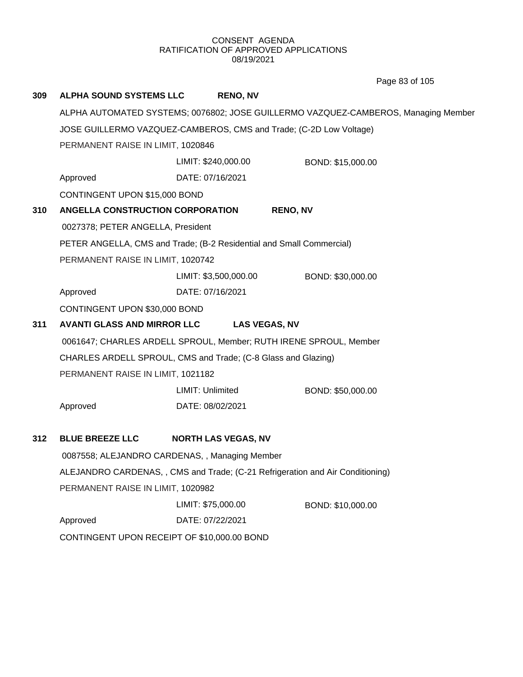Page 83 of 105

| 309                           | <b>ALPHA SOUND SYSTEMS LLC</b>                                     | <b>RENO, NV</b>                                                               |                                                                                    |  |  |
|-------------------------------|--------------------------------------------------------------------|-------------------------------------------------------------------------------|------------------------------------------------------------------------------------|--|--|
|                               |                                                                    |                                                                               | ALPHA AUTOMATED SYSTEMS; 0076802; JOSE GUILLERMO VAZQUEZ-CAMBEROS, Managing Member |  |  |
|                               | JOSE GUILLERMO VAZQUEZ-CAMBEROS, CMS and Trade; (C-2D Low Voltage) |                                                                               |                                                                                    |  |  |
|                               | PERMANENT RAISE IN LIMIT, 1020846                                  |                                                                               |                                                                                    |  |  |
|                               |                                                                    | BOND: \$15,000.00                                                             |                                                                                    |  |  |
|                               | Approved                                                           | DATE: 07/16/2021                                                              |                                                                                    |  |  |
| CONTINGENT UPON \$15,000 BOND |                                                                    |                                                                               |                                                                                    |  |  |
| 310                           | ANGELLA CONSTRUCTION CORPORATION                                   | <b>RENO, NV</b>                                                               |                                                                                    |  |  |
|                               | 0027378; PETER ANGELLA, President                                  |                                                                               |                                                                                    |  |  |
|                               |                                                                    | PETER ANGELLA, CMS and Trade; (B-2 Residential and Small Commercial)          |                                                                                    |  |  |
|                               | PERMANENT RAISE IN LIMIT, 1020742                                  |                                                                               |                                                                                    |  |  |
|                               |                                                                    | LIMIT: \$3,500,000.00                                                         | BOND: \$30,000.00                                                                  |  |  |
|                               | Approved                                                           | DATE: 07/16/2021                                                              |                                                                                    |  |  |
|                               | CONTINGENT UPON \$30,000 BOND                                      |                                                                               |                                                                                    |  |  |
| 311                           | <b>AVANTI GLASS AND MIRROR LLC</b>                                 | <b>LAS VEGAS, NV</b>                                                          |                                                                                    |  |  |
|                               |                                                                    | 0061647; CHARLES ARDELL SPROUL, Member; RUTH IRENE SPROUL, Member             |                                                                                    |  |  |
|                               |                                                                    | CHARLES ARDELL SPROUL, CMS and Trade; (C-8 Glass and Glazing)                 |                                                                                    |  |  |
|                               | PERMANENT RAISE IN LIMIT, 1021182                                  |                                                                               |                                                                                    |  |  |
|                               |                                                                    | LIMIT: Unlimited                                                              | BOND: \$50,000.00                                                                  |  |  |
|                               | Approved                                                           | DATE: 08/02/2021                                                              |                                                                                    |  |  |
| 312                           | <b>BLUE BREEZE LLC</b>                                             | <b>NORTH LAS VEGAS, NV</b>                                                    |                                                                                    |  |  |
|                               |                                                                    | 0087558; ALEJANDRO CARDENAS, , Managing Member                                |                                                                                    |  |  |
|                               |                                                                    | ALEJANDRO CARDENAS,, CMS and Trade; (C-21 Refrigeration and Air Conditioning) |                                                                                    |  |  |
|                               | PERMANENT RAISE IN LIMIT, 1020982                                  |                                                                               |                                                                                    |  |  |
|                               |                                                                    | LIMIT: \$75,000.00                                                            | BOND: \$10,000.00                                                                  |  |  |
|                               | Approved                                                           | DATE: 07/22/2021                                                              |                                                                                    |  |  |
|                               | CONTINGENT UPON RECEIPT OF \$10,000.00 BOND                        |                                                                               |                                                                                    |  |  |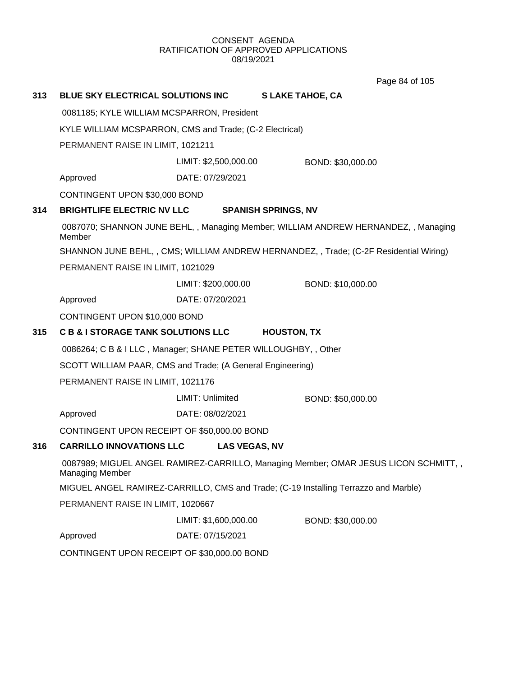Page 84 of 105

| 313 | BLUE SKY ELECTRICAL SOLUTIONS INC                              |                       | <b>SLAKE TAHOE, CA</b>                                                                 |  |
|-----|----------------------------------------------------------------|-----------------------|----------------------------------------------------------------------------------------|--|
|     | 0081185; KYLE WILLIAM MCSPARRON, President                     |                       |                                                                                        |  |
|     | KYLE WILLIAM MCSPARRON, CMS and Trade; (C-2 Electrical)        |                       |                                                                                        |  |
|     | PERMANENT RAISE IN LIMIT, 1021211                              |                       |                                                                                        |  |
|     |                                                                | LIMIT: \$2,500,000.00 | BOND: \$30,000.00                                                                      |  |
|     | Approved                                                       | DATE: 07/29/2021      |                                                                                        |  |
|     | CONTINGENT UPON \$30,000 BOND                                  |                       |                                                                                        |  |
| 314 | <b>BRIGHTLIFE ELECTRIC NV LLC</b>                              |                       | <b>SPANISH SPRINGS, NV</b>                                                             |  |
|     | Member                                                         |                       | 0087070; SHANNON JUNE BEHL,, Managing Member; WILLIAM ANDREW HERNANDEZ, , Managing     |  |
|     |                                                                |                       | SHANNON JUNE BEHL, , CMS; WILLIAM ANDREW HERNANDEZ, , Trade; (C-2F Residential Wiring) |  |
|     | PERMANENT RAISE IN LIMIT, 1021029                              |                       |                                                                                        |  |
|     |                                                                | LIMIT: \$200,000.00   | BOND: \$10,000.00                                                                      |  |
|     | Approved                                                       | DATE: 07/20/2021      |                                                                                        |  |
|     | CONTINGENT UPON \$10,000 BOND                                  |                       |                                                                                        |  |
| 315 | <b>C B &amp; I STORAGE TANK SOLUTIONS LLC</b>                  |                       | <b>HOUSTON, TX</b>                                                                     |  |
|     |                                                                |                       |                                                                                        |  |
|     | 0086264; C B & I LLC, Manager; SHANE PETER WILLOUGHBY, , Other |                       |                                                                                        |  |
|     | SCOTT WILLIAM PAAR, CMS and Trade; (A General Engineering)     |                       |                                                                                        |  |
|     | PERMANENT RAISE IN LIMIT, 1021176                              |                       |                                                                                        |  |
|     |                                                                | LIMIT: Unlimited      | BOND: \$50,000.00                                                                      |  |
|     | Approved                                                       | DATE: 08/02/2021      |                                                                                        |  |
|     | CONTINGENT UPON RECEIPT OF \$50,000.00 BOND                    |                       |                                                                                        |  |
| 316 | <b>CARRILLO INNOVATIONS LLC</b>                                | <b>LAS VEGAS, NV</b>  |                                                                                        |  |
|     | Managing Member                                                |                       | 0087989; MIGUEL ANGEL RAMIREZ-CARRILLO, Managing Member; OMAR JESUS LICON SCHMITT, ,   |  |
|     |                                                                |                       | MIGUEL ANGEL RAMIREZ-CARRILLO, CMS and Trade; (C-19 Installing Terrazzo and Marble)    |  |
|     | PERMANENT RAISE IN LIMIT, 1020667                              |                       |                                                                                        |  |
|     |                                                                | LIMIT: \$1,600,000.00 | BOND: \$30,000.00                                                                      |  |
|     | Approved                                                       | DATE: 07/15/2021      |                                                                                        |  |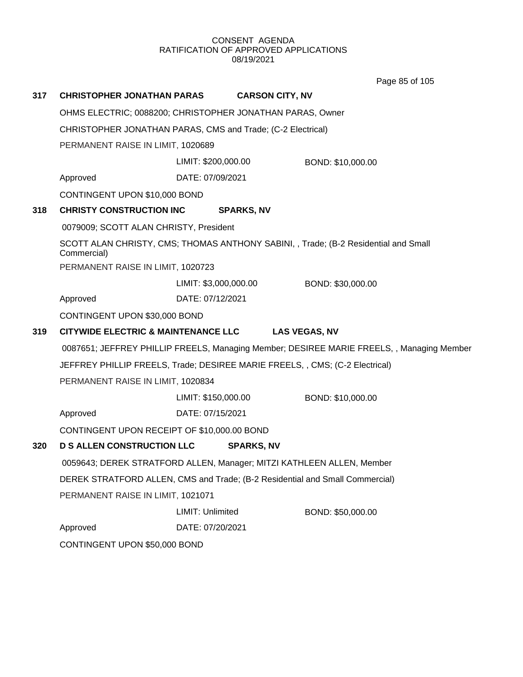Page 85 of 105

| 317 | <b>CHRISTOPHER JONATHAN PARAS</b>                                            |                                                                              | <b>CARSON CITY, NV</b> |                                                                                           |  |
|-----|------------------------------------------------------------------------------|------------------------------------------------------------------------------|------------------------|-------------------------------------------------------------------------------------------|--|
|     | OHMS ELECTRIC; 0088200; CHRISTOPHER JONATHAN PARAS, Owner                    |                                                                              |                        |                                                                                           |  |
|     | CHRISTOPHER JONATHAN PARAS, CMS and Trade; (C-2 Electrical)                  |                                                                              |                        |                                                                                           |  |
|     | PERMANENT RAISE IN LIMIT, 1020689                                            |                                                                              |                        |                                                                                           |  |
|     |                                                                              | LIMIT: \$200,000.00                                                          |                        | BOND: \$10,000.00                                                                         |  |
|     | Approved                                                                     | DATE: 07/09/2021                                                             |                        |                                                                                           |  |
|     | CONTINGENT UPON \$10,000 BOND                                                |                                                                              |                        |                                                                                           |  |
| 318 | <b>CHRISTY CONSTRUCTION INC</b>                                              |                                                                              | <b>SPARKS, NV</b>      |                                                                                           |  |
|     | 0079009; SCOTT ALAN CHRISTY, President                                       |                                                                              |                        |                                                                                           |  |
|     | Commercial)                                                                  |                                                                              |                        | SCOTT ALAN CHRISTY, CMS; THOMAS ANTHONY SABINI, , Trade; (B-2 Residential and Small       |  |
|     | PERMANENT RAISE IN LIMIT, 1020723                                            |                                                                              |                        |                                                                                           |  |
|     |                                                                              | LIMIT: \$3,000,000.00                                                        |                        | BOND: \$30,000.00                                                                         |  |
|     | Approved                                                                     | DATE: 07/12/2021                                                             |                        |                                                                                           |  |
|     | CONTINGENT UPON \$30,000 BOND                                                |                                                                              |                        |                                                                                           |  |
| 319 | <b>CITYWIDE ELECTRIC &amp; MAINTENANCE LLC</b>                               |                                                                              |                        | <b>LAS VEGAS, NV</b>                                                                      |  |
|     |                                                                              |                                                                              |                        | 0087651; JEFFREY PHILLIP FREELS, Managing Member; DESIREE MARIE FREELS, , Managing Member |  |
|     | JEFFREY PHILLIP FREELS, Trade; DESIREE MARIE FREELS, , CMS; (C-2 Electrical) |                                                                              |                        |                                                                                           |  |
|     | PERMANENT RAISE IN LIMIT, 1020834                                            |                                                                              |                        |                                                                                           |  |
|     |                                                                              | LIMIT: \$150,000.00                                                          |                        | BOND: \$10,000.00                                                                         |  |
|     | Approved                                                                     | DATE: 07/15/2021                                                             |                        |                                                                                           |  |
|     | CONTINGENT UPON RECEIPT OF \$10,000.00 BOND                                  |                                                                              |                        |                                                                                           |  |
| 320 | <b>D S ALLEN CONSTRUCTION LLC</b>                                            |                                                                              | <b>SPARKS, NV</b>      |                                                                                           |  |
|     |                                                                              | 0059643; DEREK STRATFORD ALLEN, Manager; MITZI KATHLEEN ALLEN, Member        |                        |                                                                                           |  |
|     |                                                                              | DEREK STRATFORD ALLEN, CMS and Trade; (B-2 Residential and Small Commercial) |                        |                                                                                           |  |
|     | PERMANENT RAISE IN LIMIT, 1021071                                            |                                                                              |                        |                                                                                           |  |
|     |                                                                              | LIMIT: Unlimited                                                             |                        | BOND: \$50,000.00                                                                         |  |
|     | Approved                                                                     | DATE: 07/20/2021                                                             |                        |                                                                                           |  |
|     | CONTINGENT UPON \$50,000 BOND                                                |                                                                              |                        |                                                                                           |  |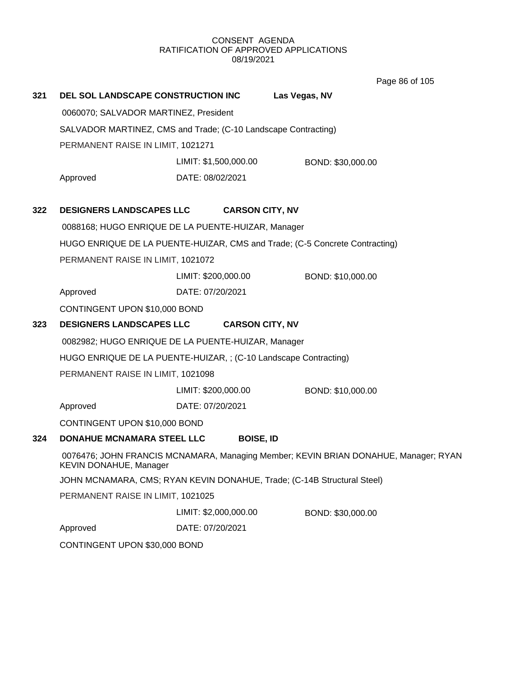Page 86 of 105

| 321 | DEL SOL LANDSCAPE CONSTRUCTION INC                                                                            |                                                                         | Las Vegas, NV                                                               |  |  |  |
|-----|---------------------------------------------------------------------------------------------------------------|-------------------------------------------------------------------------|-----------------------------------------------------------------------------|--|--|--|
|     | 0060070; SALVADOR MARTINEZ, President                                                                         |                                                                         |                                                                             |  |  |  |
|     | SALVADOR MARTINEZ, CMS and Trade; (C-10 Landscape Contracting)                                                |                                                                         |                                                                             |  |  |  |
|     | PERMANENT RAISE IN LIMIT, 1021271                                                                             |                                                                         |                                                                             |  |  |  |
|     |                                                                                                               | LIMIT: \$1,500,000.00                                                   | BOND: \$30,000.00                                                           |  |  |  |
|     | Approved                                                                                                      | DATE: 08/02/2021                                                        |                                                                             |  |  |  |
| 322 | <b>DESIGNERS LANDSCAPES LLC</b>                                                                               | <b>CARSON CITY, NV</b>                                                  |                                                                             |  |  |  |
|     | 0088168; HUGO ENRIQUE DE LA PUENTE-HUIZAR, Manager                                                            |                                                                         |                                                                             |  |  |  |
|     |                                                                                                               |                                                                         | HUGO ENRIQUE DE LA PUENTE-HUIZAR, CMS and Trade; (C-5 Concrete Contracting) |  |  |  |
|     | PERMANENT RAISE IN LIMIT, 1021072                                                                             |                                                                         |                                                                             |  |  |  |
|     |                                                                                                               | LIMIT: \$200,000.00                                                     | BOND: \$10,000.00                                                           |  |  |  |
|     | Approved                                                                                                      | DATE: 07/20/2021                                                        |                                                                             |  |  |  |
|     | CONTINGENT UPON \$10,000 BOND                                                                                 |                                                                         |                                                                             |  |  |  |
| 323 | <b>DESIGNERS LANDSCAPES LLC</b>                                                                               | <b>CARSON CITY, NV</b>                                                  |                                                                             |  |  |  |
|     | 0082982; HUGO ENRIQUE DE LA PUENTE-HUIZAR, Manager                                                            |                                                                         |                                                                             |  |  |  |
|     | HUGO ENRIQUE DE LA PUENTE-HUIZAR, ; (C-10 Landscape Contracting)                                              |                                                                         |                                                                             |  |  |  |
|     | PERMANENT RAISE IN LIMIT, 1021098                                                                             |                                                                         |                                                                             |  |  |  |
|     |                                                                                                               | LIMIT: \$200,000.00                                                     | BOND: \$10,000.00                                                           |  |  |  |
|     | Approved                                                                                                      | DATE: 07/20/2021                                                        |                                                                             |  |  |  |
|     | CONTINGENT UPON \$10,000 BOND                                                                                 |                                                                         |                                                                             |  |  |  |
| 324 | DONAHUE MCNAMARA STEEL LLC                                                                                    | <b>BOISE, ID</b>                                                        |                                                                             |  |  |  |
|     | 0076476; JOHN FRANCIS MCNAMARA, Managing Member; KEVIN BRIAN DONAHUE, Manager; RYAN<br>KEVIN DONAHUE, Manager |                                                                         |                                                                             |  |  |  |
|     |                                                                                                               | JOHN MCNAMARA, CMS; RYAN KEVIN DONAHUE, Trade; (C-14B Structural Steel) |                                                                             |  |  |  |
|     | PERMANENT RAISE IN LIMIT, 1021025                                                                             |                                                                         |                                                                             |  |  |  |
|     |                                                                                                               | LIMIT: \$2,000,000.00                                                   | BOND: \$30,000.00                                                           |  |  |  |
|     | Approved                                                                                                      | DATE: 07/20/2021                                                        |                                                                             |  |  |  |
|     | CONTINGENT UPON \$30,000 BOND                                                                                 |                                                                         |                                                                             |  |  |  |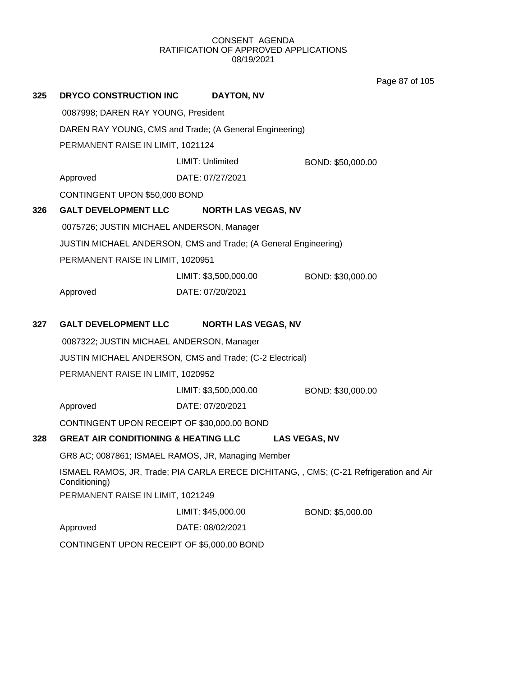Page 87 of 105

| 325 | <b>DRYCO CONSTRUCTION INC</b>                           | DAYTON, NV                                                      |                                                                                        |  |  |  |
|-----|---------------------------------------------------------|-----------------------------------------------------------------|----------------------------------------------------------------------------------------|--|--|--|
|     | 0087998; DAREN RAY YOUNG, President                     |                                                                 |                                                                                        |  |  |  |
|     | DAREN RAY YOUNG, CMS and Trade; (A General Engineering) |                                                                 |                                                                                        |  |  |  |
|     | PERMANENT RAISE IN LIMIT, 1021124                       |                                                                 |                                                                                        |  |  |  |
|     |                                                         | LIMIT: Unlimited                                                | BOND: \$50,000.00                                                                      |  |  |  |
|     | Approved                                                | DATE: 07/27/2021                                                |                                                                                        |  |  |  |
|     | CONTINGENT UPON \$50,000 BOND                           |                                                                 |                                                                                        |  |  |  |
| 326 | <b>GALT DEVELOPMENT LLC</b>                             | <b>NORTH LAS VEGAS, NV</b>                                      |                                                                                        |  |  |  |
|     | 0075726; JUSTIN MICHAEL ANDERSON, Manager               |                                                                 |                                                                                        |  |  |  |
|     |                                                         | JUSTIN MICHAEL ANDERSON, CMS and Trade; (A General Engineering) |                                                                                        |  |  |  |
|     | PERMANENT RAISE IN LIMIT, 1020951                       |                                                                 |                                                                                        |  |  |  |
|     |                                                         | LIMIT: \$3,500,000.00                                           | BOND: \$30,000.00                                                                      |  |  |  |
|     | Approved                                                | DATE: 07/20/2021                                                |                                                                                        |  |  |  |
| 327 | <b>GALT DEVELOPMENT LLC</b>                             | <b>NORTH LAS VEGAS, NV</b>                                      |                                                                                        |  |  |  |
|     | 0087322; JUSTIN MICHAEL ANDERSON, Manager               |                                                                 |                                                                                        |  |  |  |
|     |                                                         | JUSTIN MICHAEL ANDERSON, CMS and Trade; (C-2 Electrical)        |                                                                                        |  |  |  |
|     | PERMANENT RAISE IN LIMIT, 1020952                       |                                                                 |                                                                                        |  |  |  |
|     |                                                         | LIMIT: \$3,500,000.00                                           | BOND: \$30,000.00                                                                      |  |  |  |
|     | Approved                                                | DATE: 07/20/2021                                                |                                                                                        |  |  |  |
|     | CONTINGENT UPON RECEIPT OF \$30,000.00 BOND             |                                                                 |                                                                                        |  |  |  |
| 328 | <b>GREAT AIR CONDITIONING &amp; HEATING LLC</b>         |                                                                 | <b>LAS VEGAS, NV</b>                                                                   |  |  |  |
|     |                                                         | GR8 AC; 0087861; ISMAEL RAMOS, JR, Managing Member              |                                                                                        |  |  |  |
|     | Conditioning)                                           |                                                                 | ISMAEL RAMOS, JR, Trade; PIA CARLA ERECE DICHITANG, , CMS; (C-21 Refrigeration and Air |  |  |  |
|     | PERMANENT RAISE IN LIMIT, 1021249                       |                                                                 |                                                                                        |  |  |  |
|     |                                                         | LIMIT: \$45,000.00                                              | BOND: \$5,000.00                                                                       |  |  |  |
|     | Approved                                                | DATE: 08/02/2021                                                |                                                                                        |  |  |  |
|     | CONTINGENT UPON RECEIPT OF \$5,000.00 BOND              |                                                                 |                                                                                        |  |  |  |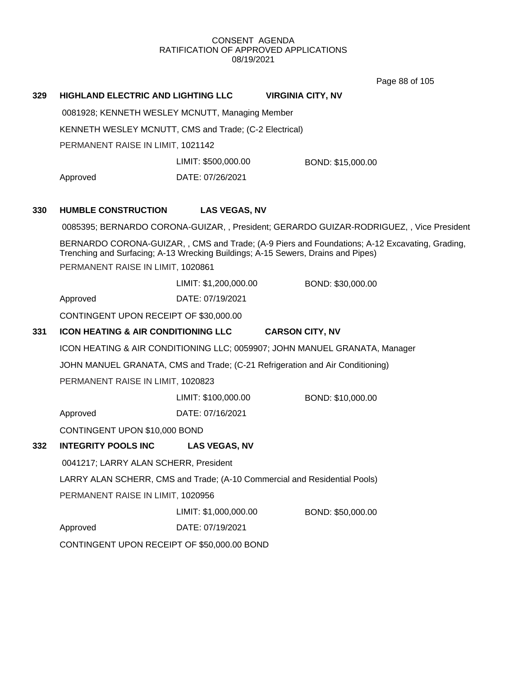Page 88 of 105

| 329 | <b>HIGHLAND ELECTRIC AND LIGHTING LLC</b>                                                                             |                       | <b>VIRGINIA CITY, NV</b>                                                                      |  |  |
|-----|-----------------------------------------------------------------------------------------------------------------------|-----------------------|-----------------------------------------------------------------------------------------------|--|--|
|     | 0081928; KENNETH WESLEY MCNUTT, Managing Member                                                                       |                       |                                                                                               |  |  |
|     | KENNETH WESLEY MCNUTT, CMS and Trade; (C-2 Electrical)                                                                |                       |                                                                                               |  |  |
|     | PERMANENT RAISE IN LIMIT, 1021142                                                                                     |                       |                                                                                               |  |  |
|     |                                                                                                                       | LIMIT: \$500,000.00   | BOND: \$15,000.00                                                                             |  |  |
|     | Approved                                                                                                              | DATE: 07/26/2021      |                                                                                               |  |  |
| 330 | <b>HUMBLE CONSTRUCTION</b>                                                                                            | <b>LAS VEGAS, NV</b>  |                                                                                               |  |  |
|     |                                                                                                                       |                       | 0085395; BERNARDO CORONA-GUIZAR, , President; GERARDO GUIZAR-RODRIGUEZ, , Vice President      |  |  |
|     | Trenching and Surfacing; A-13 Wrecking Buildings; A-15 Sewers, Drains and Pipes)<br>PERMANENT RAISE IN LIMIT, 1020861 |                       | BERNARDO CORONA-GUIZAR,, CMS and Trade; (A-9 Piers and Foundations; A-12 Excavating, Grading, |  |  |
|     |                                                                                                                       | LIMIT: \$1,200,000.00 | BOND: \$30,000.00                                                                             |  |  |
|     | Approved                                                                                                              | DATE: 07/19/2021      |                                                                                               |  |  |
|     | CONTINGENT UPON RECEIPT OF \$30,000.00                                                                                |                       |                                                                                               |  |  |
| 331 | <b>ICON HEATING &amp; AIR CONDITIONING LLC</b>                                                                        |                       | <b>CARSON CITY, NV</b>                                                                        |  |  |
|     |                                                                                                                       |                       | ICON HEATING & AIR CONDITIONING LLC; 0059907; JOHN MANUEL GRANATA, Manager                    |  |  |
|     |                                                                                                                       |                       | JOHN MANUEL GRANATA, CMS and Trade; (C-21 Refrigeration and Air Conditioning)                 |  |  |
|     | PERMANENT RAISE IN LIMIT, 1020823                                                                                     |                       |                                                                                               |  |  |
|     |                                                                                                                       | LIMIT: \$100,000.00   | BOND: \$10,000.00                                                                             |  |  |
|     | Approved                                                                                                              | DATE: 07/16/2021      |                                                                                               |  |  |
|     | CONTINGENT UPON \$10,000 BOND                                                                                         |                       |                                                                                               |  |  |
| 332 | <b>INTEGRITY POOLS INC</b>                                                                                            | <b>LAS VEGAS, NV</b>  |                                                                                               |  |  |
|     | 0041217; LARRY ALAN SCHERR, President                                                                                 |                       |                                                                                               |  |  |
|     |                                                                                                                       |                       | LARRY ALAN SCHERR, CMS and Trade; (A-10 Commercial and Residential Pools)                     |  |  |
|     | PERMANENT RAISE IN LIMIT, 1020956                                                                                     |                       |                                                                                               |  |  |
|     |                                                                                                                       | LIMIT: \$1,000,000.00 | BOND: \$50,000.00                                                                             |  |  |
|     | Approved                                                                                                              | DATE: 07/19/2021      |                                                                                               |  |  |
|     | CONTINGENT UPON RECEIPT OF \$50,000.00 BOND                                                                           |                       |                                                                                               |  |  |
|     |                                                                                                                       |                       |                                                                                               |  |  |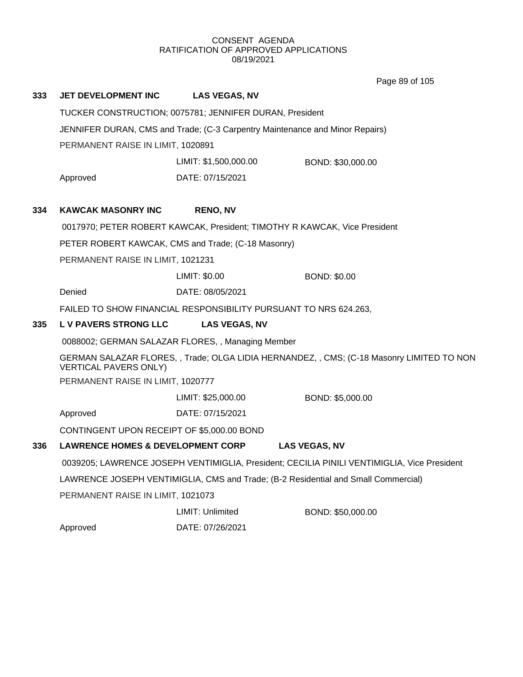Page 89 of 105

| 333 | <b>JET DEVELOPMENT INC</b>                                                                                        | <b>LAS VEGAS, NV</b>                                    |                                                                                             |  |  |
|-----|-------------------------------------------------------------------------------------------------------------------|---------------------------------------------------------|---------------------------------------------------------------------------------------------|--|--|
|     |                                                                                                                   | TUCKER CONSTRUCTION; 0075781; JENNIFER DURAN, President |                                                                                             |  |  |
|     | JENNIFER DURAN, CMS and Trade; (C-3 Carpentry Maintenance and Minor Repairs)<br>PERMANENT RAISE IN LIMIT, 1020891 |                                                         |                                                                                             |  |  |
|     |                                                                                                                   |                                                         |                                                                                             |  |  |
|     |                                                                                                                   | LIMIT: \$1,500,000.00                                   | BOND: \$30,000.00                                                                           |  |  |
|     | Approved                                                                                                          | DATE: 07/15/2021                                        |                                                                                             |  |  |
| 334 | <b>KAWCAK MASONRY INC</b>                                                                                         | <b>RENO, NV</b>                                         |                                                                                             |  |  |
|     |                                                                                                                   |                                                         | 0017970; PETER ROBERT KAWCAK, President; TIMOTHY R KAWCAK, Vice President                   |  |  |
|     | PETER ROBERT KAWCAK, CMS and Trade; (C-18 Masonry)                                                                |                                                         |                                                                                             |  |  |
|     | PERMANENT RAISE IN LIMIT, 1021231                                                                                 |                                                         |                                                                                             |  |  |
|     |                                                                                                                   | LIMIT: \$0.00                                           | <b>BOND: \$0.00</b>                                                                         |  |  |
|     | Denied                                                                                                            | DATE: 08/05/2021                                        |                                                                                             |  |  |
|     | FAILED TO SHOW FINANCIAL RESPONSIBILITY PURSUANT TO NRS 624.263,                                                  |                                                         |                                                                                             |  |  |
| 335 | L V PAVERS STRONG LLC                                                                                             | <b>LAS VEGAS, NV</b>                                    |                                                                                             |  |  |
|     | 0088002; GERMAN SALAZAR FLORES, , Managing Member                                                                 |                                                         |                                                                                             |  |  |
|     | <b>VERTICAL PAVERS ONLY)</b>                                                                                      |                                                         | GERMAN SALAZAR FLORES, , Trade; OLGA LIDIA HERNANDEZ, , CMS; (C-18 Masonry LIMITED TO NON   |  |  |
|     | PERMANENT RAISE IN LIMIT, 1020777                                                                                 |                                                         |                                                                                             |  |  |
|     |                                                                                                                   | LIMIT: \$25,000.00                                      | BOND: \$5,000.00                                                                            |  |  |
|     | Approved                                                                                                          | DATE: 07/15/2021                                        |                                                                                             |  |  |
|     | CONTINGENT UPON RECEIPT OF \$5,000.00 BOND                                                                        |                                                         |                                                                                             |  |  |
| 336 | <b>LAWRENCE HOMES &amp; DEVELOPMENT CORP</b>                                                                      |                                                         | <b>LAS VEGAS, NV</b>                                                                        |  |  |
|     |                                                                                                                   |                                                         | 0039205; LAWRENCE JOSEPH VENTIMIGLIA, President; CECILIA PINILI VENTIMIGLIA, Vice President |  |  |
|     |                                                                                                                   |                                                         | LAWRENCE JOSEPH VENTIMIGLIA, CMS and Trade; (B-2 Residential and Small Commercial)          |  |  |
|     | PERMANENT RAISE IN LIMIT, 1021073                                                                                 |                                                         |                                                                                             |  |  |
|     |                                                                                                                   | LIMIT: Unlimited                                        | BOND: \$50,000.00                                                                           |  |  |
|     | Approved                                                                                                          | DATE: 07/26/2021                                        |                                                                                             |  |  |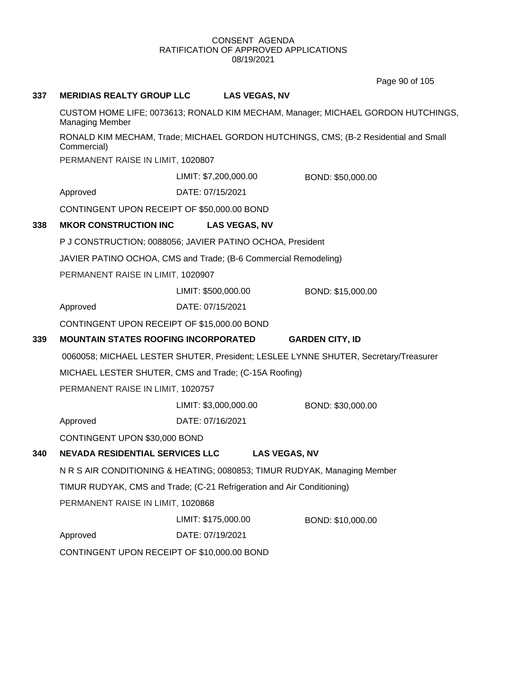Page 90 of 105

# **337 MERIDIAS REALTY GROUP LLC LAS VEGAS, NV**

CUSTOM HOME LIFE; 0073613; RONALD KIM MECHAM, Manager; MICHAEL GORDON HUTCHINGS, Managing Member

RONALD KIM MECHAM, Trade; MICHAEL GORDON HUTCHINGS, CMS; (B-2 Residential and Small Commercial)

PERMANENT RAISE IN LIMIT, 1020807

LIMIT: \$7,200,000.00 BOND: \$50,000.00

Approved DATE: 07/15/2021

CONTINGENT UPON RECEIPT OF \$50,000.00 BOND

# **338 MKOR CONSTRUCTION INC LAS VEGAS, NV**

P J CONSTRUCTION; 0088056; JAVIER PATINO OCHOA, President

JAVIER PATINO OCHOA, CMS and Trade; (B-6 Commercial Remodeling)

PERMANENT RAISE IN LIMIT, 1020907

LIMIT: \$500,000.00 BOND: \$15,000.00

Approved DATE: 07/15/2021

CONTINGENT UPON RECEIPT OF \$15,000.00 BOND

# **339 MOUNTAIN STATES ROOFING INCORPORATED GARDEN CITY, ID**

0060058; MICHAEL LESTER SHUTER, President; LESLEE LYNNE SHUTER, Secretary/Treasurer

MICHAEL LESTER SHUTER, CMS and Trade; (C-15A Roofing)

PERMANENT RAISE IN LIMIT, 1020757

LIMIT: \$3,000,000.00 BOND: \$30,000.00

Approved DATE: 07/16/2021

CONTINGENT UPON \$30,000 BOND

# **340 NEVADA RESIDENTIAL SERVICES LLC LAS VEGAS, NV**

N R S AIR CONDITIONING & HEATING; 0080853; TIMUR RUDYAK, Managing Member

TIMUR RUDYAK, CMS and Trade; (C-21 Refrigeration and Air Conditioning)

PERMANENT RAISE IN LIMIT, 1020868

LIMIT: \$175,000.00 BOND: \$10,000.00

Approved DATE: 07/19/2021

CONTINGENT UPON RECEIPT OF \$10,000.00 BOND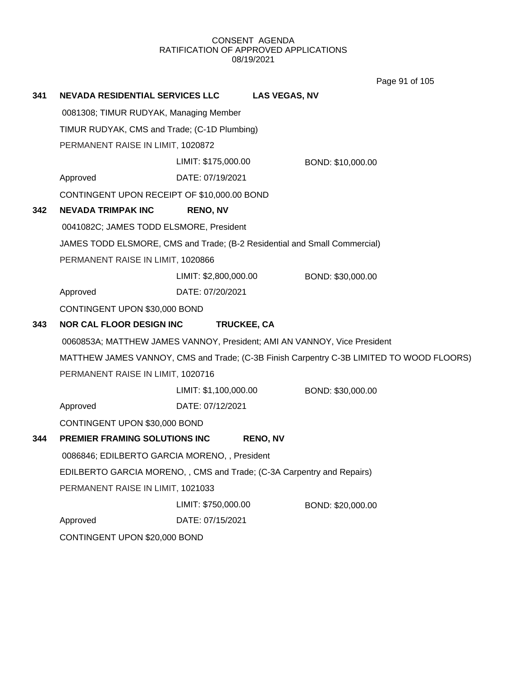Page 91 of 105

| 341 | <b>NEVADA RESIDENTIAL SERVICES LLC</b>                                |                               | <b>LAS VEGAS, NV</b>                                                                     |  |  |  |
|-----|-----------------------------------------------------------------------|-------------------------------|------------------------------------------------------------------------------------------|--|--|--|
|     | 0081308; TIMUR RUDYAK, Managing Member                                |                               |                                                                                          |  |  |  |
|     | TIMUR RUDYAK, CMS and Trade; (C-1D Plumbing)                          |                               |                                                                                          |  |  |  |
|     | PERMANENT RAISE IN LIMIT, 1020872                                     |                               |                                                                                          |  |  |  |
|     |                                                                       | LIMIT: \$175,000.00           | BOND: \$10,000.00                                                                        |  |  |  |
|     | Approved                                                              | DATE: 07/19/2021              |                                                                                          |  |  |  |
|     | CONTINGENT UPON RECEIPT OF \$10,000.00 BOND                           |                               |                                                                                          |  |  |  |
| 342 | <b>NEVADA TRIMPAK INC</b>                                             | <b>RENO, NV</b>               |                                                                                          |  |  |  |
|     | 0041082C; JAMES TODD ELSMORE, President                               |                               |                                                                                          |  |  |  |
|     |                                                                       |                               | JAMES TODD ELSMORE, CMS and Trade; (B-2 Residential and Small Commercial)                |  |  |  |
|     | PERMANENT RAISE IN LIMIT, 1020866                                     |                               |                                                                                          |  |  |  |
|     |                                                                       | LIMIT: \$2,800,000.00         | BOND: \$30,000.00                                                                        |  |  |  |
|     | Approved                                                              | DATE: 07/20/2021              |                                                                                          |  |  |  |
|     | CONTINGENT UPON \$30,000 BOND                                         |                               |                                                                                          |  |  |  |
| 343 | <b>NOR CAL FLOOR DESIGN INC</b>                                       |                               | TRUCKEE, CA                                                                              |  |  |  |
|     |                                                                       |                               | 0060853A; MATTHEW JAMES VANNOY, President; AMI AN VANNOY, Vice President                 |  |  |  |
|     |                                                                       |                               | MATTHEW JAMES VANNOY, CMS and Trade; (C-3B Finish Carpentry C-3B LIMITED TO WOOD FLOORS) |  |  |  |
|     | PERMANENT RAISE IN LIMIT, 1020716                                     |                               |                                                                                          |  |  |  |
|     |                                                                       | LIMIT: \$1,100,000.00         | BOND: \$30,000.00                                                                        |  |  |  |
|     | Approved                                                              | DATE: 07/12/2021              |                                                                                          |  |  |  |
|     | CONTINGENT UPON \$30,000 BOND                                         |                               |                                                                                          |  |  |  |
| 344 | PREMIER FRAMING SOLUTIONS INC                                         |                               | <b>RENO, NV</b>                                                                          |  |  |  |
|     | 0086846; EDILBERTO GARCIA MORENO, , President                         |                               |                                                                                          |  |  |  |
|     | EDILBERTO GARCIA MORENO,, CMS and Trade; (C-3A Carpentry and Repairs) |                               |                                                                                          |  |  |  |
|     | PERMANENT RAISE IN LIMIT, 1021033                                     |                               |                                                                                          |  |  |  |
|     |                                                                       | LIMIT: \$750,000.00           | BOND: \$20,000.00                                                                        |  |  |  |
|     | Approved                                                              | DATE: 07/15/2021              |                                                                                          |  |  |  |
|     |                                                                       | CONTINGENT UPON \$20,000 BOND |                                                                                          |  |  |  |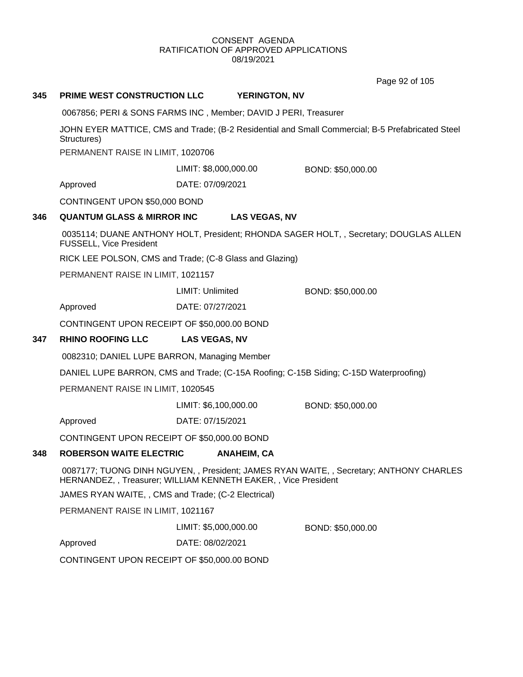Page 92 of 105

| 345 | <b>PRIME WEST CONSTRUCTION LLC</b>                                                                              | <b>YERINGTON, NV</b>                                            |                                                                                       |  |  |
|-----|-----------------------------------------------------------------------------------------------------------------|-----------------------------------------------------------------|---------------------------------------------------------------------------------------|--|--|
|     | 0067856; PERI & SONS FARMS INC, Member; DAVID J PERI, Treasurer                                                 |                                                                 |                                                                                       |  |  |
|     | JOHN EYER MATTICE, CMS and Trade; (B-2 Residential and Small Commercial; B-5 Prefabricated Steel<br>Structures) |                                                                 |                                                                                       |  |  |
|     | PERMANENT RAISE IN LIMIT, 1020706                                                                               |                                                                 |                                                                                       |  |  |
|     |                                                                                                                 | LIMIT: \$8,000,000.00                                           | BOND: \$50,000.00                                                                     |  |  |
|     | Approved                                                                                                        | DATE: 07/09/2021                                                |                                                                                       |  |  |
|     | CONTINGENT UPON \$50,000 BOND                                                                                   |                                                                 |                                                                                       |  |  |
| 346 | <b>QUANTUM GLASS &amp; MIRROR INC</b>                                                                           | <b>LAS VEGAS, NV</b>                                            |                                                                                       |  |  |
|     | FUSSELL, Vice President                                                                                         |                                                                 | 0035114; DUANE ANTHONY HOLT, President; RHONDA SAGER HOLT, , Secretary; DOUGLAS ALLEN |  |  |
|     |                                                                                                                 | RICK LEE POLSON, CMS and Trade; (C-8 Glass and Glazing)         |                                                                                       |  |  |
|     | PERMANENT RAISE IN LIMIT, 1021157                                                                               |                                                                 |                                                                                       |  |  |
|     |                                                                                                                 | LIMIT: Unlimited                                                | BOND: \$50,000.00                                                                     |  |  |
|     | Approved                                                                                                        | DATE: 07/27/2021                                                |                                                                                       |  |  |
|     | CONTINGENT UPON RECEIPT OF \$50,000.00 BOND                                                                     |                                                                 |                                                                                       |  |  |
| 347 | <b>RHINO ROOFING LLC</b>                                                                                        | <b>LAS VEGAS, NV</b>                                            |                                                                                       |  |  |
|     | 0082310; DANIEL LUPE BARRON, Managing Member                                                                    |                                                                 |                                                                                       |  |  |
|     | DANIEL LUPE BARRON, CMS and Trade; (C-15A Roofing; C-15B Siding; C-15D Waterproofing)                           |                                                                 |                                                                                       |  |  |
|     | PERMANENT RAISE IN LIMIT, 1020545                                                                               |                                                                 |                                                                                       |  |  |
|     |                                                                                                                 | LIMIT: \$6,100,000.00                                           | BOND: \$50,000.00                                                                     |  |  |
|     | Approved                                                                                                        | DATE: 07/15/2021                                                |                                                                                       |  |  |
|     | CONTINGENT UPON RECEIPT OF \$50,000.00 BOND                                                                     |                                                                 |                                                                                       |  |  |
| 348 | <b>ROBERSON WAITE ELECTRIC</b>                                                                                  | <b>ANAHEIM, CA</b>                                              |                                                                                       |  |  |
|     |                                                                                                                 | HERNANDEZ, , Treasurer; WILLIAM KENNETH EAKER, , Vice President | 0087177; TUONG DINH NGUYEN,, President; JAMES RYAN WAITE,, Secretary; ANTHONY CHARLES |  |  |
|     | JAMES RYAN WAITE, , CMS and Trade; (C-2 Electrical)                                                             |                                                                 |                                                                                       |  |  |
|     | PERMANENT RAISE IN LIMIT, 1021167                                                                               |                                                                 |                                                                                       |  |  |
|     |                                                                                                                 | LIMIT: \$5,000,000.00                                           | BOND: \$50,000.00                                                                     |  |  |
|     | Approved                                                                                                        | DATE: 08/02/2021                                                |                                                                                       |  |  |
|     | CONTINGENT UPON RECEIPT OF \$50,000.00 BOND                                                                     |                                                                 |                                                                                       |  |  |
|     |                                                                                                                 |                                                                 |                                                                                       |  |  |
|     |                                                                                                                 |                                                                 |                                                                                       |  |  |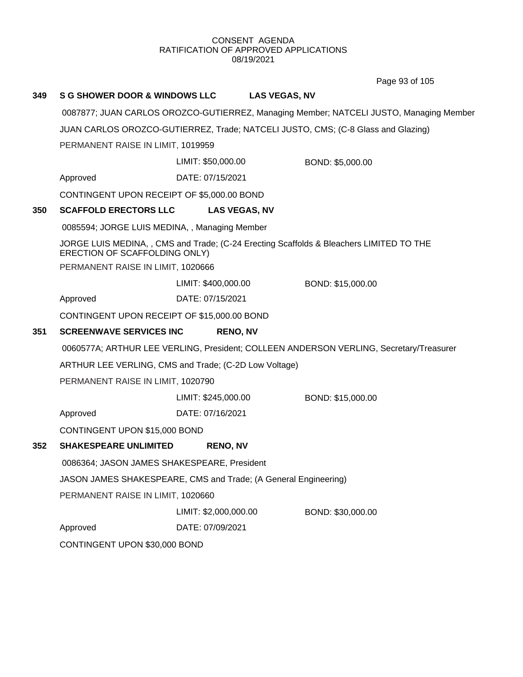Page 93 of 105

| 349 | <b>S G SHOWER DOOR &amp; WINDOWS LLC</b>                        |                       | <b>LAS VEGAS, NV</b>                                                                   |
|-----|-----------------------------------------------------------------|-----------------------|----------------------------------------------------------------------------------------|
|     |                                                                 |                       | 0087877; JUAN CARLOS OROZCO-GUTIERREZ, Managing Member; NATCELI JUSTO, Managing Member |
|     |                                                                 |                       | JUAN CARLOS OROZCO-GUTIERREZ, Trade; NATCELI JUSTO, CMS; (C-8 Glass and Glazing)       |
|     | PERMANENT RAISE IN LIMIT, 1019959                               |                       |                                                                                        |
|     |                                                                 | LIMIT: \$50,000.00    | BOND: \$5,000.00                                                                       |
|     | Approved                                                        | DATE: 07/15/2021      |                                                                                        |
|     | CONTINGENT UPON RECEIPT OF \$5,000.00 BOND                      |                       |                                                                                        |
| 350 | <b>SCAFFOLD ERECTORS LLC</b>                                    | <b>LAS VEGAS, NV</b>  |                                                                                        |
|     | 0085594; JORGE LUIS MEDINA, , Managing Member                   |                       |                                                                                        |
|     | ERECTION OF SCAFFOLDING ONLY)                                   |                       | JORGE LUIS MEDINA,, CMS and Trade; (C-24 Erecting Scaffolds & Bleachers LIMITED TO THE |
|     | PERMANENT RAISE IN LIMIT, 1020666                               |                       |                                                                                        |
|     |                                                                 | LIMIT: \$400,000.00   | BOND: \$15,000.00                                                                      |
|     | Approved                                                        | DATE: 07/15/2021      |                                                                                        |
|     | CONTINGENT UPON RECEIPT OF \$15,000.00 BOND                     |                       |                                                                                        |
| 351 | <b>SCREENWAVE SERVICES INC</b>                                  | <b>RENO, NV</b>       |                                                                                        |
|     |                                                                 |                       | 0060577A; ARTHUR LEE VERLING, President; COLLEEN ANDERSON VERLING, Secretary/Treasurer |
|     | ARTHUR LEE VERLING, CMS and Trade; (C-2D Low Voltage)           |                       |                                                                                        |
|     | PERMANENT RAISE IN LIMIT, 1020790                               |                       |                                                                                        |
|     |                                                                 | LIMIT: \$245,000.00   | BOND: \$15,000.00                                                                      |
|     | Approved                                                        | DATE: 07/16/2021      |                                                                                        |
|     | CONTINGENT UPON \$15,000 BOND                                   |                       |                                                                                        |
| 352 | <b>SHAKESPEARE UNLIMITED</b>                                    | <b>RENO, NV</b>       |                                                                                        |
|     | 0086364; JASON JAMES SHAKESPEARE, President                     |                       |                                                                                        |
|     | JASON JAMES SHAKESPEARE, CMS and Trade; (A General Engineering) |                       |                                                                                        |
|     | PERMANENT RAISE IN LIMIT, 1020660                               |                       |                                                                                        |
|     |                                                                 | LIMIT: \$2,000,000.00 | BOND: \$30,000.00                                                                      |
|     | Approved                                                        | DATE: 07/09/2021      |                                                                                        |
|     | CONTINGENT UPON \$30,000 BOND                                   |                       |                                                                                        |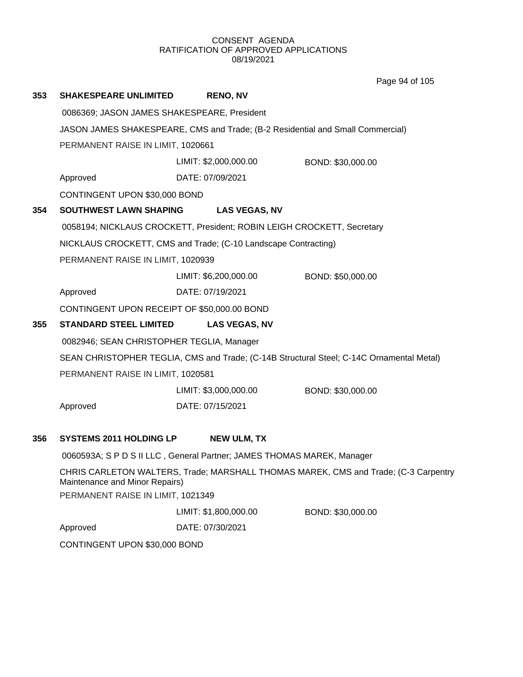Page 94 of 105

| 353 | <b>SHAKESPEARE UNLIMITED</b>                                                   |  | <b>RENO, NV</b>       |                                                                                          |  |
|-----|--------------------------------------------------------------------------------|--|-----------------------|------------------------------------------------------------------------------------------|--|
|     | 0086369; JASON JAMES SHAKESPEARE, President                                    |  |                       |                                                                                          |  |
|     | JASON JAMES SHAKESPEARE, CMS and Trade; (B-2 Residential and Small Commercial) |  |                       |                                                                                          |  |
|     | PERMANENT RAISE IN LIMIT, 1020661                                              |  |                       |                                                                                          |  |
|     |                                                                                |  | LIMIT: \$2,000,000.00 | BOND: \$30,000.00                                                                        |  |
|     | Approved                                                                       |  | DATE: 07/09/2021      |                                                                                          |  |
|     | CONTINGENT UPON \$30,000 BOND                                                  |  |                       |                                                                                          |  |
| 354 | <b>SOUTHWEST LAWN SHAPING</b>                                                  |  | <b>LAS VEGAS, NV</b>  |                                                                                          |  |
|     | 0058194; NICKLAUS CROCKETT, President; ROBIN LEIGH CROCKETT, Secretary         |  |                       |                                                                                          |  |
|     | NICKLAUS CROCKETT, CMS and Trade; (C-10 Landscape Contracting)                 |  |                       |                                                                                          |  |
|     | PERMANENT RAISE IN LIMIT, 1020939                                              |  |                       |                                                                                          |  |
|     |                                                                                |  | LIMIT: \$6,200,000.00 | BOND: \$50,000.00                                                                        |  |
|     | Approved                                                                       |  | DATE: 07/19/2021      |                                                                                          |  |
|     | CONTINGENT UPON RECEIPT OF \$50,000.00 BOND                                    |  |                       |                                                                                          |  |
| 355 | <b>STANDARD STEEL LIMITED</b>                                                  |  | <b>LAS VEGAS, NV</b>  |                                                                                          |  |
|     | 0082946; SEAN CHRISTOPHER TEGLIA, Manager                                      |  |                       |                                                                                          |  |
|     |                                                                                |  |                       | SEAN CHRISTOPHER TEGLIA, CMS and Trade; (C-14B Structural Steel; C-14C Ornamental Metal) |  |
|     | PERMANENT RAISE IN LIMIT, 1020581                                              |  |                       |                                                                                          |  |
|     |                                                                                |  | LIMIT: \$3,000,000.00 | BOND: \$30,000.00                                                                        |  |
|     | Approved                                                                       |  | DATE: 07/15/2021      |                                                                                          |  |
|     |                                                                                |  |                       |                                                                                          |  |
| 356 | <b>SYSTEMS 2011 HOLDING LP</b>                                                 |  | <b>NEW ULM, TX</b>    |                                                                                          |  |
|     | 0060593A; S P D S II LLC, General Partner; JAMES THOMAS MAREK, Manager         |  |                       |                                                                                          |  |
|     | Maintenance and Minor Repairs)                                                 |  |                       | CHRIS CARLETON WALTERS, Trade; MARSHALL THOMAS MAREK, CMS and Trade; (C-3 Carpentry      |  |
|     | PERMANENT RAISE IN LIMIT, 1021349                                              |  |                       |                                                                                          |  |
|     |                                                                                |  | LIMIT: \$1,800,000.00 | BOND: \$30,000.00                                                                        |  |
|     | Approved                                                                       |  | DATE: 07/30/2021      |                                                                                          |  |
|     | CONTINGENT UPON \$30,000 BOND                                                  |  |                       |                                                                                          |  |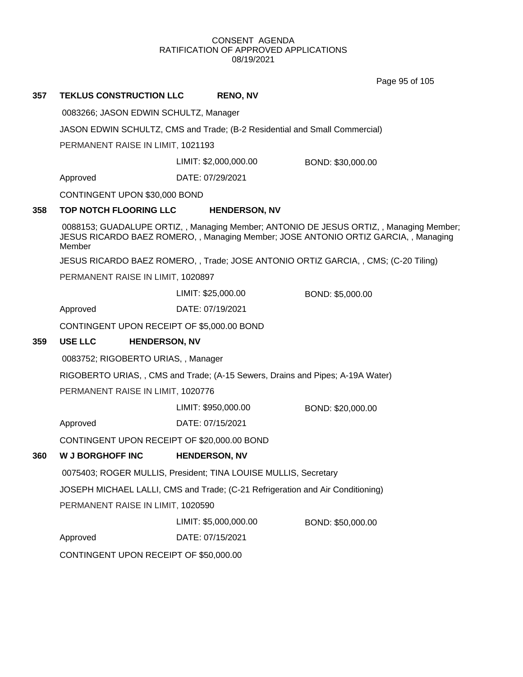Page 95 of 105

# **357 TEKLUS CONSTRUCTION LLC RENO, NV**

0083266; JASON EDWIN SCHULTZ, Manager

JASON EDWIN SCHULTZ, CMS and Trade; (B-2 Residential and Small Commercial)

PERMANENT RAISE IN LIMIT, 1021193

LIMIT: \$2,000,000.00 BOND: \$30,000.00

Approved DATE: 07/29/2021

CONTINGENT UPON \$30,000 BOND

# **358 TOP NOTCH FLOORING LLC HENDERSON, NV**

0088153; GUADALUPE ORTIZ, , Managing Member; ANTONIO DE JESUS ORTIZ, , Managing Member; JESUS RICARDO BAEZ ROMERO, , Managing Member; JOSE ANTONIO ORTIZ GARCIA, , Managing Member

JESUS RICARDO BAEZ ROMERO, , Trade; JOSE ANTONIO ORTIZ GARCIA, , CMS; (C-20 Tiling)

PERMANENT RAISE IN LIMIT, 1020897

LIMIT: \$25,000.00 BOND: \$5,000.00

Approved DATE: 07/19/2021

CONTINGENT UPON RECEIPT OF \$5,000.00 BOND

# **359 USE LLC HENDERSON, NV**

0083752; RIGOBERTO URIAS, , Manager

RIGOBERTO URIAS, , CMS and Trade; (A-15 Sewers, Drains and Pipes; A-19A Water)

PERMANENT RAISE IN LIMIT, 1020776

LIMIT: \$950,000.00 BOND: \$20,000.00

Approved DATE: 07/15/2021

CONTINGENT UPON RECEIPT OF \$20,000.00 BOND

# **360 W J BORGHOFF INC HENDERSON, NV**

0075403; ROGER MULLIS, President; TINA LOUISE MULLIS, Secretary

JOSEPH MICHAEL LALLI, CMS and Trade; (C-21 Refrigeration and Air Conditioning)

PERMANENT RAISE IN LIMIT, 1020590

LIMIT: \$5,000,000.00 BOND: \$50,000.00

Approved DATE: 07/15/2021

CONTINGENT UPON RECEIPT OF \$50,000.00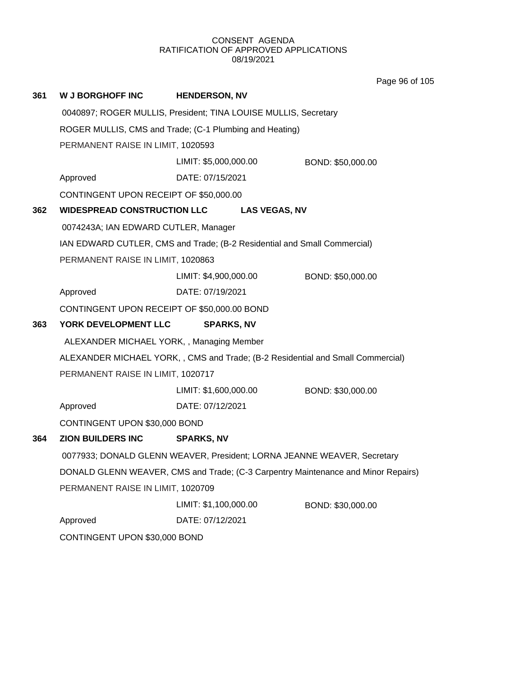**361 W J BORGHOFF INC HENDERSON, NV** 0040897; ROGER MULLIS, President; TINA LOUISE MULLIS, Secretary ROGER MULLIS, CMS and Trade; (C-1 Plumbing and Heating) PERMANENT RAISE IN LIMIT, 1020593 Approved DATE: 07/15/2021 LIMIT: \$5,000,000.00 BOND: \$50,000.00 CONTINGENT UPON RECEIPT OF \$50,000.00 **362 WIDESPREAD CONSTRUCTION LLC LAS VEGAS, NV** 0074243A; IAN EDWARD CUTLER, Manager IAN EDWARD CUTLER, CMS and Trade; (B-2 Residential and Small Commercial) PERMANENT RAISE IN LIMIT, 1020863 Approved DATE: 07/19/2021 LIMIT: \$4,900,000.00 BOND: \$50,000.00 CONTINGENT UPON RECEIPT OF \$50,000.00 BOND **363 YORK DEVELOPMENT LLC SPARKS, NV** ALEXANDER MICHAEL YORK, , Managing Member ALEXANDER MICHAEL YORK, , CMS and Trade; (B-2 Residential and Small Commercial) PERMANENT RAISE IN LIMIT, 1020717 Approved DATE: 07/12/2021 LIMIT: \$1,600,000.00 BOND: \$30,000.00 CONTINGENT UPON \$30,000 BOND **364 ZION BUILDERS INC SPARKS, NV** 0077933; DONALD GLENN WEAVER, President; LORNA JEANNE WEAVER, Secretary DONALD GLENN WEAVER, CMS and Trade; (C-3 Carpentry Maintenance and Minor Repairs) PERMANENT RAISE IN LIMIT, 1020709 Approved DATE: 07/12/2021 LIMIT: \$1,100,000.00 BOND: \$30,000.00 CONTINGENT UPON \$30,000 BOND Page 96 of 105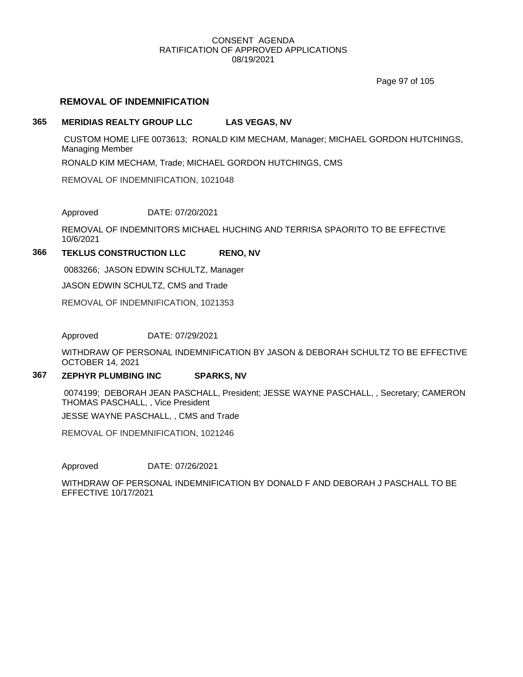Page 97 of 105

# **REMOVAL OF INDEMNIFICATION**

# **365 MERIDIAS REALTY GROUP LLC LAS VEGAS, NV**

CUSTOM HOME LIFE 0073613; RONALD KIM MECHAM, Manager; MICHAEL GORDON HUTCHINGS, Managing Member

RONALD KIM MECHAM, Trade; MICHAEL GORDON HUTCHINGS, CMS

REMOVAL OF INDEMNIFICATION, 1021048

Approved DATE: 07/20/2021

REMOVAL OF INDEMNITORS MICHAEL HUCHING AND TERRISA SPAORITO TO BE EFFECTIVE 10/6/2021

## **366 TEKLUS CONSTRUCTION LLC RENO, NV**

0083266; JASON EDWIN SCHULTZ, Manager

JASON EDWIN SCHULTZ, CMS and Trade

REMOVAL OF INDEMNIFICATION, 1021353

Approved DATE: 07/29/2021

WITHDRAW OF PERSONAL INDEMNIFICATION BY JASON & DEBORAH SCHULTZ TO BE EFFECTIVE OCTOBER 14, 2021

# **367 ZEPHYR PLUMBING INC SPARKS, NV**

0074199; DEBORAH JEAN PASCHALL, President; JESSE WAYNE PASCHALL, , Secretary; CAMERON THOMAS PASCHALL, , Vice President

JESSE WAYNE PASCHALL, , CMS and Trade

REMOVAL OF INDEMNIFICATION, 1021246

Approved DATE: 07/26/2021

WITHDRAW OF PERSONAL INDEMNIFICATION BY DONALD F AND DEBORAH J PASCHALL TO BE EFFECTIVE 10/17/2021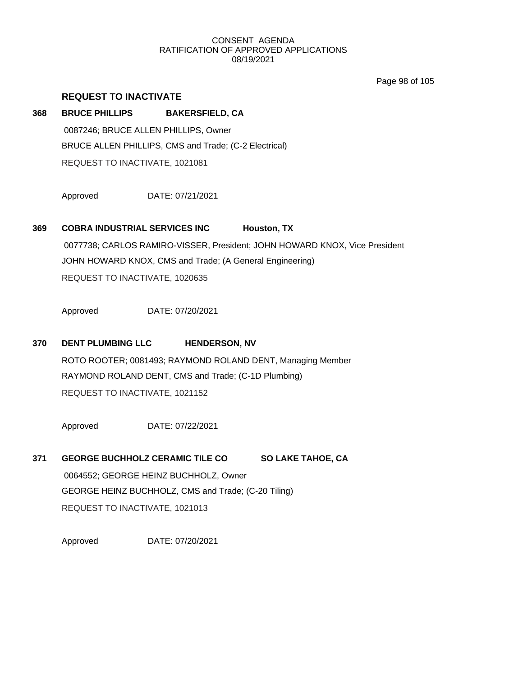Page 98 of 105

# **REQUEST TO INACTIVATE**

# **368 BRUCE PHILLIPS BAKERSFIELD, CA** 0087246; BRUCE ALLEN PHILLIPS, Owner BRUCE ALLEN PHILLIPS, CMS and Trade; (C-2 Electrical) REQUEST TO INACTIVATE, 1021081

Approved DATE: 07/21/2021

# **369 COBRA INDUSTRIAL SERVICES INC Houston, TX**

0077738; CARLOS RAMIRO-VISSER, President; JOHN HOWARD KNOX, Vice President JOHN HOWARD KNOX, CMS and Trade; (A General Engineering) REQUEST TO INACTIVATE, 1020635

Approved DATE: 07/20/2021

# **370 DENT PLUMBING LLC HENDERSON, NV**

ROTO ROOTER; 0081493; RAYMOND ROLAND DENT, Managing Member RAYMOND ROLAND DENT, CMS and Trade; (C-1D Plumbing) REQUEST TO INACTIVATE, 1021152

Approved DATE: 07/22/2021

**371 GEORGE BUCHHOLZ CERAMIC TILE CO SO LAKE TAHOE, CA** 0064552; GEORGE HEINZ BUCHHOLZ, Owner GEORGE HEINZ BUCHHOLZ, CMS and Trade; (C-20 Tiling) REQUEST TO INACTIVATE, 1021013

Approved DATE: 07/20/2021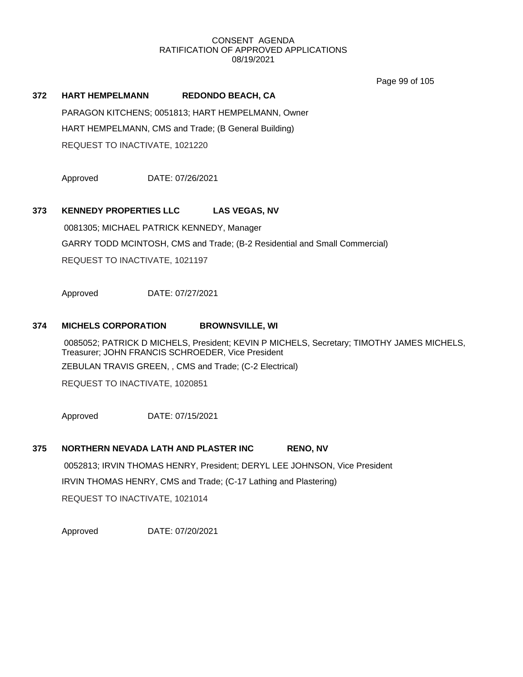Page 99 of 105

# **372 HART HEMPELMANN REDONDO BEACH, CA**

PARAGON KITCHENS; 0051813; HART HEMPELMANN, Owner HART HEMPELMANN, CMS and Trade; (B General Building) REQUEST TO INACTIVATE, 1021220

Approved DATE: 07/26/2021

# **373 KENNEDY PROPERTIES LLC LAS VEGAS, NV**

0081305; MICHAEL PATRICK KENNEDY, Manager GARRY TODD MCINTOSH, CMS and Trade; (B-2 Residential and Small Commercial) REQUEST TO INACTIVATE, 1021197

Approved DATE: 07/27/2021

#### **374 MICHELS CORPORATION BROWNSVILLE, WI**

0085052; PATRICK D MICHELS, President; KEVIN P MICHELS, Secretary; TIMOTHY JAMES MICHELS, Treasurer; JOHN FRANCIS SCHROEDER, Vice President ZEBULAN TRAVIS GREEN, , CMS and Trade; (C-2 Electrical)

REQUEST TO INACTIVATE, 1020851

Approved DATE: 07/15/2021

# **375 NORTHERN NEVADA LATH AND PLASTER INC RENO, NV** 0052813; IRVIN THOMAS HENRY, President; DERYL LEE JOHNSON, Vice President IRVIN THOMAS HENRY, CMS and Trade; (C-17 Lathing and Plastering) REQUEST TO INACTIVATE, 1021014

Approved DATE: 07/20/2021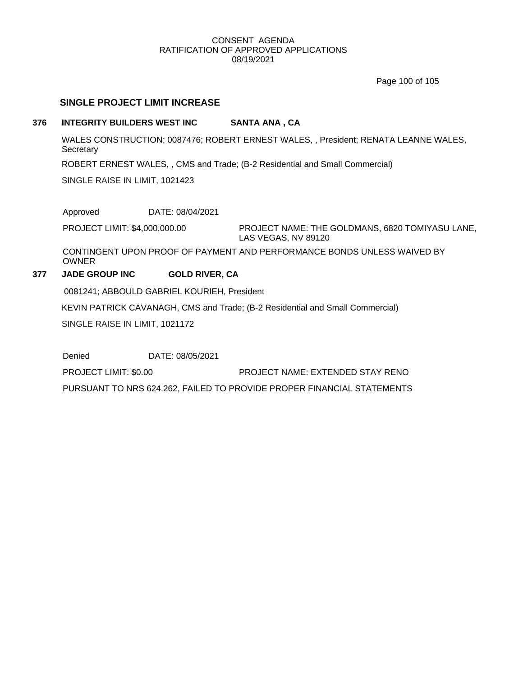Page 100 of 105

# **SINGLE PROJECT LIMIT INCREASE**

# **376 INTEGRITY BUILDERS WEST INC SANTA ANA , CA**

WALES CONSTRUCTION; 0087476; ROBERT ERNEST WALES, , President; RENATA LEANNE WALES, **Secretary** 

ROBERT ERNEST WALES, , CMS and Trade; (B-2 Residential and Small Commercial)

SINGLE RAISE IN LIMIT, 1021423

Approved DATE: 08/04/2021

PROJECT NAME: THE GOLDMANS, 6820 TOMIYASU LANE, LAS VEGAS, NV 89120 PROJECT LIMIT: \$4,000,000.00

CONTINGENT UPON PROOF OF PAYMENT AND PERFORMANCE BONDS UNLESS WAIVED BY OWNER

# **377 JADE GROUP INC GOLD RIVER, CA**

0081241; ABBOULD GABRIEL KOURIEH, President

KEVIN PATRICK CAVANAGH, CMS and Trade; (B-2 Residential and Small Commercial)

SINGLE RAISE IN LIMIT, 1021172

Denied DATE: 08/05/2021

PROJECT LIMIT: \$0.00 PROJECT NAME: EXTENDED STAY RENO

PURSUANT TO NRS 624.262, FAILED TO PROVIDE PROPER FINANCIAL STATEMENTS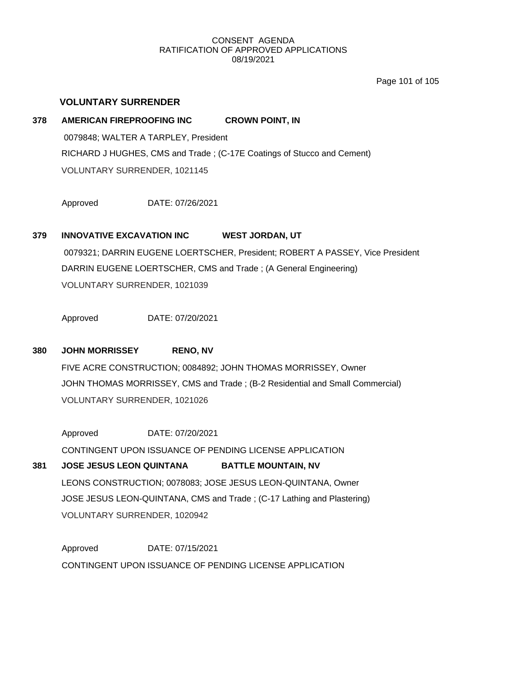Page 101 of 105

# **VOLUNTARY SURRENDER**

# **378 AMERICAN FIREPROOFING INC CROWN POINT, IN** 0079848; WALTER A TARPLEY, President RICHARD J HUGHES, CMS and Trade ; (C-17E Coatings of Stucco and Cement) VOLUNTARY SURRENDER, 1021145

Approved DATE: 07/26/2021

# **379 INNOVATIVE EXCAVATION INC WEST JORDAN, UT**

0079321; DARRIN EUGENE LOERTSCHER, President; ROBERT A PASSEY, Vice President DARRIN EUGENE LOERTSCHER, CMS and Trade ; (A General Engineering) VOLUNTARY SURRENDER, 1021039

Approved DATE: 07/20/2021

# **380 JOHN MORRISSEY RENO, NV**

FIVE ACRE CONSTRUCTION; 0084892; JOHN THOMAS MORRISSEY, Owner JOHN THOMAS MORRISSEY, CMS and Trade ; (B-2 Residential and Small Commercial) VOLUNTARY SURRENDER, 1021026

Approved DATE: 07/20/2021 CONTINGENT UPON ISSUANCE OF PENDING LICENSE APPLICATION

# **381 JOSE JESUS LEON QUINTANA BATTLE MOUNTAIN, NV** LEONS CONSTRUCTION; 0078083; JOSE JESUS LEON-QUINTANA, Owner JOSE JESUS LEON-QUINTANA, CMS and Trade ; (C-17 Lathing and Plastering) VOLUNTARY SURRENDER, 1020942

Approved DATE: 07/15/2021 CONTINGENT UPON ISSUANCE OF PENDING LICENSE APPLICATION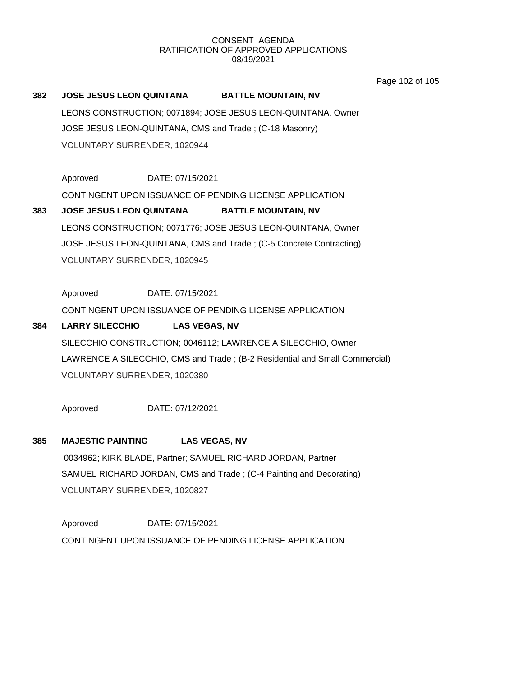Page 102 of 105

# **382 JOSE JESUS LEON QUINTANA BATTLE MOUNTAIN, NV** LEONS CONSTRUCTION; 0071894; JOSE JESUS LEON-QUINTANA, Owner JOSE JESUS LEON-QUINTANA, CMS and Trade ; (C-18 Masonry) VOLUNTARY SURRENDER, 1020944

Approved DATE: 07/15/2021

CONTINGENT UPON ISSUANCE OF PENDING LICENSE APPLICATION

**383 JOSE JESUS LEON QUINTANA BATTLE MOUNTAIN, NV** LEONS CONSTRUCTION; 0071776; JOSE JESUS LEON-QUINTANA, Owner JOSE JESUS LEON-QUINTANA, CMS and Trade ; (C-5 Concrete Contracting) VOLUNTARY SURRENDER, 1020945

Approved DATE: 07/15/2021

CONTINGENT UPON ISSUANCE OF PENDING LICENSE APPLICATION

# **384 LARRY SILECCHIO LAS VEGAS, NV** SILECCHIO CONSTRUCTION; 0046112; LAWRENCE A SILECCHIO, Owner LAWRENCE A SILECCHIO, CMS and Trade ; (B-2 Residential and Small Commercial) VOLUNTARY SURRENDER, 1020380

Approved DATE: 07/12/2021

# **385 MAJESTIC PAINTING LAS VEGAS, NV**

0034962; KIRK BLADE, Partner; SAMUEL RICHARD JORDAN, Partner SAMUEL RICHARD JORDAN, CMS and Trade ; (C-4 Painting and Decorating) VOLUNTARY SURRENDER, 1020827

Approved DATE: 07/15/2021 CONTINGENT UPON ISSUANCE OF PENDING LICENSE APPLICATION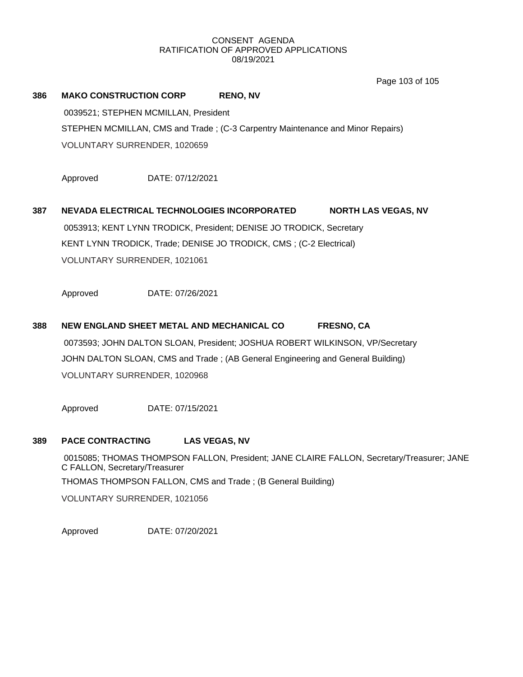Page 103 of 105

# **386 MAKO CONSTRUCTION CORP RENO, NV**

0039521; STEPHEN MCMILLAN, President STEPHEN MCMILLAN, CMS and Trade ; (C-3 Carpentry Maintenance and Minor Repairs) VOLUNTARY SURRENDER, 1020659

Approved DATE: 07/12/2021

# **387 NEVADA ELECTRICAL TECHNOLOGIES INCORPORATED NORTH LAS VEGAS, NV** 0053913; KENT LYNN TRODICK, President; DENISE JO TRODICK, Secretary KENT LYNN TRODICK, Trade; DENISE JO TRODICK, CMS ; (C-2 Electrical) VOLUNTARY SURRENDER, 1021061

Approved DATE: 07/26/2021

**388 NEW ENGLAND SHEET METAL AND MECHANICAL CO FRESNO, CA** 0073593; JOHN DALTON SLOAN, President; JOSHUA ROBERT WILKINSON, VP/Secretary JOHN DALTON SLOAN, CMS and Trade ; (AB General Engineering and General Building) VOLUNTARY SURRENDER, 1020968

Approved DATE: 07/15/2021

#### **389 PACE CONTRACTING LAS VEGAS, NV**

0015085; THOMAS THOMPSON FALLON, President; JANE CLAIRE FALLON, Secretary/Treasurer; JANE C FALLON, Secretary/Treasurer THOMAS THOMPSON FALLON, CMS and Trade ; (B General Building) VOLUNTARY SURRENDER, 1021056

Approved DATE: 07/20/2021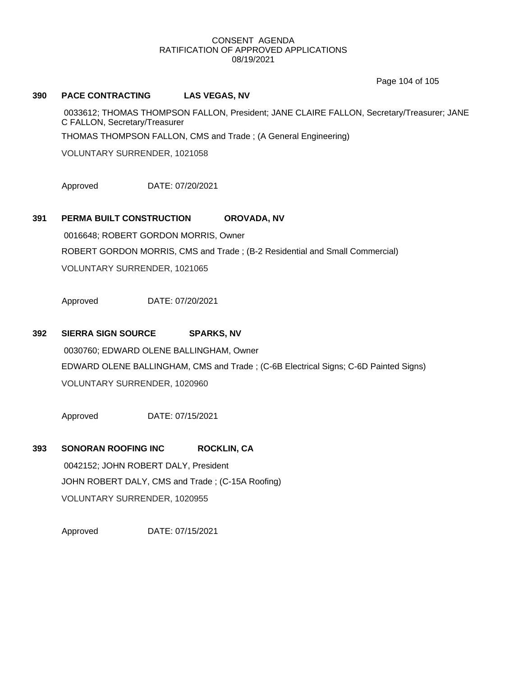Page 104 of 105

#### **390 PACE CONTRACTING LAS VEGAS, NV**

0033612; THOMAS THOMPSON FALLON, President; JANE CLAIRE FALLON, Secretary/Treasurer; JANE C FALLON, Secretary/Treasurer THOMAS THOMPSON FALLON, CMS and Trade ; (A General Engineering)

VOLUNTARY SURRENDER, 1021058

Approved DATE: 07/20/2021

# **391 PERMA BUILT CONSTRUCTION OROVADA, NV**

0016648; ROBERT GORDON MORRIS, Owner ROBERT GORDON MORRIS, CMS and Trade ; (B-2 Residential and Small Commercial) VOLUNTARY SURRENDER, 1021065

Approved DATE: 07/20/2021

## **392 SIERRA SIGN SOURCE SPARKS, NV**

0030760; EDWARD OLENE BALLINGHAM, Owner EDWARD OLENE BALLINGHAM, CMS and Trade ; (C-6B Electrical Signs; C-6D Painted Signs) VOLUNTARY SURRENDER, 1020960

Approved DATE: 07/15/2021

# **393 SONORAN ROOFING INC ROCKLIN, CA**

0042152; JOHN ROBERT DALY, President JOHN ROBERT DALY, CMS and Trade ; (C-15A Roofing) VOLUNTARY SURRENDER, 1020955

Approved DATE: 07/15/2021